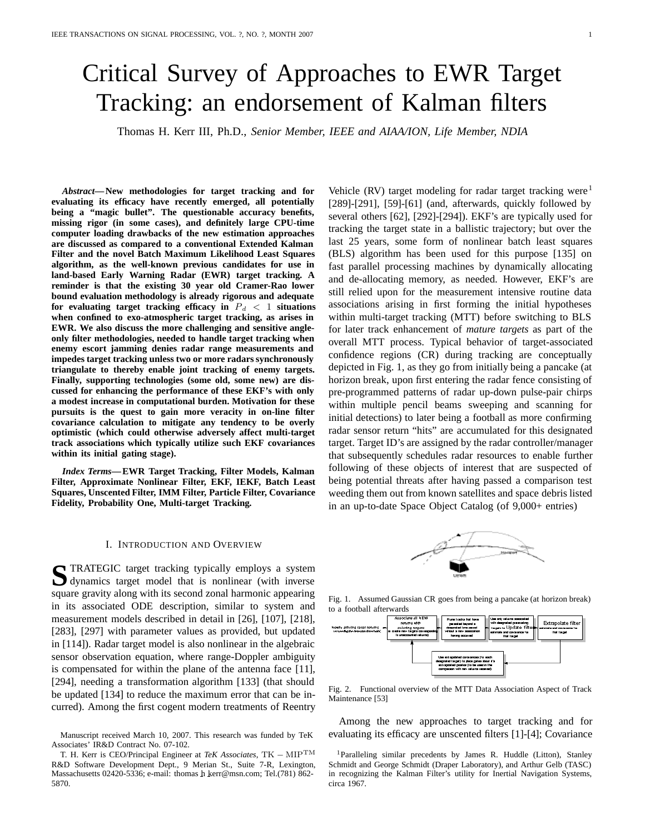# Critical Survey of Approaches to EWR Target Tracking: an endorsement of Kalman filters

Thomas H. Kerr III, Ph.D., *Senior Member, IEEE and AIAA/ION, Life Member, NDIA*

*Abstract***— New methodologies for target tracking and for evaluating its efficacy have recently emerged, all potentially being a "magic bullet". The questionable accuracy benefits, missing rigor (in some cases), and definitely large CPU-time computer loading drawbacks of the new estimation approaches are discussed as compared to a conventional Extended Kalman Filter and the novel Batch Maximum Likelihood Least Squares algorithm, as the well-known previous candidates for use in land-based Early Warning Radar (EWR) target tracking. A reminder is that the existing 30 year old Cramer-Rao lower bound evaluation methodology is already rigorous and adequate** for evaluating target tracking efficacy in  $P_d < 1$  situations **when confined to exo-atmospheric target tracking, as arises in EWR. We also discuss the more challenging and sensitive angleonly filter methodologies, needed to handle target tracking when enemy escort jamming denies radar range measurements and impedes target tracking unless two or more radars synchronously triangulate to thereby enable joint tracking of enemy targets. Finally, supporting technologies (some old, some new) are discussed for enhancing the performance of these EKF's with only a modest increase in computational burden. Motivation for these pursuits is the quest to gain more veracity in on-line filter covariance calculation to mitigate any tendency to be overly optimistic (which could otherwise adversely affect multi-target track associations which typically utilize such EKF covariances within its initial gating stage).**

*Index Terms***— EWR Target Tracking, Filter Models, Kalman Filter, Approximate Nonlinear Filter, EKF, IEKF, Batch Least Squares, Unscented Filter, IMM Filter, Particle Filter, Covariance Fidelity, Probability One, Multi-target Tracking.**

## I. INTRODUCTION AND OVERVIEW

S TRATEGIC target tracking typically employs a system dynamics target model that is nonlinear (with inverse square gravity along with its second zonal harmonic appearing in its associated ODE description, similar to system and measurement models described in detail in [26], [107], [218], [283], [297] with parameter values as provided, but updated in [114]). Radar target model is also nonlinear in the algebraic sensor observation equation, where range-Doppler ambiguity is compensated for within the plane of the antenna face [11], [294], needing a transformation algorithm [133] (that should be updated [134] to reduce the maximum error that can be incurred). Among the first cogent modern treatments of Reentry Vehicle (RV) target modeling for radar target tracking were<sup>1</sup> [289]-[291], [59]-[61] (and, afterwards, quickly followed by several others [62], [292]-[294]). EKF's are typically used for tracking the target state in a ballistic trajectory; but over the last 25 years, some form of nonlinear batch least squares (BLS) algorithm has been used for this purpose [135] on fast parallel processing machines by dynamically allocating and de-allocating memory, as needed. However, EKF's are still relied upon for the measurement intensive routine data associations arising in first forming the initial hypotheses within multi-target tracking (MTT) before switching to BLS for later track enhancement of *mature targets* as part of the overall MTT process. Typical behavior of target-associated confidence regions (CR) during tracking are conceptually depicted in Fig. 1, as they go from initially being a pancake (at horizon break, upon first entering the radar fence consisting of pre-programmed patterns of radar up-down pulse-pair chirps within multiple pencil beams sweeping and scanning for initial detections) to later being a football as more confirming radar sensor return "hits" are accumulated for this designated target. Target ID's are assigned by the radar controller/manager that subsequently schedules radar resources to enable further following of these objects of interest that are suspected of being potential threats after having passed a comparison test weeding them out from known satellites and space debris listed in an up-to-date Space Object Catalog (of 9,000+ entries)



Fig. 1. Assumed Gaussian CR goes from being a pancake (at horizon break) to a football afterwards



Fig. 2. Functional overview of the MTT Data Association Aspect of Track Maintenance [53]

Among the new approaches to target tracking and for evaluating its efficacy are unscented filters [1]-[4]; Covariance

Manuscript received March 10, 2007. This research was funded by TeK Associates' IR&D Contract No. 07-102.

T. H. Kerr is CEO/Principal Engineer at *TeK Associates*, TK <sup>−</sup> MIPTM R&D Software Development Dept., 9 Merian St., Suite 7-R, Lexington, Massachusetts 02420-5336; e-mail: thomas h kerr@msn.com; Tel.(781) 862- 5870.

<sup>&</sup>lt;sup>1</sup>Paralleling similar precedents by James R. Huddle (Litton), Stanley Schmidt and George Schmidt (Draper Laboratory), and Arthur Gelb (TASC) in recognizing the Kalman Filter's utility for Inertial Navigation Systems, circa 1967.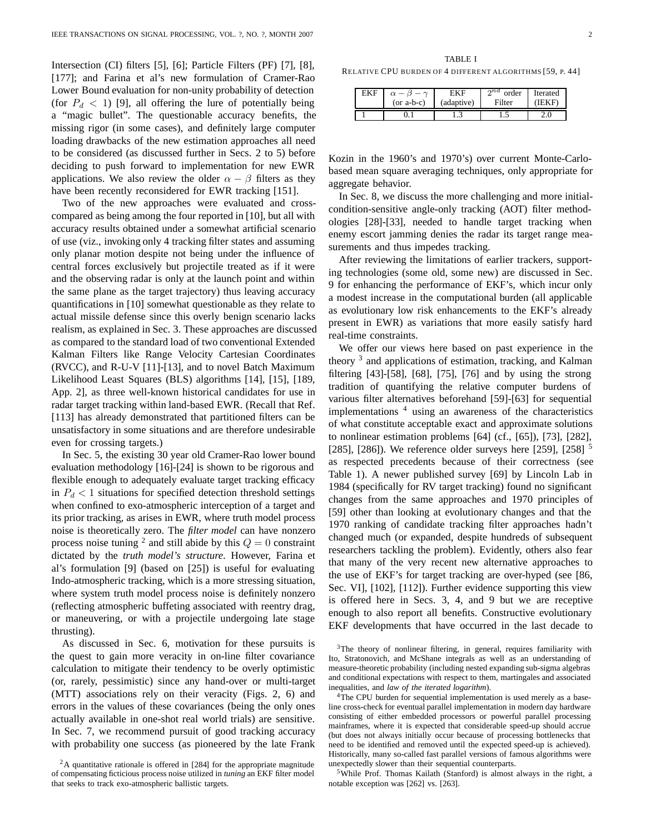Intersection (CI) filters [5], [6]; Particle Filters (PF) [7], [8], [177]; and Farina et al's new formulation of Cramer-Rao Lower Bound evaluation for non-unity probability of detection (for  $P_d$  < 1) [9], all offering the lure of potentially being a "magic bullet". The questionable accuracy benefits, the missing rigor (in some cases), and definitely large computer loading drawbacks of the new estimation approaches all need to be considered (as discussed further in Secs. 2 to 5) before deciding to push forward to implementation for new EWR applications. We also review the older  $\alpha - \beta$  filters as they have been recently reconsidered for EWR tracking [151].

Two of the new approaches were evaluated and crosscompared as being among the four reported in [10], but all with accuracy results obtained under a somewhat artificial scenario of use (viz., invoking only 4 tracking filter states and assuming only planar motion despite not being under the influence of central forces exclusively but projectile treated as if it were and the observing radar is only at the launch point and within the same plane as the target trajectory) thus leaving accuracy quantifications in [10] somewhat questionable as they relate to actual missile defense since this overly benign scenario lacks realism, as explained in Sec. 3. These approaches are discussed as compared to the standard load of two conventional Extended Kalman Filters like Range Velocity Cartesian Coordinates (RVCC), and R-U-V [11]-[13], and to novel Batch Maximum Likelihood Least Squares (BLS) algorithms [14], [15], [189, App. 2], as three well-known historical candidates for use in radar target tracking within land-based EWR. (Recall that Ref. [113] has already demonstrated that partitioned filters can be unsatisfactory in some situations and are therefore undesirable even for crossing targets.)

In Sec. 5, the existing 30 year old Cramer-Rao lower bound evaluation methodology [16]-[24] is shown to be rigorous and flexible enough to adequately evaluate target tracking efficacy in  $P_d < 1$  situations for specified detection threshold settings when confined to exo-atmospheric interception of a target and its prior tracking, as arises in EWR, where truth model process noise is theoretically zero. The *filter model* can have nonzero process noise tuning <sup>2</sup> and still abide by this  $Q = 0$  constraint dictated by the *truth model's structure*. However, Farina et al's formulation [9] (based on [25]) is useful for evaluating Indo-atmospheric tracking, which is a more stressing situation, where system truth model process noise is definitely nonzero (reflecting atmospheric buffeting associated with reentry drag, or maneuvering, or with a projectile undergoing late stage thrusting).

As discussed in Sec. 6, motivation for these pursuits is the quest to gain more veracity in on-line filter covariance calculation to mitigate their tendency to be overly optimistic (or, rarely, pessimistic) since any hand-over or multi-target (MTT) associations rely on their veracity (Figs. 2, 6) and errors in the values of these covariances (being the only ones actually available in one-shot real world trials) are sensitive. In Sec. 7, we recommend pursuit of good tracking accuracy with probability one success (as pioneered by the late Frank

TABLE I RELATIVE CPU BURDEN OF 4 DIFFERENT ALGORITHMS [59, P. 44]

| EKF | $(or a-b-c)$ | cн<br>(adaptive) | $\alpha$<br>order<br>Filter | Iterated |
|-----|--------------|------------------|-----------------------------|----------|
|     |              | .                | ب د ا                       |          |

Kozin in the 1960's and 1970's) over current Monte-Carlobased mean square averaging techniques, only appropriate for aggregate behavior.

In Sec. 8, we discuss the more challenging and more initialcondition-sensitive angle-only tracking (AOT) filter methodologies [28]-[33], needed to handle target tracking when enemy escort jamming denies the radar its target range measurements and thus impedes tracking.

After reviewing the limitations of earlier trackers, supporting technologies (some old, some new) are discussed in Sec. 9 for enhancing the performance of EKF's, which incur only a modest increase in the computational burden (all applicable as evolutionary low risk enhancements to the EKF's already present in EWR) as variations that more easily satisfy hard real-time constraints.

We offer our views here based on past experience in the theory <sup>3</sup> and applications of estimation, tracking, and Kalman filtering [43]-[58], [68], [75], [76] and by using the strong tradition of quantifying the relative computer burdens of various filter alternatives beforehand [59]-[63] for sequential implementations <sup>4</sup> using an awareness of the characteristics of what constitute acceptable exact and approximate solutions to nonlinear estimation problems [64] (cf., [65]), [73], [282], [285], [286]). We reference older surveys here [259], [258]  $^5$ as respected precedents because of their correctness (see Table 1). A newer published survey [69] by Lincoln Lab in 1984 (specifically for RV target tracking) found no significant changes from the same approaches and 1970 principles of [59] other than looking at evolutionary changes and that the 1970 ranking of candidate tracking filter approaches hadn't changed much (or expanded, despite hundreds of subsequent researchers tackling the problem). Evidently, others also fear that many of the very recent new alternative approaches to the use of EKF's for target tracking are over-hyped (see [86, Sec. VI], [102], [112]). Further evidence supporting this view is offered here in Secs. 3, 4, and 9 but we are receptive enough to also report all benefits. Constructive evolutionary EKF developments that have occurred in the last decade to

5While Prof. Thomas Kailath (Stanford) is almost always in the right, a notable exception was [262] vs. [263].

<sup>&</sup>lt;sup>2</sup>A quantitative rationale is offered in [284] for the appropriate magnitude of compensating ficticious process noise utilized in *tuning* an EKF filter model that seeks to track exo-atmospheric ballistic targets.

<sup>&</sup>lt;sup>3</sup>The theory of nonlinear filtering, in general, requires familiarity with Ito, Stratonovich, and McShane integrals as well as an understanding of measure-theoretic probability (including nested expanding sub-sigma algebras and conditional expectations with respect to them, martingales and associated inequalities, and *law of the iterated logarithm*).

<sup>&</sup>lt;sup>4</sup>The CPU burden for sequential implementation is used merely as a baseline cross-check for eventual parallel implementation in modern day hardware consisting of either embedded processors or powerful parallel processing mainframes, where it is expected that considerable speed-up should accrue (but does not always initially occur because of processing bottlenecks that need to be identified and removed until the expected speed-up is achieved). Historically, many so-called fast parallel versions of famous algorithms were unexpectedly slower than their sequential counterparts.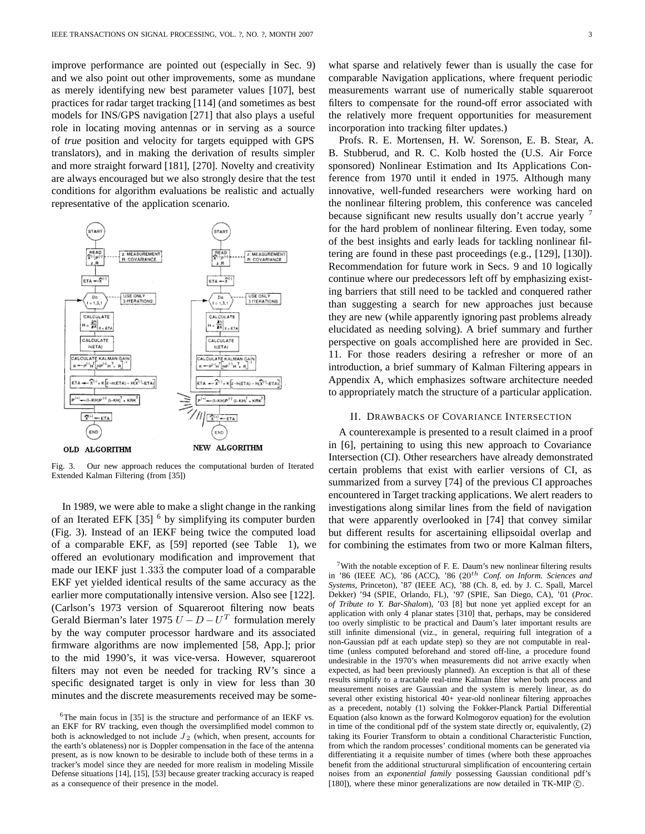improve performance are pointed out (especially in Sec. 9) and we also point out other improvements, some as mundane as merely identifying new best parameter values [107], best practices for radar target tracking [114] (and sometimes as best models for INS/GPS navigation [271] that also plays a useful role in locating moving antennas or in serving as a source of *true* position and velocity for targets equipped with GPS translators), and in making the derivation of results simpler and more straight forward [181], [270]. Novelty and creativity are always encouraged but we also strongly desire that the test conditions for algorithm evaluations be realistic and actually representative of the application scenario.



Fig. 3. Our new approach reduces the computational burden of Iterated Extended Kalman Filtering (from [35])

In 1989, we were able to make a slight change in the ranking of an Iterated EFK  $[35]$ <sup>6</sup> by simplifying its computer burden (Fig. 3). Instead of an IEKF being twice the computed load of a comparable EKF, as [59] reported (see Table 1), we offered an evolutionary modification and improvement that made our IEKF just  $1.33\overline{3}$  the computer load of a comparable EKF yet yielded identical results of the same accuracy as the earlier more computationally intensive version. Also see [122]. (Carlson's 1973 version of Squareroot filtering now beats Gerald Bierman's later 1975  $U - D - U<sup>T</sup>$  formulation merely by the way computer processor hardware and its associated firmware algorithms are now implemented [58, App.]; prior to the mid 1990's, it was vice-versa. However, squareroot filters may not even be needed for tracking RV's since a specific designated target is only in view for less than 30 minutes and the discrete measurements received may be somewhat sparse and relatively fewer than is usually the case for comparable Navigation applications, where frequent periodic measurements warrant use of numerically stable squareroot filters to compensate for the round-off error associated with the relatively more frequent opportunities for measurement incorporation into tracking filter updates.)

Profs. R. E. Mortensen, H. W. Sorenson, E. B. Stear, A. B. Stubberud, and R. C. Kolb hosted the (U.S. Air Force sponsored) Nonlinear Estimation and Its Applications Conference from 1970 until it ended in 1975. Although many innovative, well-funded researchers were working hard on the nonlinear filtering problem, this conference was canceled because significant new results usually don't accrue yearly  $\frac{7}{2}$ for the hard problem of nonlinear filtering. Even today, some of the best insights and early leads for tackling nonlinear filtering are found in these past proceedings (e.g., [129], [130]). Recommendation for future work in Secs. 9 and 10 logically continue where our predecessors left off by emphasizing existing barriers that still need to be tackled and conquered rather than suggesting a search for new approaches just because they are new (while apparently ignoring past problems already elucidated as needing solving). A brief summary and further perspective on goals accomplished here are provided in Sec. 11. For those readers desiring a refresher or more of an introduction, a brief summary of Kalman Filtering appears in Appendix A, which emphasizes software architecture needed to appropriately match the structure of a particular application.

## II. DRAWBACKS OF COVARIANCE INTERSECTION

A counterexample is presented to a result claimed in a proof in [6], pertaining to using this new approach to Covariance Intersection (CI). Other researchers have already demonstrated certain problems that exist with earlier versions of CI, as summarized from a survey [74] of the previous CI approaches encountered in Target tracking applications. We alert readers to investigations along similar lines from the field of navigation that were apparently overlooked in [74] that convey similar but different results for ascertaining ellipsoidal overlap and for combining the estimates from two or more Kalman filters,

 $7$ With the notable exception of F. E. Daum's new nonlinear filtering results in '86 (IEEE AC), '86 (ACC), '86 (20<sup>th</sup> Conf. on Inform. Sciences and *Systems*, Princeton), '87 (IEEE AC), '88 (Ch. 8, ed. by J. C. Spall, Marcel Dekker) '94 (SPIE, Orlando, FL), '97 (SPIE, San Diego, CA), '01 (*Proc. of Tribute to Y. Bar-Shalom*), '03 [8] but none yet applied except for an application with only 4 planar states [310] that, perhaps, may be considered too overly simplistic to be practical and Daum's later important results are still infinite dimensional (viz., in general, requiring full integration of a non-Gaussian pdf at each update step) so they are not computable in realtime (unless computed beforehand and stored off-line, a procedure found undesirable in the 1970's when measurements did not arrive exactly when expected, as had been previously planned). An exception is that all of these results simplify to a tractable real-time Kalman filter when both process and measurement noises are Gaussian and the system is merely linear, as do several other existing historical 40+ year-old nonlinear filtering approaches as a precedent, notably (1) solving the Fokker-Planck Partial Differential Equation (also known as the forward Kolmogorov equation) for the evolution in time of the conditional pdf of the system state directly or, equivalently, (2) taking its Fourier Transform to obtain a conditional Characteristic Function, from which the random processes' conditional moments can be generated via differentiating it a requisite number of times (where both these approaches benefit from the additional structurural simplification of encountering certain noises from an *exponential family* possessing Gaussian conditional pdf's [180]), where these minor generalizations are now detailed in  $TK-MIP$   $\odot$ .

 $6$ The main focus in [35] is the structure and performance of an IEKF vs. an EKF for RV tracking, even though the oversimplified model common to both is acknowledged to not include  $J_2$  (which, when present, accounts for the earth's oblateness) nor is Doppler compensation in the face of the antenna present, as is now known to be desirable to include both of these terms in a tracker's model since they are needed for more realism in modeling Missile Defense situations [14], [15], [53] because greater tracking accuracy is reaped as a consequence of their presence in the model.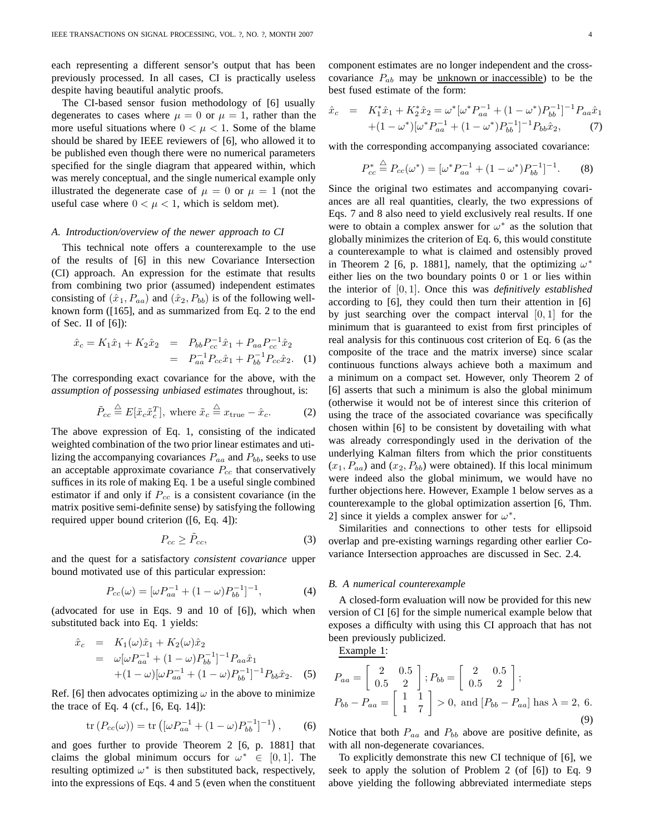each representing a different sensor's output that has been previously processed. In all cases, CI is practically useless despite having beautiful analytic proofs.

The CI-based sensor fusion methodology of [6] usually degenerates to cases where  $\mu = 0$  or  $\mu = 1$ , rather than the more useful situations where  $0 < \mu < 1$ . Some of the blame should be shared by IEEE reviewers of [6], who allowed it to be published even though there were no numerical parameters specified for the single diagram that appeared within, which was merely conceptual, and the single numerical example only illustrated the degenerate case of  $\mu = 0$  or  $\mu = 1$  (not the useful case where  $0 < \mu < 1$ , which is seldom met).

#### *A. Introduction/overview of the newer approach to CI*

This technical note offers a counterexample to the use of the results of [6] in this new Covariance Intersection (CI) approach. An expression for the estimate that results from combining two prior (assumed) independent estimates consisting of  $(\hat{x}_1, P_{aa})$  and  $(\hat{x}_2, P_{bb})$  is of the following wellknown form ([165], and as summarized from Eq. 2 to the end of Sec. II of [6]):

$$
\hat{x}_c = K_1 \hat{x}_1 + K_2 \hat{x}_2 = P_{bb} P_{cc}^{-1} \hat{x}_1 + P_{aa} P_{cc}^{-1} \hat{x}_2
$$

$$
= P_{aa}^{-1} P_{cc} \hat{x}_1 + P_{bb}^{-1} P_{cc} \hat{x}_2. \quad (1)
$$

The corresponding exact covariance for the above, with the *assumption of possessing unbiased estimates* throughout, is:

$$
\tilde{P}_{cc} \stackrel{\triangle}{=} E[\tilde{x}_c \tilde{x}_c^T], \text{ where } \tilde{x}_c \stackrel{\triangle}{=} x_{\text{true}} - \hat{x}_c. \tag{2}
$$

The above expression of Eq. 1, consisting of the indicated weighted combination of the two prior linear estimates and utilizing the accompanying covariances  $P_{aa}$  and  $P_{bb}$ , seeks to use an acceptable approximate covariance  $P_{cc}$  that conservatively suffices in its role of making Eq. 1 be a useful single combined estimator if and only if  $P_{cc}$  is a consistent covariance (in the matrix positive semi-definite sense) by satisfying the following required upper bound criterion ([6, Eq. 4]):

$$
P_{cc} \ge \tilde{P}_{cc},\tag{3}
$$

and the quest for a satisfactory *consistent covariance* upper bound motivated use of this particular expression:

$$
P_{cc}(\omega) = [\omega P_{aa}^{-1} + (1 - \omega)P_{bb}^{-1}]^{-1},\tag{4}
$$

(advocated for use in Eqs. 9 and 10 of [6]), which when substituted back into Eq. 1 yields:

$$
\begin{array}{rcl}\n\hat{x}_c & = & K_1(\omega)\hat{x}_1 + K_2(\omega)\hat{x}_2 \\
& = & \omega[\omega P_{aa}^{-1} + (1 - \omega)P_{bb}^{-1}]^{-1}P_{aa}\hat{x}_1 \\
& & + (1 - \omega)[\omega P_{aa}^{-1} + (1 - \omega)P_{bb}^{-1}]^{-1}P_{bb}\hat{x}_2.\n\end{array} \tag{5}
$$

Ref. [6] then advocates optimizing  $\omega$  in the above to minimize the trace of Eq. 4 (cf., [6, Eq. 14]):

$$
\text{tr}\left(P_{cc}(\omega)\right) = \text{tr}\left([\omega P_{aa}^{-1} + (1-\omega)P_{bb}^{-1}]^{-1}\right),\tag{6}
$$

and goes further to provide Theorem 2 [6, p. 1881] that claims the global minimum occurs for  $\omega^* \in [0,1]$ . The resulting optimized  $\omega^*$  is then substituted back, respectively, into the expressions of Eqs. 4 and 5 (even when the constituent

component estimates are no longer independent and the crosscovariance  $P_{ab}$  may be <u>unknown or inaccessible</u>) to be the best fused estimate of the form:

$$
\hat{x}_c = K_1^* \hat{x}_1 + K_2^* \hat{x}_2 = \omega^* [\omega^* P_{aa}^{-1} + (1 - \omega^*) P_{bb}^{-1}]^{-1} P_{aa} \hat{x}_1 \n+ (1 - \omega^*) [\omega^* P_{aa}^{-1} + (1 - \omega^*) P_{bb}^{-1}]^{-1} P_{bb} \hat{x}_2,
$$
\n(7)

with the corresponding accompanying associated covariance:

$$
P_{cc}^* \stackrel{\triangle}{=} P_{cc}(\omega^*) = [\omega^* P_{aa}^{-1} + (1 - \omega^*) P_{bb}^{-1}]^{-1}.
$$
 (8)

Since the original two estimates and accompanying covariances are all real quantities, clearly, the two expressions of Eqs. 7 and 8 also need to yield exclusively real results. If one were to obtain a complex answer for  $\omega^*$  as the solution that globally minimizes the criterion of Eq. 6, this would constitute a counterexample to what is claimed and ostensibly proved in Theorem 2 [6, p. 1881], namely, that the optimizing  $\omega^*$ either lies on the two boundary points 0 or 1 or lies within the interior of [0, 1]. Once this was *definitively established* according to [6], they could then turn their attention in [6] by just searching over the compact interval  $[0, 1]$  for the minimum that is guaranteed to exist from first principles of real analysis for this continuous cost criterion of Eq. 6 (as the composite of the trace and the matrix inverse) since scalar continuous functions always achieve both a maximum and a minimum on a compact set. However, only Theorem 2 of [6] asserts that such a minimum is also the global minimum (otherwise it would not be of interest since this criterion of using the trace of the associated covariance was specifically chosen within [6] to be consistent by dovetailing with what was already correspondingly used in the derivation of the underlying Kalman filters from which the prior constituents  $(x_1, P_{aa})$  and  $(x_2, P_{bb})$  were obtained). If this local minimum were indeed also the global minimum, we would have no further objections here. However, Example 1 below serves as a counterexample to the global optimization assertion [6, Thm. 2] since it yields a complex answer for  $\omega^*$ .

Similarities and connections to other tests for ellipsoid overlap and pre-existing warnings regarding other earlier Covariance Intersection approaches are discussed in Sec. 2.4.

## *B. A numerical counterexample*

A closed-form evaluation will now be provided for this new version of CI [6] for the simple numerical example below that exposes a difficulty with using this CI approach that has not been previously publicized.

Example 1:

$$
P_{aa} = \begin{bmatrix} 2 & 0.5 \\ 0.5 & 2 \end{bmatrix}; P_{bb} = \begin{bmatrix} 2 & 0.5 \\ 0.5 & 2 \end{bmatrix};
$$
  
\n
$$
P_{bb} - P_{aa} = \begin{bmatrix} 1 & 1 \\ 1 & 7 \end{bmatrix} > 0, \text{ and } [P_{bb} - P_{aa}] \text{ has } \lambda = 2, 6.
$$
  
\n(9)

Notice that both  $P_{aa}$  and  $P_{bb}$  above are positive definite, as with all non-degenerate covariances.

To explicitly demonstrate this new CI technique of [6], we seek to apply the solution of Problem 2 (of [6]) to Eq. 9 above yielding the following abbreviated intermediate steps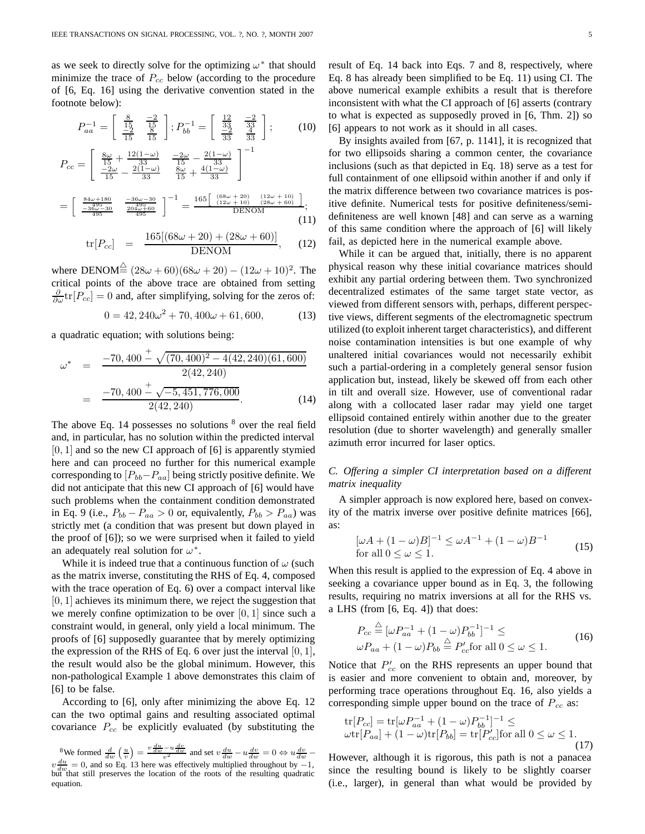as we seek to directly solve for the optimizing  $\omega^*$  that should minimize the trace of  $P_{cc}$  below (according to the procedure of [6, Eq. 16] using the derivative convention stated in the footnote below):

$$
P_{aa}^{-1} = \begin{bmatrix} \frac{8}{15} & \frac{-2}{15} \\ \frac{-2}{15} & \frac{8}{15} \end{bmatrix}; P_{bb}^{-1} = \begin{bmatrix} \frac{12}{33} & \frac{-2}{33} \\ \frac{-2}{33} & \frac{4}{33} \end{bmatrix};
$$
 (10)

$$
P_{cc} = \begin{bmatrix} \frac{8\omega}{15} + \frac{12(1-\omega)}{33} & \frac{-2\omega}{15} - \frac{2(1-\omega)}{33} \\ \frac{-2\omega}{15} - \frac{2(1-\omega)}{33} & \frac{8\omega}{15} + \frac{4(1-\omega)}{33} \end{bmatrix}^{-1}
$$

$$
= \begin{bmatrix} \frac{84\omega + 180}{495} & \frac{-36\omega - 30}{495} \end{bmatrix}^{-1} = \frac{165 \begin{bmatrix} (68\omega + 20) & (12\omega + 10) \\ \frac{(12\omega + 10)}{120} & \frac{(28\omega + 60)}{1200} \end{bmatrix}}{165 \begin{bmatrix} (68\omega + 10) & (28\omega + 60) \\ \frac{165}{495} & \frac{(12\omega + 10)}{1200} \end{bmatrix}}; (11)
$$

$$
\text{tr}[P_{cc}] = \frac{165[(68\omega + 20) + (28\omega + 60)]}{\text{DENOM}}, \quad (12)
$$

where  $\text{DENOM}^{\triangle} (28\omega + 60)(68\omega + 20) - (12\omega + 10)^2$ . The critical points of the above trace are obtained from setting  $\frac{\partial}{\partial \omega}$ tr $[P_{cc}] = 0$  and, after simplifying, solving for the zeros of:

 $0 = 42,240\omega^2 + 70,400\omega + 61,600,$  (13)

a quadratic equation; with solutions being:

$$
\omega^* = \frac{-70,400 \frac{+}{2} \sqrt{(70,400)^2 - 4(42,240)(61,600)}}{2(42,240)}
$$

$$
= \frac{-70,400 \frac{+}{2} \sqrt{-5,451,776,000}}{2(42,240)}.
$$
(14)

The above Eq. 14 possesses no solutions  $8$  over the real field and, in particular, has no solution within the predicted interval  $[0, 1]$  and so the new CI approach of  $[6]$  is apparently stymied here and can proceed no further for this numerical example corresponding to  $[P_{bb}-P_{aa}]$  being strictly positive definite. We did not anticipate that this new CI approach of [6] would have such problems when the containment condition demonstrated in Eq. 9 (i.e.,  $P_{bb} - P_{aa} > 0$  or, equivalently,  $P_{bb} > P_{aa}$ ) was strictly met (a condition that was present but down played in the proof of [6]); so we were surprised when it failed to yield an adequately real solution for  $\omega^*$ .

While it is indeed true that a continuous function of  $\omega$  (such as the matrix inverse, constituting the RHS of Eq. 4, composed with the trace operation of Eq. 6) over a compact interval like [0, 1] achieves its minimum there, we reject the suggestion that we merely confine optimization to be over  $[0, 1]$  since such a constraint would, in general, only yield a local minimum. The proofs of [6] supposedly guarantee that by merely optimizing the expression of the RHS of Eq. 6 over just the interval  $[0, 1]$ , the result would also be the global minimum. However, this non-pathological Example 1 above demonstrates this claim of [6] to be false.

According to [6], only after minimizing the above Eq. 12 can the two optimal gains and resulting associated optimal covariance  $P_{cc}$  be explicitly evaluated (by substituting the

<sup>8</sup>We formed  $\frac{d}{dw} \left( \frac{u}{v} \right) = \frac{v \frac{du}{dw} - u \frac{dv}{dw}}{v^2}$  and set  $v \frac{du}{dw} - u \frac{dv}{dw} = 0 \Leftrightarrow u \frac{dv}{dw} - v \frac{du}{dw} = 0$ , and so Eq. 13 here was effectively multiplied throughout by -1, but that still preserves the location equation.

result of Eq. 14 back into Eqs. 7 and 8, respectively, where Eq. 8 has already been simplified to be Eq. 11) using CI. The above numerical example exhibits a result that is therefore inconsistent with what the CI approach of [6] asserts (contrary to what is expected as supposedly proved in [6, Thm. 2]) so [6] appears to not work as it should in all cases.

By insights availed from [67, p. 1141], it is recognized that for two ellipsoids sharing a common center, the covariance inclusions (such as that depicted in Eq. 18) serve as a test for full containment of one ellipsoid within another if and only if the matrix difference between two covariance matrices is positive definite. Numerical tests for positive definiteness/semidefiniteness are well known [48] and can serve as a warning of this same condition where the approach of [6] will likely fail, as depicted here in the numerical example above.

While it can be argued that, initially, there is no apparent physical reason why these initial covariance matrices should exhibit any partial ordering between them. Two synchronized decentralized estimates of the same target state vector, as viewed from different sensors with, perhaps, different perspective views, different segments of the electromagnetic spectrum utilized (to exploit inherent target characteristics), and different noise contamination intensities is but one example of why unaltered initial covariances would not necessarily exhibit such a partial-ordering in a completely general sensor fusion application but, instead, likely be skewed off from each other in tilt and overall size. However, use of conventional radar along with a collocated laser radar may yield one target ellipsoid contained entirely within another due to the greater resolution (due to shorter wavelength) and generally smaller azimuth error incurred for laser optics.

# *C. Offering a simpler CI interpretation based on a different matrix inequality*

A simpler approach is now explored here, based on convexity of the matrix inverse over positive definite matrices [66], as:

$$
[\omega A + (1 - \omega)B]^{-1} \le \omega A^{-1} + (1 - \omega)B^{-1}
$$
  
for all  $0 \le \omega \le 1$ . (15)

When this result is applied to the expression of Eq. 4 above in seeking a covariance upper bound as in Eq. 3, the following results, requiring no matrix inversions at all for the RHS vs. a LHS (from [6, Eq. 4]) that does:

$$
P_{cc} \stackrel{\triangle}{=} [\omega P_{aa}^{-1} + (1 - \omega) P_{bb}^{-1}]^{-1} \le
$$
  
 
$$
\omega P_{aa} + (1 - \omega) P_{bb} \stackrel{\triangle}{=} P_{cc}' \text{for all } 0 \le \omega \le 1.
$$
 (16)

Notice that  $P_{cc}$  on the RHS represents an upper bound that is easier and more convenient to obtain and, moreover, by performing trace operations throughout Eq. 16, also yields a corresponding simple upper bound on the trace of  $P_{cc}$  as:

$$
\text{tr}[P_{cc}] = \text{tr}[\omega P_{aa}^{-1} + (1 - \omega)P_{bb}^{-1}]^{-1} \le
$$
  
 
$$
\omega \text{tr}[P_{aa}] + (1 - \omega) \text{tr}[P_{bb}] = \text{tr}[P'_{cc}] \text{ for all } 0 \le \omega \le 1.
$$
 (17)

However, although it is rigorous, this path is not a panacea since the resulting bound is likely to be slightly coarser (i.e., larger), in general than what would be provided by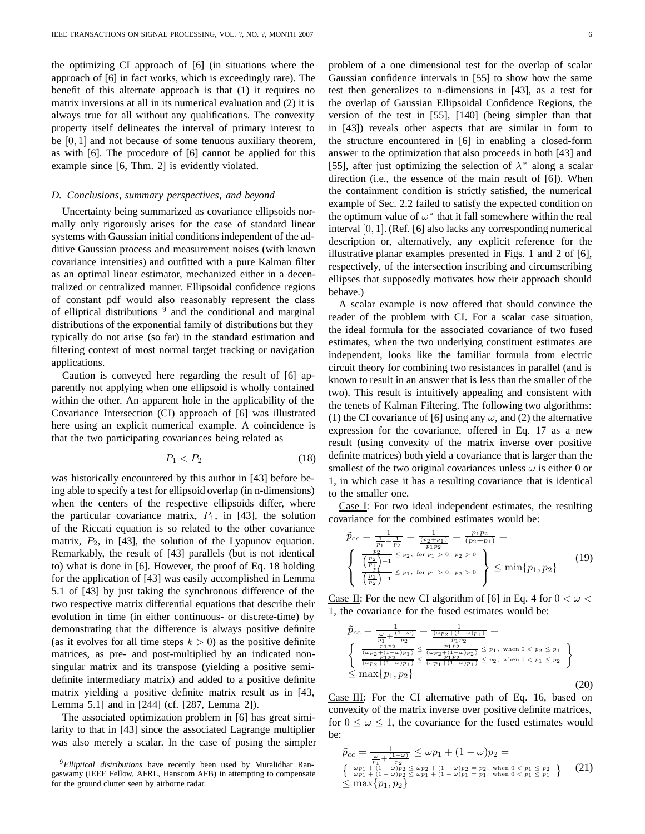the optimizing CI approach of [6] (in situations where the approach of [6] in fact works, which is exceedingly rare). The benefit of this alternate approach is that (1) it requires no matrix inversions at all in its numerical evaluation and (2) it is always true for all without any qualifications. The convexity property itself delineates the interval of primary interest to be [0, 1] and not because of some tenuous auxiliary theorem, as with [6]. The procedure of [6] cannot be applied for this example since [6, Thm. 2] is evidently violated.

## *D. Conclusions, summary perspectives, and beyond*

Uncertainty being summarized as covariance ellipsoids normally only rigorously arises for the case of standard linear systems with Gaussian initial conditions independent of the additive Gaussian process and measurement noises (with known covariance intensities) and outfitted with a pure Kalman filter as an optimal linear estimator, mechanized either in a decentralized or centralized manner. Ellipsoidal confidence regions of constant pdf would also reasonably represent the class of elliptical distributions<sup>9</sup> and the conditional and marginal distributions of the exponential family of distributions but they typically do not arise (so far) in the standard estimation and filtering context of most normal target tracking or navigation applications.

Caution is conveyed here regarding the result of [6] apparently not applying when one ellipsoid is wholly contained within the other. An apparent hole in the applicability of the Covariance Intersection (CI) approach of [6] was illustrated here using an explicit numerical example. A coincidence is that the two participating covariances being related as

$$
P_1 < P_2 \tag{18}
$$

was historically encountered by this author in [43] before being able to specify a test for ellipsoid overlap (in n-dimensions) when the centers of the respective ellipsoids differ, where the particular covariance matrix,  $P_1$ , in [43], the solution of the Riccati equation is so related to the other covariance matrix,  $P_2$ , in [43], the solution of the Lyapunov equation. Remarkably, the result of [43] parallels (but is not identical to) what is done in [6]. However, the proof of Eq. 18 holding for the application of [43] was easily accomplished in Lemma 5.1 of [43] by just taking the synchronous difference of the two respective matrix differential equations that describe their evolution in time (in either continuous- or discrete-time) by demonstrating that the difference is always positive definite (as it evolves for all time steps  $k > 0$ ) as the positive definite matrices, as pre- and post-multiplied by an indicated nonsingular matrix and its transpose (yielding a positive semidefinite intermediary matrix) and added to a positive definite matrix yielding a positive definite matrix result as in [43, Lemma 5.1] and in [244] (cf. [287, Lemma 2]).

The associated optimization problem in [6] has great similarity to that in [43] since the associated Lagrange multiplier was also merely a scalar. In the case of posing the simpler problem of a one dimensional test for the overlap of scalar Gaussian confidence intervals in [55] to show how the same test then generalizes to n-dimensions in [43], as a test for the overlap of Gaussian Ellipsoidal Confidence Regions, the version of the test in [55], [140] (being simpler than that in [43]) reveals other aspects that are similar in form to the structure encountered in [6] in enabling a closed-form answer to the optimization that also proceeds in both [43] and [55], after just optimizing the selection of  $\lambda^*$  along a scalar direction (i.e., the essence of the main result of [6]). When the containment condition is strictly satisfied, the numerical example of Sec. 2.2 failed to satisfy the expected condition on the optimum value of  $\omega^*$  that it fall somewhere within the real interval [0, 1]. (Ref. [6] also lacks any corresponding numerical description or, alternatively, any explicit reference for the illustrative planar examples presented in Figs. 1 and 2 of [6], respectively, of the intersection inscribing and circumscribing ellipses that supposedly motivates how their approach should behave.)

A scalar example is now offered that should convince the reader of the problem with CI. For a scalar case situation, the ideal formula for the associated covariance of two fused estimates, when the two underlying constituent estimates are independent, looks like the familiar formula from electric circuit theory for combining two resistances in parallel (and is known to result in an answer that is less than the smaller of the two). This result is intuitively appealing and consistent with the tenets of Kalman Filtering. The following two algorithms: (1) the CI covariance of [6] using any  $\omega$ , and (2) the alternative expression for the covariance, offered in Eq. 17 as a new result (using convexity of the matrix inverse over positive definite matrices) both yield a covariance that is larger than the smallest of the two original covariances unless  $\omega$  is either 0 or 1, in which case it has a resulting covariance that is identical to the smaller one.

Case I: For two ideal independent estimates, the resulting covariance for the combined estimates would be:

$$
\tilde{p}_{cc} = \frac{1}{\frac{1}{p_1} + \frac{1}{p_2}} = \frac{1}{\frac{(p_2 + p_1)}{p_1 p_2}} = \frac{p_1 p_2}{(p_2 + p_1)} = \left\{ \frac{\frac{p_2}{\left(\frac{p_2}{p_1}\right) + 1} \le p_2, \text{ for } p_1 > 0, \ p_2 > 0} {\frac{p_1}{\left(\frac{p_1}{p_2}\right) + 1} \le p_1, \text{ for } p_1 > 0, \ p_2 > 0} \right\} \le \min\{p_1, p_2\} \tag{19}
$$

Case II: For the new CI algorithm of [6] in Eq. 4 for  $0 < \omega <$ 1, the covariance for the fused estimates would be:

$$
\tilde{p}_{cc} = \frac{1}{\frac{\omega}{p_1} + \frac{(1-\omega)}{p_2}} = \frac{1}{\frac{(\omega p_2 + (1-\omega)p_1)}{p_1 p_2}} =
$$
\n
$$
\begin{cases}\n\frac{p_1 p_2}{(\omega p_2 + (1-\omega)p_1)} \le \frac{p_1 p_2}{(\omega p_2 + (1-\omega)p_2)} \le p_1, \text{ when } 0 < p_2 \le p_1 \\
\frac{p_1 p_2}{(\omega p_2 + (1-\omega)p_1)} \le \frac{p_1 p_2}{(\omega p_1 + (1-\omega)p_1)} \le p_2, \text{ when } 0 < p_1 \le p_2\n\end{cases}
$$
\n
$$
\le \max\{p_1, p_2\}
$$
\n(20)

Case III: For the CI alternative path of Eq. 16, based on convexity of the matrix inverse over positive definite matrices, for  $0 \leq \omega \leq 1$ , the covariance for the fused estimates would be:

$$
\tilde{p}_{cc} = \frac{1}{\frac{\omega}{p_1} + \frac{(1-\omega)}{p_2}} \leq \omega p_1 + (1-\omega)p_2 =
$$
\n
$$
\left\{ \begin{array}{l} \omega p_1 + (1-\omega)p_2 \leq \omega p_2 + (1-\omega)p_2 = p_2, \text{ when } 0 < p_1 \leq p_2\\ \omega p_1 + (1-\omega)p_2 \leq \omega p_1 + (1-\omega)p_1 = p_1, \text{ when } 0 < p_1 \leq p_1 \end{array} \right\}
$$
\n
$$
\leq \max\{p_1, p_2\}
$$
\n(21)

<sup>9</sup>*Elliptical distributions* have recently been used by Muralidhar Rangaswamy (IEEE Fellow, AFRL, Hanscom AFB) in attempting to compensate for the ground clutter seen by airborne radar.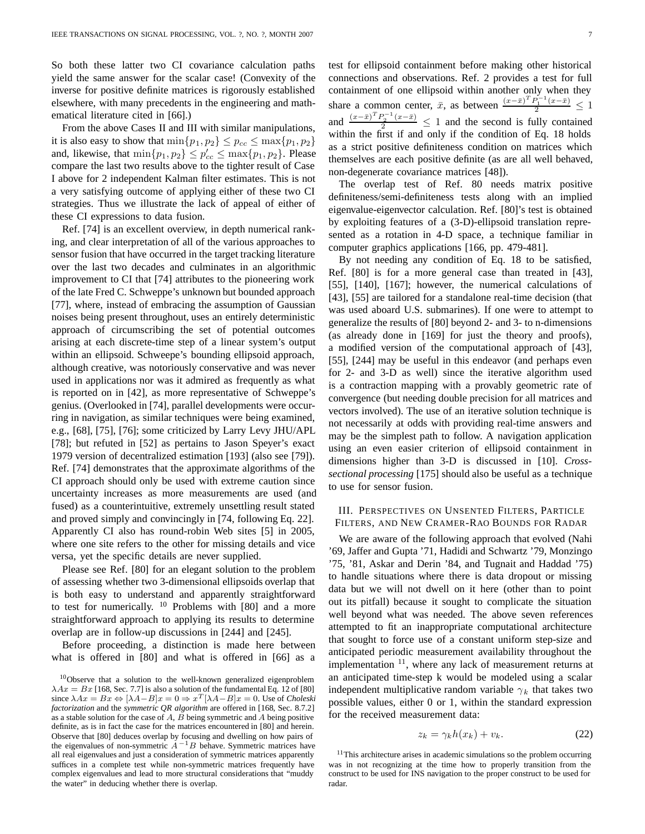So both these latter two CI covariance calculation paths yield the same answer for the scalar case! (Convexity of the inverse for positive definite matrices is rigorously established elsewhere, with many precedents in the engineering and mathematical literature cited in [66].)

From the above Cases II and III with similar manipulations, it is also easy to show that  $\min\{p_1, p_2\} \leq p_{cc} \leq \max\{p_1, p_2\}$ and, likewise, that  $\min\{p_1, p_2\} \leq p'_{cc} \leq \max\{p_1, p_2\}$ . Please compare the last two results above to the tighter result of Case I above for 2 independent Kalman filter estimates. This is not a very satisfying outcome of applying either of these two CI strategies. Thus we illustrate the lack of appeal of either of these CI expressions to data fusion.

Ref. [74] is an excellent overview, in depth numerical ranking, and clear interpretation of all of the various approaches to sensor fusion that have occurred in the target tracking literature over the last two decades and culminates in an algorithmic improvement to CI that [74] attributes to the pioneering work of the late Fred C. Schweppe's unknown but bounded approach [77], where, instead of embracing the assumption of Gaussian noises being present throughout, uses an entirely deterministic approach of circumscribing the set of potential outcomes arising at each discrete-time step of a linear system's output within an ellipsoid. Schweepe's bounding ellipsoid approach, although creative, was notoriously conservative and was never used in applications nor was it admired as frequently as what is reported on in [42], as more representative of Schweppe's genius. (Overlooked in [74], parallel developments were occurring in navigation, as similar techniques were being examined, e.g., [68], [75], [76]; some criticized by Larry Levy JHU/APL [78]; but refuted in [52] as pertains to Jason Speyer's exact 1979 version of decentralized estimation [193] (also see [79]). Ref. [74] demonstrates that the approximate algorithms of the CI approach should only be used with extreme caution since uncertainty increases as more measurements are used (and fused) as a counterintuitive, extremely unsettling result stated and proved simply and convincingly in [74, following Eq. 22]. Apparently CI also has round-robin Web sites [5] in 2005, where one site refers to the other for missing details and vice versa, yet the specific details are never supplied.

Please see Ref. [80] for an elegant solution to the problem of assessing whether two 3-dimensional ellipsoids overlap that is both easy to understand and apparently straightforward to test for numerically.  $10$  Problems with [80] and a more straightforward approach to applying its results to determine overlap are in follow-up discussions in [244] and [245].

Before proceeding, a distinction is made here between what is offered in [80] and what is offered in [66] as a

test for ellipsoid containment before making other historical connections and observations. Ref. 2 provides a test for full containment of one ellipsoid within another only when they share a common center,  $\bar{x}$ , as between  $\frac{(x-\bar{x})^T P_1^{-1}(x-\bar{x})}{2} \leq 1$ and  $\frac{(x-\bar{x})^T P_2^{-1}(x-\bar{x})}{2} \leq 1$  and the second is fully contained within the first if and only if the condition of Eq. 18 holds as a strict positive definiteness condition on matrices which themselves are each positive definite (as are all well behaved, non-degenerate covariance matrices [48]).

The overlap test of Ref. 80 needs matrix positive definiteness/semi-definiteness tests along with an implied eigenvalue-eigenvector calculation. Ref. [80]'s test is obtained by exploiting features of a (3-D)-ellipsoid translation represented as a rotation in 4-D space, a technique familiar in computer graphics applications [166, pp. 479-481].

By not needing any condition of Eq. 18 to be satisfied, Ref. [80] is for a more general case than treated in [43], [55], [140], [167]; however, the numerical calculations of [43], [55] are tailored for a standalone real-time decision (that was used aboard U.S. submarines). If one were to attempt to generalize the results of [80] beyond 2- and 3- to n-dimensions (as already done in [169] for just the theory and proofs), a modified version of the computational approach of [43], [55], [244] may be useful in this endeavor (and perhaps even for 2- and 3-D as well) since the iterative algorithm used is a contraction mapping with a provably geometric rate of convergence (but needing double precision for all matrices and vectors involved). The use of an iterative solution technique is not necessarily at odds with providing real-time answers and may be the simplest path to follow. A navigation application using an even easier criterion of ellipsoid containment in dimensions higher than 3-D is discussed in [10]. *Crosssectional processing* [175] should also be useful as a technique to use for sensor fusion.

## III. PERSPECTIVES ON UNSENTED FILTERS, PARTICLE FILTERS, AND NEW CRAMER-RAO BOUNDS FOR RADAR

We are aware of the following approach that evolved (Nahi '69, Jaffer and Gupta '71, Hadidi and Schwartz '79, Monzingo '75, '81, Askar and Derin '84, and Tugnait and Haddad '75) to handle situations where there is data dropout or missing data but we will not dwell on it here (other than to point out its pitfall) because it sought to complicate the situation well beyond what was needed. The above seven references attempted to fit an inappropriate computational architecture that sought to force use of a constant uniform step-size and anticipated periodic measurement availability throughout the implementation  $11$ , where any lack of measurement returns at an anticipated time-step k would be modeled using a scalar independent multiplicative random variable  $\gamma_k$  that takes two possible values, either 0 or 1, within the standard expression for the received measurement data:

$$
z_k = \gamma_k h(x_k) + v_k. \tag{22}
$$

<sup>11</sup>This architecture arises in academic simulations so the problem occurring was in not recognizing at the time how to properly transition from the construct to be used for INS navigation to the proper construct to be used for radar.

<sup>10</sup>Observe that a solution to the well-known generalized eigenproblem  $\lambda Ax = Bx$  [168, Sec. 7.7] is also a solution of the fundamental Eq. 12 of [80] since  $\lambda Ax = Bx \Leftrightarrow [\lambda A - B]x = 0 \Rightarrow x^T[\lambda A - B]x = 0$ . Use of *Choleski factorization* and the *symmetric QR algorithm* are offered in [168, Sec. 8.7.2] as a stable solution for the case of  $A$ ,  $\overline{B}$  being symmetric and  $A$  being positive definite, as is in fact the case for the matrices encountered in [80] and herein. Observe that [80] deduces overlap by focusing and dwelling on how pairs of the eigenvalues of non-symmetric  $A^{-1}B$  behave. Symmetric matrices have all real eigenvalues and just a consideration of symmetric matrices apparently suffices in a complete test while non-symmetric matrices frequently have complex eigenvalues and lead to more structural considerations that "muddy the water" in deducing whether there is overlap.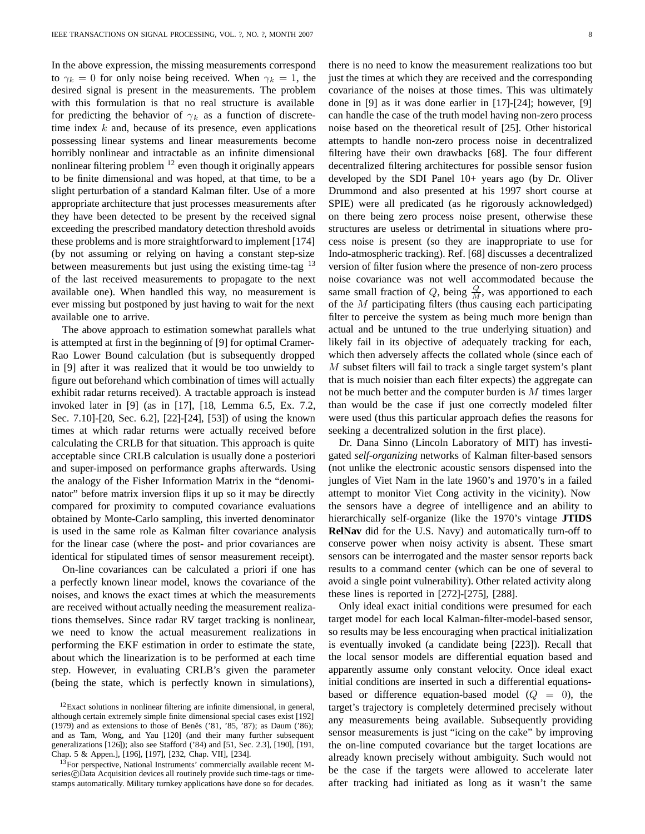In the above expression, the missing measurements correspond to  $\gamma_k = 0$  for only noise being received. When  $\gamma_k = 1$ , the desired signal is present in the measurements. The problem with this formulation is that no real structure is available for predicting the behavior of  $\gamma_k$  as a function of discretetime index  $k$  and, because of its presence, even applications possessing linear systems and linear measurements become horribly nonlinear and intractable as an infinite dimensional nonlinear filtering problem  $12$  even though it originally appears to be finite dimensional and was hoped, at that time, to be a slight perturbation of a standard Kalman filter. Use of a more appropriate architecture that just processes measurements after they have been detected to be present by the received signal exceeding the prescribed mandatory detection threshold avoids these problems and is more straightforward to implement [174] (by not assuming or relying on having a constant step-size between measurements but just using the existing time-tag  $13$ of the last received measurements to propagate to the next available one). When handled this way, no measurement is ever missing but postponed by just having to wait for the next available one to arrive.

The above approach to estimation somewhat parallels what is attempted at first in the beginning of [9] for optimal Cramer-Rao Lower Bound calculation (but is subsequently dropped in [9] after it was realized that it would be too unwieldy to figure out beforehand which combination of times will actually exhibit radar returns received). A tractable approach is instead invoked later in [9] (as in [17], [18, Lemma 6.5, Ex. 7.2, Sec. 7.10]-[20, Sec. 6.2], [22]-[24], [53]) of using the known times at which radar returns were actually received before calculating the CRLB for that situation. This approach is quite acceptable since CRLB calculation is usually done a posteriori and super-imposed on performance graphs afterwards. Using the analogy of the Fisher Information Matrix in the "denominator" before matrix inversion flips it up so it may be directly compared for proximity to computed covariance evaluations obtained by Monte-Carlo sampling, this inverted denominator is used in the same role as Kalman filter covariance analysis for the linear case (where the post- and prior covariances are identical for stipulated times of sensor measurement receipt).

On-line covariances can be calculated a priori if one has a perfectly known linear model, knows the covariance of the noises, and knows the exact times at which the measurements are received without actually needing the measurement realizations themselves. Since radar RV target tracking is nonlinear, we need to know the actual measurement realizations in performing the EKF estimation in order to estimate the state, about which the linearization is to be performed at each time step. However, in evaluating CRLB's given the parameter (being the state, which is perfectly known in simulations),

there is no need to know the measurement realizations too but just the times at which they are received and the corresponding covariance of the noises at those times. This was ultimately done in [9] as it was done earlier in [17]-[24]; however, [9] can handle the case of the truth model having non-zero process noise based on the theoretical result of [25]. Other historical attempts to handle non-zero process noise in decentralized filtering have their own drawbacks [68]. The four different decentralized filtering architectures for possible sensor fusion developed by the SDI Panel 10+ years ago (by Dr. Oliver Drummond and also presented at his 1997 short course at SPIE) were all predicated (as he rigorously acknowledged) on there being zero process noise present, otherwise these structures are useless or detrimental in situations where process noise is present (so they are inappropriate to use for Indo-atmospheric tracking). Ref. [68] discusses a decentralized version of filter fusion where the presence of non-zero process noise covariance was not well accommodated because the same small fraction of Q, being  $\frac{Q}{M}$ , was apportioned to each of the  $M$  participating filters (thus causing each participating filter to perceive the system as being much more benign than actual and be untuned to the true underlying situation) and likely fail in its objective of adequately tracking for each, which then adversely affects the collated whole (since each of M subset filters will fail to track a single target system's plant that is much noisier than each filter expects) the aggregate can not be much better and the computer burden is  $M$  times larger than would be the case if just one correctly modeled filter were used (thus this particular approach defies the reasons for seeking a decentralized solution in the first place).

Dr. Dana Sinno (Lincoln Laboratory of MIT) has investigated *self-organizing* networks of Kalman filter-based sensors (not unlike the electronic acoustic sensors dispensed into the jungles of Viet Nam in the late 1960's and 1970's in a failed attempt to monitor Viet Cong activity in the vicinity). Now the sensors have a degree of intelligence and an ability to hierarchically self-organize (like the 1970's vintage **JTIDS RelNav** did for the U.S. Navy) and automatically turn-off to conserve power when noisy activity is absent. These smart sensors can be interrogated and the master sensor reports back results to a command center (which can be one of several to avoid a single point vulnerability). Other related activity along these lines is reported in [272]-[275], [288].

Only ideal exact initial conditions were presumed for each target model for each local Kalman-filter-model-based sensor, so results may be less encouraging when practical initialization is eventually invoked (a candidate being [223]). Recall that the local sensor models are differential equation based and apparently assume only constant velocity. Once ideal exact initial conditions are inserted in such a differential equationsbased or difference equation-based model  $(Q = 0)$ , the target's trajectory is completely determined precisely without any measurements being available. Subsequently providing sensor measurements is just "icing on the cake" by improving the on-line computed covariance but the target locations are already known precisely without ambiguity. Such would not be the case if the targets were allowed to accelerate later after tracking had initiated as long as it wasn't the same

<sup>&</sup>lt;sup>12</sup>Exact solutions in nonlinear filtering are infinite dimensional, in general, although certain extremely simple finite dimensional special cases exist [192] (1979) and as extensions to those of Beněs ('81, '85, '87); as Daum ('86); and as Tam, Wong, and Yau [120] (and their many further subsequent generalizations [126]); also see Stafford ('84) and [51, Sec. 2.3], [190], [191, Chap. 5 & Appen.], [196], [197], [232, Chap. VII], [234].

<sup>13</sup>For perspective, National Instruments' commercially available recent Mseries©Data Acquisition devices all routinely provide such time-tags or timestamps automatically. Military turnkey applications have done so for decades.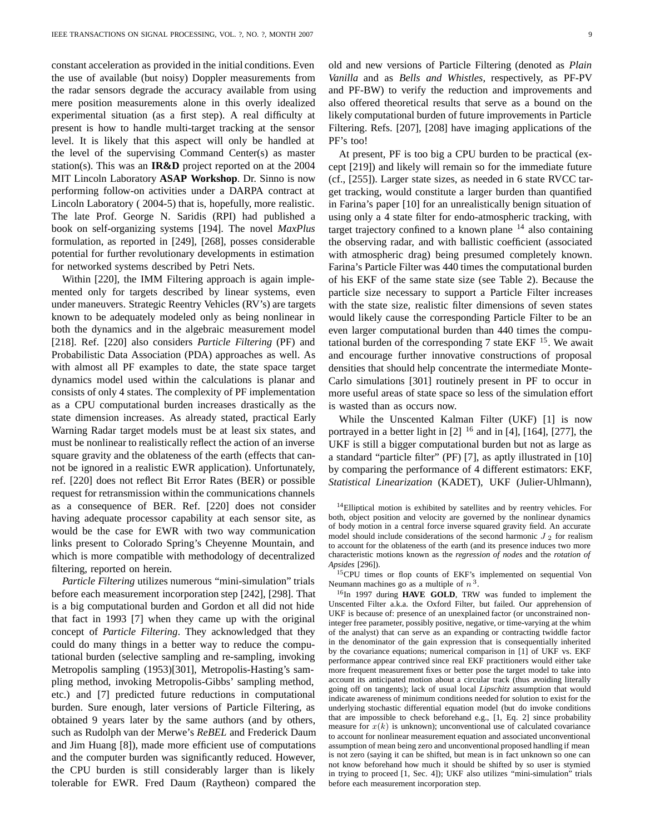constant acceleration as provided in the initial conditions. Even the use of available (but noisy) Doppler measurements from the radar sensors degrade the accuracy available from using mere position measurements alone in this overly idealized experimental situation (as a first step). A real difficulty at present is how to handle multi-target tracking at the sensor level. It is likely that this aspect will only be handled at the level of the supervising Command Center(s) as master station(s). This was an **IR&D** project reported on at the 2004 MIT Lincoln Laboratory **ASAP Workshop**. Dr. Sinno is now performing follow-on activities under a DARPA contract at Lincoln Laboratory ( 2004-5) that is, hopefully, more realistic. The late Prof. George N. Saridis (RPI) had published a book on self-organizing systems [194]. The novel *MaxPlus* formulation, as reported in [249], [268], posses considerable potential for further revolutionary developments in estimation for networked systems described by Petri Nets.

Within [220], the IMM Filtering approach is again implemented only for targets described by linear systems, even under maneuvers. Strategic Reentry Vehicles (RV's) are targets known to be adequately modeled only as being nonlinear in both the dynamics and in the algebraic measurement model [218]. Ref. [220] also considers *Particle Filtering* (PF) and Probabilistic Data Association (PDA) approaches as well. As with almost all PF examples to date, the state space target dynamics model used within the calculations is planar and consists of only 4 states. The complexity of PF implementation as a CPU computational burden increases drastically as the state dimension increases. As already stated, practical Early Warning Radar target models must be at least six states, and must be nonlinear to realistically reflect the action of an inverse square gravity and the oblateness of the earth (effects that cannot be ignored in a realistic EWR application). Unfortunately, ref. [220] does not reflect Bit Error Rates (BER) or possible request for retransmission within the communications channels as a consequence of BER. Ref. [220] does not consider having adequate processor capability at each sensor site, as would be the case for EWR with two way communication links present to Colorado Spring's Cheyenne Mountain, and which is more compatible with methodology of decentralized filtering, reported on herein.

*Particle Filtering* utilizes numerous "mini-simulation" trials before each measurement incorporation step [242], [298]. That is a big computational burden and Gordon et all did not hide that fact in 1993 [7] when they came up with the original concept of *Particle Filtering*. They acknowledged that they could do many things in a better way to reduce the computational burden (selective sampling and re-sampling, invoking Metropolis sampling (1953)[301], Metropolis-Hasting's sampling method, invoking Metropolis-Gibbs' sampling method, etc.) and [7] predicted future reductions in computational burden. Sure enough, later versions of Particle Filtering, as obtained 9 years later by the same authors (and by others, such as Rudolph van der Merwe's *ReBEL* and Frederick Daum and Jim Huang [8]), made more efficient use of computations and the computer burden was significantly reduced. However, the CPU burden is still considerably larger than is likely tolerable for EWR. Fred Daum (Raytheon) compared the

old and new versions of Particle Filtering (denoted as *Plain Vanilla* and as *Bells and Whistles*, respectively, as PF-PV and PF-BW) to verify the reduction and improvements and also offered theoretical results that serve as a bound on the likely computational burden of future improvements in Particle Filtering. Refs. [207], [208] have imaging applications of the PF's too!

At present, PF is too big a CPU burden to be practical (except [219]) and likely will remain so for the immediate future (cf., [255]). Larger state sizes, as needed in 6 state RVCC target tracking, would constitute a larger burden than quantified in Farina's paper [10] for an unrealistically benign situation of using only a 4 state filter for endo-atmospheric tracking, with target trajectory confined to a known plane  $14$  also containing the observing radar, and with ballistic coefficient (associated with atmospheric drag) being presumed completely known. Farina's Particle Filter was 440 times the computational burden of his EKF of the same state size (see Table 2). Because the particle size necessary to support a Particle Filter increases with the state size, realistic filter dimensions of seven states would likely cause the corresponding Particle Filter to be an even larger computational burden than 440 times the computational burden of the corresponding 7 state EKF  $^{15}$ . We await and encourage further innovative constructions of proposal densities that should help concentrate the intermediate Monte-Carlo simulations [301] routinely present in PF to occur in more useful areas of state space so less of the simulation effort is wasted than as occurs now.

While the Unscented Kalman Filter (UKF) [1] is now portrayed in a better light in  $[2]$  <sup>16</sup> and in  $[4]$ ,  $[164]$ ,  $[277]$ , the UKF is still a bigger computational burden but not as large as a standard "particle filter" (PF) [7], as aptly illustrated in [10] by comparing the performance of 4 different estimators: EKF, *Statistical Linearization* (KADET), UKF (Julier-Uhlmann),

<sup>14</sup>Elliptical motion is exhibited by satellites and by reentry vehicles. For both, object position and velocity are governed by the nonlinear dynamics of body motion in a central force inverse squared gravity field. An accurate model should include considerations of the second harmonic  $J_2$  for realism to account for the oblateness of the earth (and its presence induces two more characteristic motions known as the *regression of nodes* and the *rotation of Apsides* [296]).

15CPU times or flop counts of EKF's implemented on sequential Von Neumann machines go as a multiple of  $n<sup>3</sup>$ .

<sup>16</sup>In 1997 during **HAVE GOLD**, TRW was funded to implement the Unscented Filter a.k.a. the Oxford Filter, but failed. Our apprehension of UKF is because of: presence of an unexplained factor (or unconstrained noninteger free parameter, possibly positive, negative, or time-varying at the whim of the analyst) that can serve as an expanding or contracting twiddle factor in the denominator of the gain expression that is consequentially inherited by the covariance equations; numerical comparison in [1] of UKF vs. EKF performance appear contrived since real EKF practitioners would either take more frequent measurement fixes or better pose the target model to take into account its anticipated motion about a circular track (thus avoiding literally going off on tangents); lack of usual local *Lipschitz* assumption that would indicate awareness of minimum conditions needed for solution to exist for the underlying stochastic differential equation model (but do invoke conditions that are impossible to check beforehand e.g., [1, Eq. 2] since probability measure for  $x(k)$  is unknown); unconventional use of calculated covariance to account for nonlinear measurement equation and associated unconventional assumption of mean being zero and unconventional proposed handling if mean is not zero (saying it can be shifted, but mean is in fact unknown so one can not know beforehand how much it should be shifted by so user is stymied in trying to proceed [1, Sec. 4]); UKF also utilizes "mini-simulation" trials before each measurement incorporation step.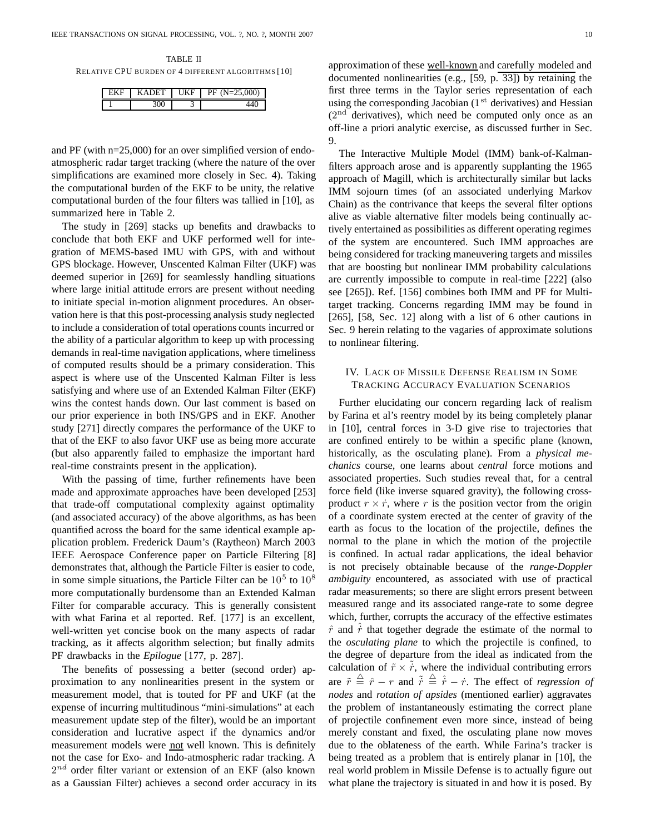TABLE II RELATIVE CPU BURDEN OF 4 DIFFERENT ALGORITHMS [10]

| ◡<br>ີ | ۰ | ٠ |
|--------|---|---|

and PF (with n=25,000) for an over simplified version of endoatmospheric radar target tracking (where the nature of the over simplifications are examined more closely in Sec. 4). Taking the computational burden of the EKF to be unity, the relative computational burden of the four filters was tallied in [10], as summarized here in Table 2.

The study in [269] stacks up benefits and drawbacks to conclude that both EKF and UKF performed well for integration of MEMS-based IMU with GPS, with and without GPS blockage. However, Unscented Kalman Filter (UKF) was deemed superior in [269] for seamlessly handling situations where large initial attitude errors are present without needing to initiate special in-motion alignment procedures. An observation here is that this post-processing analysis study neglected to include a consideration of total operations counts incurred or the ability of a particular algorithm to keep up with processing demands in real-time navigation applications, where timeliness of computed results should be a primary consideration. This aspect is where use of the Unscented Kalman Filter is less satisfying and where use of an Extended Kalman Filter (EKF) wins the contest hands down. Our last comment is based on our prior experience in both INS/GPS and in EKF. Another study [271] directly compares the performance of the UKF to that of the EKF to also favor UKF use as being more accurate (but also apparently failed to emphasize the important hard real-time constraints present in the application).

With the passing of time, further refinements have been made and approximate approaches have been developed [253] that trade-off computational complexity against optimality (and associated accuracy) of the above algorithms, as has been quantified across the board for the same identical example application problem. Frederick Daum's (Raytheon) March 2003 IEEE Aerospace Conference paper on Particle Filtering [8] demonstrates that, although the Particle Filter is easier to code, in some simple situations, the Particle Filter can be  $10^5$  to  $10^8$ more computationally burdensome than an Extended Kalman Filter for comparable accuracy. This is generally consistent with what Farina et al reported. Ref. [177] is an excellent, well-written yet concise book on the many aspects of radar tracking, as it affects algorithm selection; but finally admits PF drawbacks in the *Epilogue* [177, p. 287].

The benefits of possessing a better (second order) approximation to any nonlinearities present in the system or measurement model, that is touted for PF and UKF (at the expense of incurring multitudinous "mini-simulations" at each measurement update step of the filter), would be an important consideration and lucrative aspect if the dynamics and/or measurement models were not well known. This is definitely not the case for Exo- and Indo-atmospheric radar tracking. A  $2^{nd}$  order filter variant or extension of an EKF (also known as a Gaussian Filter) achieves a second order accuracy in its approximation of these well-known and carefully modeled and documented nonlinearities (e.g., [59, p. 33]) by retaining the first three terms in the Taylor series representation of each using the corresponding Jacobian  $(1<sup>st</sup>$  derivatives) and Hessian  $(2<sup>nd</sup>$  derivatives), which need be computed only once as an off-line a priori analytic exercise, as discussed further in Sec. 9.

The Interactive Multiple Model (IMM) bank-of-Kalmanfilters approach arose and is apparently supplanting the 1965 approach of Magill, which is architecturally similar but lacks IMM sojourn times (of an associated underlying Markov Chain) as the contrivance that keeps the several filter options alive as viable alternative filter models being continually actively entertained as possibilities as different operating regimes of the system are encountered. Such IMM approaches are being considered for tracking maneuvering targets and missiles that are boosting but nonlinear IMM probability calculations are currently impossible to compute in real-time [222] (also see [265]). Ref. [156] combines both IMM and PF for Multitarget tracking. Concerns regarding IMM may be found in [265], [58, Sec. 12] along with a list of 6 other cautions in Sec. 9 herein relating to the vagaries of approximate solutions to nonlinear filtering.

# IV. LACK OF MISSILE DEFENSE REALISM IN SOME TRACKING ACCURACY EVALUATION SCENARIOS

Further elucidating our concern regarding lack of realism by Farina et al's reentry model by its being completely planar in [10], central forces in 3-D give rise to trajectories that are confined entirely to be within a specific plane (known, historically, as the osculating plane). From a *physical mechanics* course, one learns about *central* force motions and associated properties. Such studies reveal that, for a central force field (like inverse squared gravity), the following crossproduct  $r \times \dot{r}$ , where r is the position vector from the origin of a coordinate system erected at the center of gravity of the earth as focus to the location of the projectile, defines the normal to the plane in which the motion of the projectile is confined. In actual radar applications, the ideal behavior is not precisely obtainable because of the *range-Doppler ambiguity* encountered, as associated with use of practical radar measurements; so there are slight errors present between measured range and its associated range-rate to some degree which, further, corrupts the accuracy of the effective estimates  $\hat{r}$  and  $\dot{r}$  that together degrade the estimate of the normal to the *osculating plane* to which the projectile is confined, to the degree of departure from the ideal as indicated from the calculation of  $\tilde{r} \times \tilde{r}$ , where the individual contributing errors are  $\tilde{r} \stackrel{\triangle}{=} \hat{r} - r$  and  $\tilde{r} \stackrel{\triangle}{=} \hat{r} - \dot{r}$ . The effect of *regression of nodes* and *rotation of apsides* (mentioned earlier) aggravates the problem of instantaneously estimating the correct plane of projectile confinement even more since, instead of being merely constant and fixed, the osculating plane now moves due to the oblateness of the earth. While Farina's tracker is being treated as a problem that is entirely planar in [10], the real world problem in Missile Defense is to actually figure out what plane the trajectory is situated in and how it is posed. By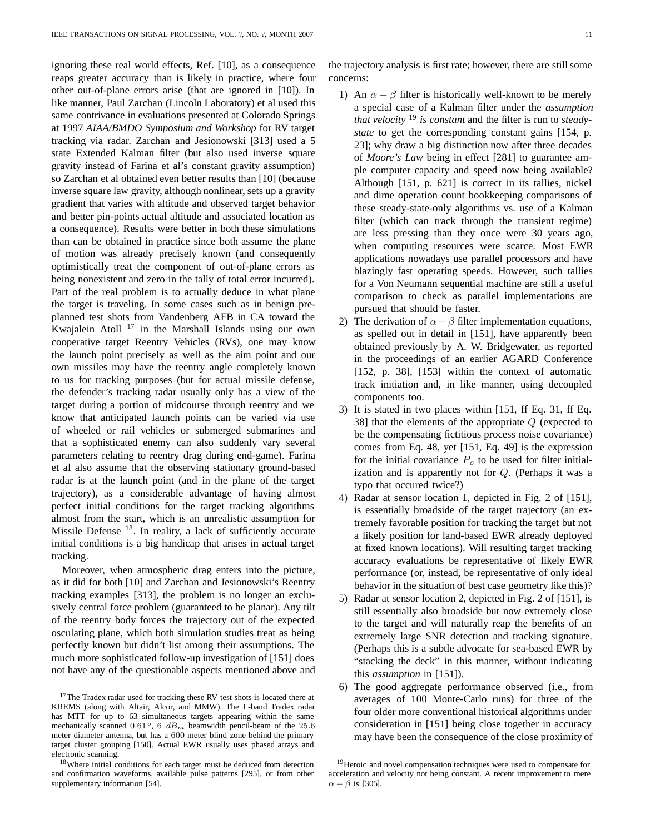ignoring these real world effects, Ref. [10], as a consequence reaps greater accuracy than is likely in practice, where four other out-of-plane errors arise (that are ignored in [10]). In like manner, Paul Zarchan (Lincoln Laboratory) et al used this same contrivance in evaluations presented at Colorado Springs at 1997 *AIAA/BMDO Symposium and Workshop* for RV target tracking via radar. Zarchan and Jesionowski [313] used a 5 state Extended Kalman filter (but also used inverse square gravity instead of Farina et al's constant gravity assumption) so Zarchan et al obtained even better results than [10] (because inverse square law gravity, although nonlinear, sets up a gravity gradient that varies with altitude and observed target behavior and better pin-points actual altitude and associated location as a consequence). Results were better in both these simulations than can be obtained in practice since both assume the plane of motion was already precisely known (and consequently optimistically treat the component of out-of-plane errors as being nonexistent and zero in the tally of total error incurred). Part of the real problem is to actually deduce in what plane the target is traveling. In some cases such as in benign preplanned test shots from Vandenberg AFB in CA toward the Kwajalein Atoll<sup>17</sup> in the Marshall Islands using our own cooperative target Reentry Vehicles (RVs), one may know the launch point precisely as well as the aim point and our own missiles may have the reentry angle completely known to us for tracking purposes (but for actual missile defense, the defender's tracking radar usually only has a view of the target during a portion of midcourse through reentry and we know that anticipated launch points can be varied via use of wheeled or rail vehicles or submerged submarines and that a sophisticated enemy can also suddenly vary several parameters relating to reentry drag during end-game). Farina et al also assume that the observing stationary ground-based radar is at the launch point (and in the plane of the target trajectory), as a considerable advantage of having almost perfect initial conditions for the target tracking algorithms almost from the start, which is an unrealistic assumption for Missile Defense 18. In reality, a lack of sufficiently accurate initial conditions is a big handicap that arises in actual target tracking.

Moreover, when atmospheric drag enters into the picture, as it did for both [10] and Zarchan and Jesionowski's Reentry tracking examples [313], the problem is no longer an exclusively central force problem (guaranteed to be planar). Any tilt of the reentry body forces the trajectory out of the expected osculating plane, which both simulation studies treat as being perfectly known but didn't list among their assumptions. The much more sophisticated follow-up investigation of [151] does not have any of the questionable aspects mentioned above and the trajectory analysis is first rate; however, there are still some concerns:

- 1) An  $\alpha \beta$  filter is historically well-known to be merely a special case of a Kalman filter under the *assumption that velocity* <sup>19</sup> *is constant* and the filter is run to *steadystate* to get the corresponding constant gains [154, p. 23]; why draw a big distinction now after three decades of *Moore's Law* being in effect [281] to guarantee ample computer capacity and speed now being available? Although [151, p. 621] is correct in its tallies, nickel and dime operation count bookkeeping comparisons of these steady-state-only algorithms vs. use of a Kalman filter (which can track through the transient regime) are less pressing than they once were 30 years ago, when computing resources were scarce. Most EWR applications nowadays use parallel processors and have blazingly fast operating speeds. However, such tallies for a Von Neumann sequential machine are still a useful comparison to check as parallel implementations are pursued that should be faster.
- 2) The derivation of  $\alpha \beta$  filter implementation equations, as spelled out in detail in [151], have apparently been obtained previously by A. W. Bridgewater, as reported in the proceedings of an earlier AGARD Conference [152, p. 38], [153] within the context of automatic track initiation and, in like manner, using decoupled components too.
- 3) It is stated in two places within [151, ff Eq. 31, ff Eq. 38] that the elements of the appropriate Q (expected to be the compensating fictitious process noise covariance) comes from Eq. 48, yet [151, Eq. 49] is the expression for the initial covariance  $P<sub>o</sub>$  to be used for filter initialization and is apparently not for  $Q$ . (Perhaps it was a typo that occured twice?)
- 4) Radar at sensor location 1, depicted in Fig. 2 of [151], is essentially broadside of the target trajectory (an extremely favorable position for tracking the target but not a likely position for land-based EWR already deployed at fixed known locations). Will resulting target tracking accuracy evaluations be representative of likely EWR performance (or, instead, be representative of only ideal behavior in the situation of best case geometry like this)?
- 5) Radar at sensor location 2, depicted in Fig. 2 of [151], is still essentially also broadside but now extremely close to the target and will naturally reap the benefits of an extremely large SNR detection and tracking signature. (Perhaps this is a subtle advocate for sea-based EWR by "stacking the deck" in this manner, without indicating this *assumption* in [151]).
- 6) The good aggregate performance observed (i.e., from averages of 100 Monte-Carlo runs) for three of the four older more conventional historical algorithms under consideration in [151] being close together in accuracy may have been the consequence of the close proximity of

 $17$ The Tradex radar used for tracking these RV test shots is located there at KREMS (along with Altair, Alcor, and MMW). The L-band Tradex radar has MTT for up to 63 simultaneous targets appearing within the same mechanically scanned 0.61 $^{\circ}$ , 6  $dB_m$  beamwidth pencil-beam of the 25.6 meter diameter antenna, but has a 600 meter blind zone behind the primary target cluster grouping [150]. Actual EWR usually uses phased arrays and electronic scanning.

<sup>18</sup>Where initial conditions for each target must be deduced from detection and confirmation waveforms, available pulse patterns [295], or from other supplementary information [54].

<sup>&</sup>lt;sup>19</sup>Heroic and novel compensation techniques were used to compensate for acceleration and velocity not being constant. A recent improvement to mere  $\alpha - \beta$  is [305].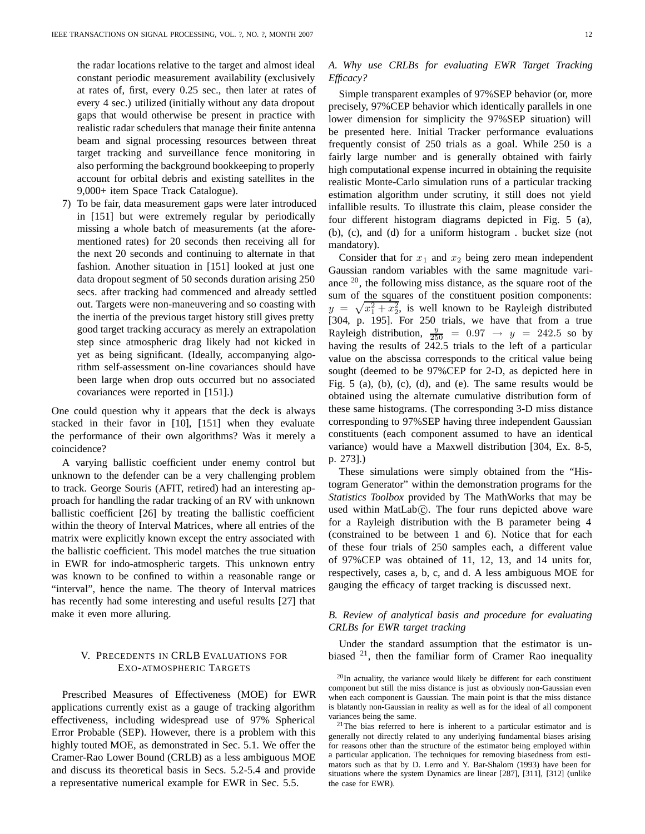the radar locations relative to the target and almost ideal constant periodic measurement availability (exclusively at rates of, first, every 0.25 sec., then later at rates of every 4 sec.) utilized (initially without any data dropout gaps that would otherwise be present in practice with realistic radar schedulers that manage their finite antenna beam and signal processing resources between threat target tracking and surveillance fence monitoring in also performing the background bookkeeping to properly account for orbital debris and existing satellites in the 9,000+ item Space Track Catalogue).

7) To be fair, data measurement gaps were later introduced in [151] but were extremely regular by periodically missing a whole batch of measurements (at the aforementioned rates) for 20 seconds then receiving all for the next 20 seconds and continuing to alternate in that fashion. Another situation in [151] looked at just one data dropout segment of 50 seconds duration arising 250 secs. after tracking had commenced and already settled out. Targets were non-maneuvering and so coasting with the inertia of the previous target history still gives pretty good target tracking accuracy as merely an extrapolation step since atmospheric drag likely had not kicked in yet as being significant. (Ideally, accompanying algorithm self-assessment on-line covariances should have been large when drop outs occurred but no associated covariances were reported in [151].)

One could question why it appears that the deck is always stacked in their favor in [10], [151] when they evaluate the performance of their own algorithms? Was it merely a coincidence?

A varying ballistic coefficient under enemy control but unknown to the defender can be a very challenging problem to track. George Souris (AFIT, retired) had an interesting approach for handling the radar tracking of an RV with unknown ballistic coefficient [26] by treating the ballistic coefficient within the theory of Interval Matrices, where all entries of the matrix were explicitly known except the entry associated with the ballistic coefficient. This model matches the true situation in EWR for indo-atmospheric targets. This unknown entry was known to be confined to within a reasonable range or "interval", hence the name. The theory of Interval matrices has recently had some interesting and useful results [27] that make it even more alluring.

## V. PRECEDENTS IN CRLB EVALUATIONS FOR EXO-ATMOSPHERIC TARGETS

Prescribed Measures of Effectiveness (MOE) for EWR applications currently exist as a gauge of tracking algorithm effectiveness, including widespread use of 97% Spherical Error Probable (SEP). However, there is a problem with this highly touted MOE, as demonstrated in Sec. 5.1. We offer the Cramer-Rao Lower Bound (CRLB) as a less ambiguous MOE and discuss its theoretical basis in Secs. 5.2-5.4 and provide a representative numerical example for EWR in Sec. 5.5.

## *A. Why use CRLBs for evaluating EWR Target Tracking Efficacy?*

Simple transparent examples of 97%SEP behavior (or, more precisely, 97%CEP behavior which identically parallels in one lower dimension for simplicity the 97%SEP situation) will be presented here. Initial Tracker performance evaluations frequently consist of 250 trials as a goal. While 250 is a fairly large number and is generally obtained with fairly high computational expense incurred in obtaining the requisite realistic Monte-Carlo simulation runs of a particular tracking estimation algorithm under scrutiny, it still does not yield infallible results. To illustrate this claim, please consider the four different histogram diagrams depicted in Fig. 5 (a), (b), (c), and (d) for a uniform histogram . bucket size (not mandatory).

Consider that for  $x_1$  and  $x_2$  being zero mean independent Gaussian random variables with the same magnitude variance  $20$ , the following miss distance, as the square root of the sum of the squares of the constituent position components:  $y = \sqrt{x_1^2 + x_2^2}$ , is well known to be Rayleigh distributed [304, p. 195]. For 250 trials, we have that from a true Rayleigh distribution,  $\frac{y}{250} = 0.97 \rightarrow y = 242.5$  so by having the results of 242.5 trials to the left of a particular value on the abscissa corresponds to the critical value being sought (deemed to be 97%CEP for 2-D, as depicted here in Fig. 5 (a), (b), (c), (d), and (e). The same results would be obtained using the alternate cumulative distribution form of these same histograms. (The corresponding 3-D miss distance corresponding to 97%SEP having three independent Gaussian constituents (each component assumed to have an identical variance) would have a Maxwell distribution [304, Ex. 8-5, p. 273].)

These simulations were simply obtained from the "Histogram Generator" within the demonstration programs for the *Statistics Toolbox* provided by The MathWorks that may be used within  $MatLab@$ . The four runs depicted above ware for a Rayleigh distribution with the B parameter being 4 (constrained to be between 1 and 6). Notice that for each of these four trials of 250 samples each, a different value of 97%CEP was obtained of 11, 12, 13, and 14 units for, respectively, cases a, b, c, and d. A less ambiguous MOE for gauging the efficacy of target tracking is discussed next.

# *B. Review of analytical basis and procedure for evaluating CRLBs for EWR target tracking*

Under the standard assumption that the estimator is unbiased  $21$ , then the familiar form of Cramer Rao inequality

 $20$ In actuality, the variance would likely be different for each constituent component but still the miss distance is just as obviously non-Gaussian even when each component is Gaussian. The main point is that the miss distance is blatantly non-Gaussian in reality as well as for the ideal of all component variances being the same.

<sup>21</sup>The bias referred to here is inherent to a particular estimator and is generally not directly related to any underlying fundamental biases arising for reasons other than the structure of the estimator being employed within a particular application. The techniques for removing biasedness from estimators such as that by D. Lerro and Y. Bar-Shalom (1993) have been for situations where the system Dynamics are linear [287], [311], [312] (unlike the case for EWR).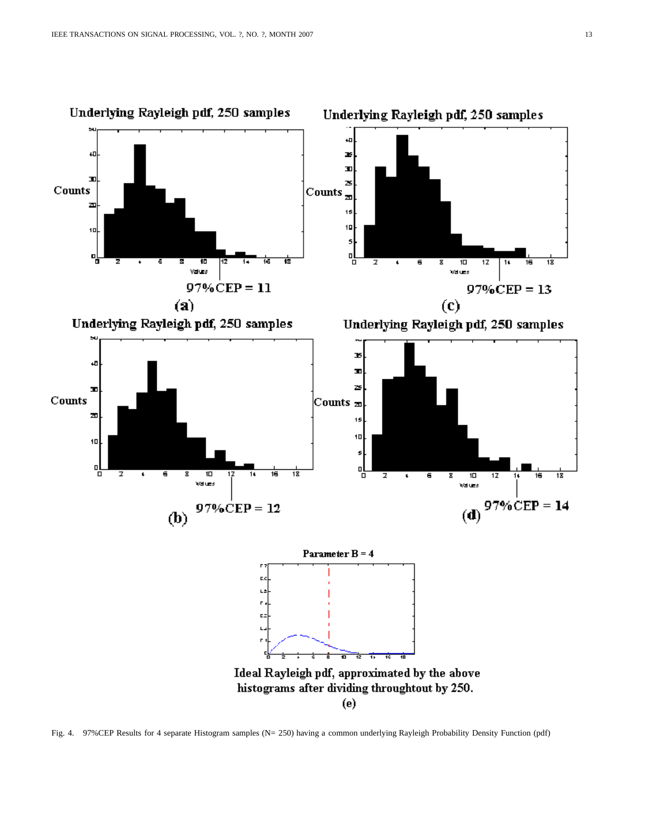

Fig. 4. 97%CEP Results for 4 separate Histogram samples (N= 250) having a common underlying Rayleigh Probability Density Function (pdf)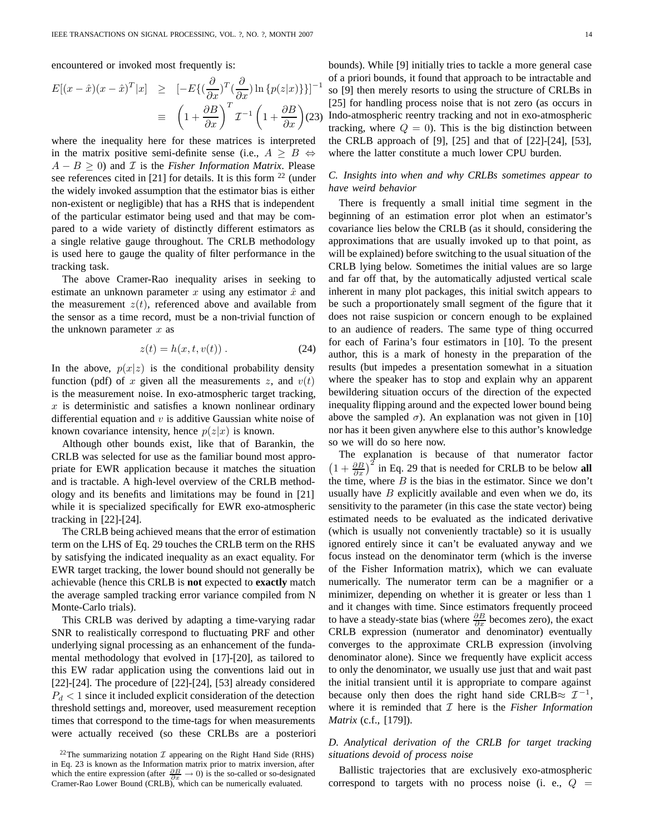encountered or invoked most frequently is:

$$
E[(x - \hat{x})(x - \hat{x})^T | x] \geq [-E\{(\frac{\partial}{\partial x})^T(\frac{\partial}{\partial x}) \ln \{p(z|x)\} \}]^{-1}
$$

$$
\equiv \left(1 + \frac{\partial B}{\partial x}\right)^T \mathcal{I}^{-1} \left(1 + \frac{\partial B}{\partial x}\right) (23)
$$

where the inequality here for these matrices is interpreted in the matrix positive semi-definite sense (i.e.,  $A \geq B \Leftrightarrow$  $A - B \geq 0$ ) and *I* is the *Fisher Information Matrix*. Please see references cited in [21] for details. It is this form  $^{22}$  (under the widely invoked assumption that the estimator bias is either non-existent or negligible) that has a RHS that is independent of the particular estimator being used and that may be compared to a wide variety of distinctly different estimators as a single relative gauge throughout. The CRLB methodology is used here to gauge the quality of filter performance in the tracking task.

The above Cramer-Rao inequality arises in seeking to estimate an unknown parameter x using any estimator  $\hat{x}$  and the measurement  $z(t)$ , referenced above and available from the sensor as a time record, must be a non-trivial function of the unknown parameter  $x$  as

$$
z(t) = h(x, t, v(t))
$$
 (24)

In the above,  $p(x|z)$  is the conditional probability density function (pdf) of x given all the measurements z, and  $v(t)$ is the measurement noise. In exo-atmospheric target tracking,  $x$  is deterministic and satisfies a known nonlinear ordinary differential equation and  $v$  is additive Gaussian white noise of known covariance intensity, hence  $p(z|x)$  is known.

Although other bounds exist, like that of Barankin, the CRLB was selected for use as the familiar bound most appropriate for EWR application because it matches the situation and is tractable. A high-level overview of the CRLB methodology and its benefits and limitations may be found in [21] while it is specialized specifically for EWR exo-atmospheric tracking in [22]-[24].

The CRLB being achieved means that the error of estimation term on the LHS of Eq. 29 touches the CRLB term on the RHS by satisfying the indicated inequality as an exact equality. For EWR target tracking, the lower bound should not generally be achievable (hence this CRLB is **not** expected to **exactly** match the average sampled tracking error variance compiled from N Monte-Carlo trials).

This CRLB was derived by adapting a time-varying radar SNR to realistically correspond to fluctuating PRF and other underlying signal processing as an enhancement of the fundamental methodology that evolved in [17]-[20], as tailored to this EW radar application using the conventions laid out in [22]-[24]. The procedure of [22]-[24], [53] already considered  $P_d$  < 1 since it included explicit consideration of the detection threshold settings and, moreover, used measurement reception times that correspond to the time-tags for when measurements were actually received (so these CRLBs are a posteriori

bounds). While [9] initially tries to tackle a more general case of a priori bounds, it found that approach to be intractable and so [9] then merely resorts to using the structure of CRLBs in [25] for handling process noise that is not zero (as occurs in Indo-atmospheric reentry tracking and not in exo-atmospheric tracking, where  $Q = 0$ . This is the big distinction between the CRLB approach of [9], [25] and that of [22]-[24], [53], where the latter constitute a much lower CPU burden.

# *C. Insights into when and why CRLBs sometimes appear to have weird behavior*

There is frequently a small initial time segment in the beginning of an estimation error plot when an estimator's covariance lies below the CRLB (as it should, considering the approximations that are usually invoked up to that point, as will be explained) before switching to the usual situation of the CRLB lying below. Sometimes the initial values are so large and far off that, by the automatically adjusted vertical scale inherent in many plot packages, this initial switch appears to be such a proportionately small segment of the figure that it does not raise suspicion or concern enough to be explained to an audience of readers. The same type of thing occurred for each of Farina's four estimators in [10]. To the present author, this is a mark of honesty in the preparation of the results (but impedes a presentation somewhat in a situation where the speaker has to stop and explain why an apparent bewildering situation occurs of the direction of the expected inequality flipping around and the expected lower bound being above the sampled  $\sigma$ ). An explanation was not given in [10] nor has it been given anywhere else to this author's knowledge so we will do so here now.

The explanation is because of that numerator factor  $\left(1 + \frac{\partial B}{\partial x}\right)^2$  in Eq. 29 that is needed for CRLB to be below all the time, where  $B$  is the bias in the estimator. Since we don't usually have  $B$  explicitly available and even when we do, its sensitivity to the parameter (in this case the state vector) being estimated needs to be evaluated as the indicated derivative (which is usually not conveniently tractable) so it is usually ignored entirely since it can't be evaluated anyway and we focus instead on the denominator term (which is the inverse of the Fisher Information matrix), which we can evaluate numerically. The numerator term can be a magnifier or a minimizer, depending on whether it is greater or less than 1 and it changes with time. Since estimators frequently proceed to have a steady-state bias (where  $\frac{\partial B}{\partial x}$  becomes zero), the exact CRLB expression (numerator and denominator) eventually converges to the approximate CRLB expression (involving denominator alone). Since we frequently have explicit access to only the denominator, we usually use just that and wait past the initial transient until it is appropriate to compare against because only then does the right hand side CRLB $\approx \mathcal{I}^{-1}$ , where it is reminded that  $I$  here is the *Fisher Information Matrix* (c.f., [179]).

# *D. Analytical derivation of the CRLB for target tracking situations devoid of process noise*

Ballistic trajectories that are exclusively exo-atmospheric correspond to targets with no process noise (i. e.,  $Q =$ 

<sup>&</sup>lt;sup>22</sup>The summarizing notation  $\mathcal I$  appearing on the Right Hand Side (RHS) in Eq. 23 is known as the Information matrix prior to matrix inversion, after which the entire expression (after  $\frac{\partial B}{\partial x} \to 0$ ) is the so-called or so-designated Cramer-Rao Lower Bound (CRLB), which can be numerically evaluated.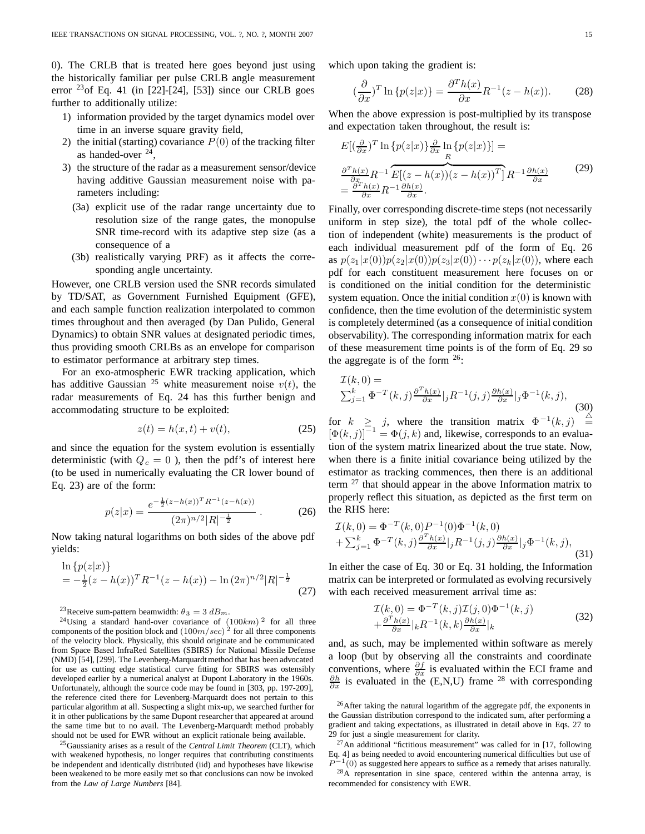0). The CRLB that is treated here goes beyond just using the historically familiar per pulse CRLB angle measurement error 23of Eq. 41 (in [22]-[24], [53]) since our CRLB goes further to additionally utilize:

- 1) information provided by the target dynamics model over time in an inverse square gravity field,
- 2) the initial (starting) covariance  $P(0)$  of the tracking filter as handed-over  $24$ ,
- 3) the structure of the radar as a measurement sensor/device having additive Gaussian measurement noise with parameters including:
	- (3a) explicit use of the radar range uncertainty due to resolution size of the range gates, the monopulse SNR time-record with its adaptive step size (as a consequence of a
	- (3b) realistically varying PRF) as it affects the corresponding angle uncertainty.

However, one CRLB version used the SNR records simulated by TD/SAT, as Government Furnished Equipment (GFE), and each sample function realization interpolated to common times throughout and then averaged (by Dan Pulido, General Dynamics) to obtain SNR values at designated periodic times, thus providing smooth CRLBs as an envelope for comparison to estimator performance at arbitrary step times.

For an exo-atmospheric EWR tracking application, which has additive Gaussian <sup>25</sup> white measurement noise  $v(t)$ , the radar measurements of Eq. 24 has this further benign and accommodating structure to be exploited:

$$
z(t) = h(x, t) + v(t),\tag{25}
$$

and since the equation for the system evolution is essentially deterministic (with  $Q_c = 0$ ), then the pdf's of interest here (to be used in numerically evaluating the CR lower bound of Eq. 23) are of the form:

$$
p(z|x) = \frac{e^{-\frac{1}{2}(z - h(x))^T R^{-1} (z - h(x))}}{(2\pi)^{n/2} |R|^{-\frac{1}{2}}}.
$$
 (26)

Now taking natural logarithms on both sides of the above pdf yields:

$$
\ln \{p(z|x)\}\n= -\frac{1}{2}(z - h(x))^T R^{-1}(z - h(x)) - \ln(2\pi)^{n/2} |R|^{-\frac{1}{2}}\n\tag{27}
$$

<sup>23</sup>Receive sum-pattern beamwidth:  $\theta_3 = 3 dB_m$ .

<sup>24</sup>Using a standard hand-over covariance of  $(100km)^2$  for all three components of the position block and  $(100m/sec)^2$  for all three components of the velocity block. Physically, this should originate and be communicated from Space Based InfraRed Satellites (SBIRS) for National Missile Defense (NMD) [54], [299]. The Levenberg-Marquardt method that has been advocated for use as cutting edge statistical curve fitting for SBIRS was ostensibly developed earlier by a numerical analyst at Dupont Laboratory in the 1960s. Unfortunately, although the source code may be found in [303, pp. 197-209], the reference cited there for Levenberg-Marquardt does not pertain to this particular algorithm at all. Suspecting a slight mix-up, we searched further for it in other publications by the same Dupont researcher that appeared at around the same time but to no avail. The Levenberg-Marquardt method probably should not be used for EWR without an explicit rationale being available.

25Gaussianity arises as a result of the *Central Limit Theorem* (CLT), which with weakened hypothesis, no longer requires that contributing constituents be independent and identically distributed (iid) and hypotheses have likewise been weakened to be more easily met so that conclusions can now be invoked from the *Law of Large Numbers* [84].

which upon taking the gradient is:

$$
\left(\frac{\partial}{\partial x}\right)^T \ln \{p(z|x)\} = \frac{\partial^T h(x)}{\partial x} R^{-1}(z - h(x)).\tag{28}
$$

When the above expression is post-multiplied by its transpose and expectation taken throughout, the result is:

$$
E\left[\left(\frac{\partial}{\partial x}\right)^{T} \ln \left\{p(z|x)\right\} \frac{\partial}{\partial x} \ln \left\{p(z|x)\right\}\right] =
$$
\n
$$
\frac{\partial^{T} h(x)}{\partial x} R^{-1} E\left[\left(z - h(x)\right)\left(z - h(x)\right)^{T}\right] R^{-1} \frac{\partial h(x)}{\partial x}
$$
\n
$$
= \frac{\partial^{T} h(x)}{\partial x} R^{-1} \frac{\partial h(x)}{\partial x}.
$$
\n(29)

Finally, over corresponding discrete-time steps (not necessarily uniform in step size), the total pdf of the whole collection of independent (white) measurements is the product of each individual measurement pdf of the form of Eq. 26 as  $p(z_1|x(0))p(z_2|x(0))p(z_3|x(0))\cdots p(z_k|x(0))$ , where each pdf for each constituent measurement here focuses on or is conditioned on the initial condition for the deterministic system equation. Once the initial condition  $x(0)$  is known with confidence, then the time evolution of the deterministic system is completely determined (as a consequence of initial condition observability). The corresponding information matrix for each of these measurement time points is of the form of Eq. 29 so the aggregate is of the form  $26$ :

$$
\mathcal{I}(k,0) = \sum_{j=1}^{k} \Phi^{-T}(k,j) \frac{\partial^{T} h(x)}{\partial x}|_{j} R^{-1}(j,j) \frac{\partial h(x)}{\partial x}|_{j} \Phi^{-1}(k,j),
$$
\n(30)

for  $k \geq j$ , where the transition matrix  $\Phi^{-1}(k,j) \stackrel{\triangle}{=}$  $[\Phi(k, j)]^{-1} = \Phi(j, k)$  and, likewise, corresponds to an evaluation of the system matrix linearized about the true state. Now, when there is a finite initial covariance being utilized by the estimator as tracking commences, then there is an additional term  $27$  that should appear in the above Information matrix to properly reflect this situation, as depicted as the first term on the RHS here:

$$
\mathcal{I}(k,0) = \Phi^{-T}(k,0)P^{-1}(0)\Phi^{-1}(k,0) \n+ \sum_{j=1}^{k} \Phi^{-T}(k,j) \frac{\partial^{T} h(x)}{\partial x}|_{j} R^{-1}(j,j) \frac{\partial h(x)}{\partial x}|_{j} \Phi^{-1}(k,j),
$$
\n(31)

In either the case of Eq. 30 or Eq. 31 holding, the Information matrix can be interpreted or formulated as evolving recursively with each received measurement arrival time as:

$$
\mathcal{I}(k,0) = \Phi^{-T}(k,j)\mathcal{I}(j,0)\Phi^{-1}(k,j) \n+ \frac{\partial^{T}h(x)}{\partial x}|_{k}R^{-1}(k,k)\frac{\partial h(x)}{\partial x}|_{k}
$$
\n(32)

and, as such, may be implemented within software as merely a loop (but by observing all the constraints and coordinate conventions, where  $\frac{\partial f}{\partial x}$  is evaluated within the ECI frame and  $\frac{\partial h}{\partial x}$  is evaluated in the (E,N,U) frame <sup>28</sup> with corresponding

<sup>28</sup>A representation in sine space, centered within the antenna array, is recommended for consistency with EWR.

 $26$ After taking the natural logarithm of the aggregate pdf, the exponents in the Gaussian distribution correspond to the indicated sum, after performing a gradient and taking expectations, as illustrated in detail above in Eqs. 27 to 29 for just a single measurement for clarity.

 $27$ An additional "fictitious measurement" was called for in [17, following Eq. 4] as being needed to avoid encountering numerical difficulties but use of  $P^{-1}(0)$  as suggested here appears to suffice as a remedy that arises naturally.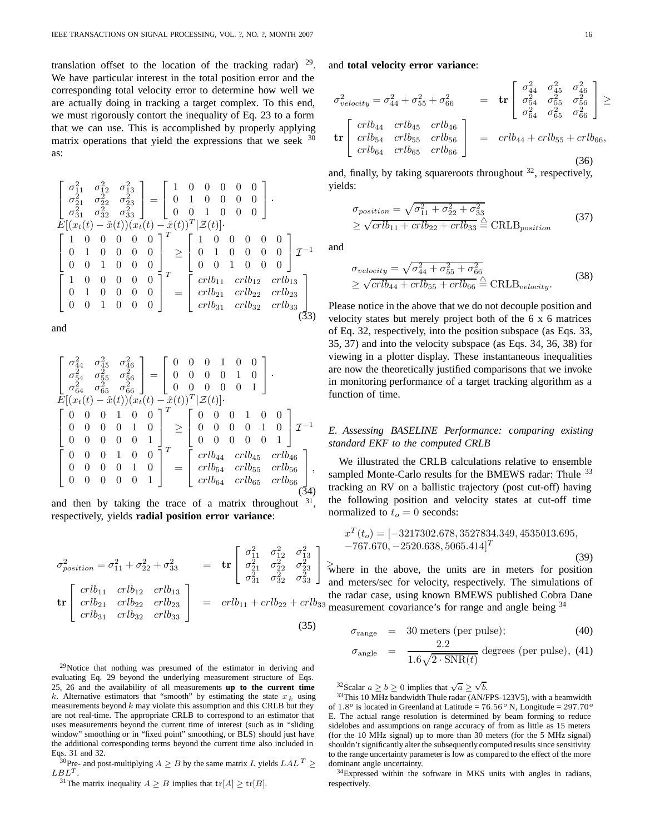translation offset to the location of the tracking radar)  $29$ . We have particular interest in the total position error and the corresponding total velocity error to determine how well we are actually doing in tracking a target complex. To this end, we must rigorously contort the inequality of Eq. 23 to a form that we can use. This is accomplished by properly applying matrix operations that yield the expressions that we seek  $30$ as:

$$
\begin{bmatrix}\n\sigma_{11}^2 & \sigma_{12}^2 & \sigma_{13}^2 \\
\sigma_{21}^2 & \sigma_{22}^2 & \sigma_{23}^2 \\
\sigma_{31}^2 & \sigma_{32}^2 & \sigma_{33}^2\n\end{bmatrix} = \begin{bmatrix}\n1 & 0 & 0 & 0 & 0 & 0 \\
0 & 1 & 0 & 0 & 0 & 0 \\
0 & 0 & 1 & 0 & 0 & 0 \\
0 & 0 & 1 & 0 & 0 & 0\n\end{bmatrix}.
$$
\n
$$
E[(x_t(t) - \hat{x}(t)) (x_t(t) - \hat{x}(t))^T | \mathcal{Z}(t)].
$$
\n
$$
\begin{bmatrix}\n1 & 0 & 0 & 0 & 0 & 0 \\
0 & 1 & 0 & 0 & 0 & 0 \\
0 & 0 & 1 & 0 & 0 & 0\n\end{bmatrix}^T \ge \begin{bmatrix}\n1 & 0 & 0 & 0 & 0 & 0 \\
0 & 1 & 0 & 0 & 0 & 0 \\
0 & 0 & 1 & 0 & 0 & 0\n\end{bmatrix} \mathcal{I}^{-1}
$$
\n
$$
\begin{bmatrix}\n1 & 0 & 0 & 0 & 0 & 0 \\
0 & 1 & 0 & 0 & 0 & 0 \\
0 & 0 & 1 & 0 & 0 & 0\n\end{bmatrix}^T = \begin{bmatrix}\ncrlb_{11} & crlb_{12} & crlb_{13} \\
crclb_{21} & crlb_{22} & crlb_{23} \\
crrlb_{31} & crlb_{32} & crlb_{33}\n\end{bmatrix}
$$
\n(33)

and

$$
\begin{bmatrix}\n\sigma_{44}^2 & \sigma_{45}^2 & \sigma_{46}^2 \\
\sigma_{54}^2 & \sigma_{55}^2 & \sigma_{56}^2 \\
\sigma_{64}^2 & \sigma_{65}^2 & \sigma_{66}^2\n\end{bmatrix} = \begin{bmatrix}\n0 & 0 & 0 & 1 & 0 & 0 \\
0 & 0 & 0 & 0 & 1 & 0 \\
0 & 0 & 0 & 0 & 0 & 1\n\end{bmatrix}.
$$
\n
$$
E[(x_t(t) - \hat{x}(t))(x_t(t) - \hat{x}(t))^T | \mathcal{Z}(t)].
$$
\n
$$
\begin{bmatrix}\n0 & 0 & 0 & 1 & 0 & 0 \\
0 & 0 & 0 & 0 & 1 & 0 \\
0 & 0 & 0 & 0 & 0 & 1\n\end{bmatrix}^T \ge \begin{bmatrix}\n0 & 0 & 0 & 1 & 0 & 0 \\
0 & 0 & 0 & 0 & 1 & 0 \\
0 & 0 & 0 & 0 & 0 & 1\n\end{bmatrix} \mathcal{I}^{-1}
$$
\n
$$
\begin{bmatrix}\n0 & 0 & 0 & 1 & 0 & 0 \\
0 & 0 & 0 & 0 & 1 & 0 \\
0 & 0 & 0 & 0 & 1 & 0 \\
0 & 0 & 0 & 0 & 0 & 1\n\end{bmatrix}^T = \begin{bmatrix}\ncrb_{44} & crlb_{45} & crlb_{46} \\
crrb_{54} & crlb_{55} & crlb_{56} \\
cr\ncrb_{64} & crlb_{65} & crlb_{66}\n\end{bmatrix},
$$
\n(34)

and then by taking the trace of a matrix throughout  $31$ respectively, yields **radial position error variance**:

$$
\sigma_{position}^{2} = \sigma_{11}^{2} + \sigma_{22}^{2} + \sigma_{33}^{2} = \mathbf{tr} \begin{bmatrix} \sigma_{11}^{2} & \sigma_{12}^{2} & \sigma_{13}^{2} \\ \sigma_{21}^{2} & \sigma_{22}^{2} & \sigma_{23}^{2} \\ \sigma_{31}^{2} & \sigma_{32}^{2} & \sigma_{33}^{2} \end{bmatrix}
$$

$$
\mathbf{tr} \begin{bmatrix} crlb_{11} & crlb_{12} & crlb_{13} \\ crlb_{21} & crlb_{22} & crlb_{23} \\ crlb_{31} & crlb_{32} & crlb_{33} \end{bmatrix} = crlb_{11} + crlb_{22} + crlb_{33}
$$
(35)

<sup>29</sup>Notice that nothing was presumed of the estimator in deriving and evaluating Eq. 29 beyond the underlying measurement structure of Eqs. 25, 26 and the availability of all measurements **up to the current time** k. Alternative estimators that "smooth" by estimating the state  $x_k$  using measurements beyond  $k$  may violate this assumption and this CRLB but they are not real-time. The appropriate CRLB to correspond to an estimator that uses measurements beyond the current time of interest (such as in "sliding window" smoothing or in "fixed point" smoothing, or BLS) should just have the additional corresponding terms beyond the current time also included in Eqs. 31 and 32.

<sup>30</sup>Pre- and post-multiplying  $A \geq B$  by the same matrix L yields  $LAL^T \geq$  $LBL^T$ .

<sup>31</sup>The matrix inequality  $A \geq B$  implies that  $\text{tr}[A] \geq \text{tr}[B]$ .

and **total velocity error variance**:

$$
\sigma_{velocity}^{2} = \sigma_{44}^{2} + \sigma_{55}^{2} + \sigma_{66}^{2}
$$
\n
$$
= tr \begin{bmatrix}\n\sigma_{44}^{2} & \sigma_{45}^{2} & \sigma_{46}^{2} \\
\sigma_{54}^{2} & \sigma_{55}^{2} & \sigma_{56}^{2} \\
\sigma_{64}^{2} & \sigma_{65}^{2} & \sigma_{66}^{2}\n\end{bmatrix} \ge
$$
\n
$$
tr \begin{bmatrix}\ncr^{2}U_{44} & crlb_{45} & crlb_{46} \\
cr^{2}U_{55} & crlb_{56} & crlb_{66}\n\end{bmatrix} = crlb_{44} + crlb_{55} + crlb_{66},
$$
\n(36)

and, finally, by taking squareroots throughout  $32$ , respectively, yields:

$$
\sigma_{position} = \sqrt{\sigma_{11}^2 + \sigma_{22}^2 + \sigma_{33}^2}
$$
  
\n
$$
\geq \sqrt{crlb_{11} + crlb_{22} + crlb_{33}} \stackrel{\triangle}{=} \text{CRLB}_{position}
$$
 (37)

and

$$
\sigma_{velocity} = \sqrt{\sigma_{44}^2 + \sigma_{55}^2 + \sigma_{66}^2}
$$
  
\n
$$
\geq \sqrt{crlb_{44} + crlb_{55} + crlb_{66}} \stackrel{\triangle}{=} \text{CRLB}_{velocity}.
$$
 (38)

Please notice in the above that we do not decouple position and velocity states but merely project both of the  $6 \times 6$  matrices of Eq. 32, respectively, into the position subspace (as Eqs. 33, 35, 37) and into the velocity subspace (as Eqs. 34, 36, 38) for viewing in a plotter display. These instantaneous inequalities are now the theoretically justified comparisons that we invoke in monitoring performance of a target tracking algorithm as a function of time.

# *E. Assessing BASELINE Performance: comparing existing standard EKF to the computed CRLB*

We illustrated the CRLB calculations relative to ensemble sampled Monte-Carlo results for the BMEWS radar: Thule <sup>33</sup> tracking an RV on a ballistic trajectory (post cut-off) having the following position and velocity states at cut-off time normalized to  $t_o = 0$  seconds:

$$
x^T(t_o) = [-3217302.678, 3527834.349, 4535013.695, -767.670, -2520.638, 5065.414]^T
$$

 $\frac{1}{2}$  where in the above, the units are in meters for position (39) and meters/sec for velocity, respectively. The simulations of the radar case, using known BMEWS published Cobra Dane  $3<sup>3</sup>$  measurement covariance's for range and angle being  $3<sup>4</sup>$ 

$$
\sigma_{\text{range}} = 30 \text{ meters (per pulse)};
$$
 (40)

$$
\sigma_{\text{angle}} = \frac{2.2}{1.6\sqrt{2 \cdot \text{SNR}(t)}} \text{ degrees (per pulse)}, (41)
$$

<sup>32</sup>Scalar  $a \ge b \ge 0$  implies that  $\sqrt{a} \ge \sqrt{b}$ .

<sup>33</sup>This 10 MHz bandwidth Thule radar (AN/FPS-123V5), with a beamwidth of 1.8<sup>o</sup> is located in Greenland at Latitude = 76.56<sup>o</sup> N, Longitude = 297.70<sup>o</sup> E. The actual range resolution is determined by beam forming to reduce sidelobes and assumptions on range accuracy of from as little as 15 meters (for the 10 MHz signal) up to more than 30 meters (for the 5 MHz signal) shouldn't significantly alter the subsequently computed results since sensitivity to the range uncertainty parameter is low as compared to the effect of the more dominant angle uncertainty.

 $34$ Expressed within the software in MKS units with angles in radians, respectively.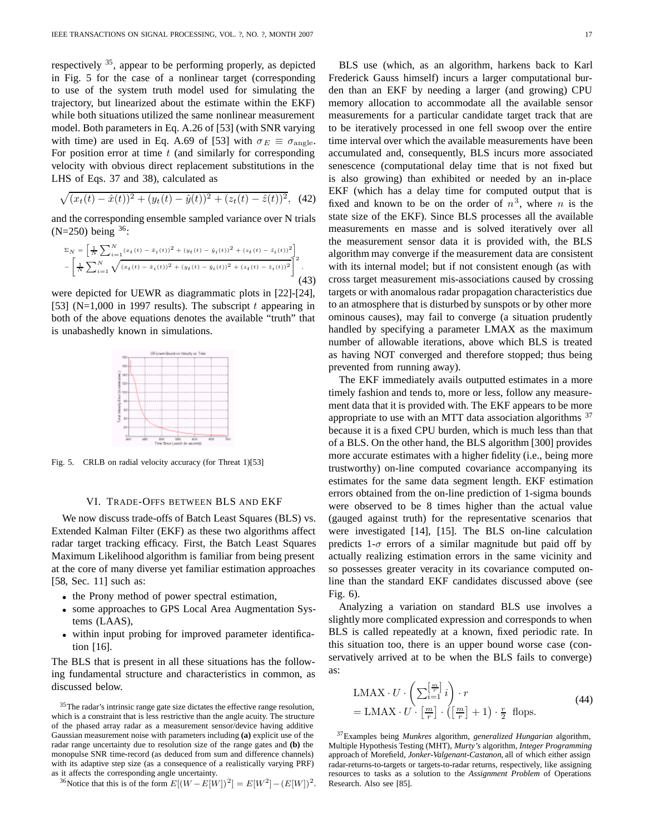respectively  $35$ , appear to be performing properly, as depicted in Fig. 5 for the case of a nonlinear target (corresponding to use of the system truth model used for simulating the trajectory, but linearized about the estimate within the EKF) while both situations utilized the same nonlinear measurement model. Both parameters in Eq. A.26 of [53] (with SNR varying with time) are used in Eq. A.69 of [53] with  $\sigma_E \equiv \sigma_{\text{angle}}$ . For position error at time  $t$  (and similarly for corresponding velocity with obvious direct replacement substitutions in the LHS of Eqs. 37 and 38), calculated as

$$
\sqrt{(x_t(t) - \hat{x}(t))^2 + (y_t(t) - \hat{y}(t))^2 + (z_t(t) - \hat{z}(t))^2},
$$
 (42)

and the corresponding ensemble sampled variance over N trials (N=250) being  $36$ :

$$
\Sigma_N = \left[ \frac{1}{N} \sum_{i=1}^N (x_t(t) - \hat{x}_i(t))^2 + (y_t(t) - \hat{y}_i(t))^2 + (z_t(t) - \hat{z}_i(t))^2 \right] - \left[ \frac{1}{N} \sum_{i=1}^N \sqrt{(x_t(t) - \hat{x}_i(t))^2 + (y_t(t) - \hat{y}_i(t))^2 + (z_t(t) - \hat{z}_i(t))^2} \right]^2,
$$
\n(43)

were depicted for UEWR as diagrammatic plots in [22]-[24], [53] (N=1,000 in 1997 results). The subscript t appearing in both of the above equations denotes the available "truth" that is unabashedly known in simulations.



Fig. 5. CRLB on radial velocity accuracy (for Threat 1)[53]

## VI. TRADE-OFFS BETWEEN BLS AND EKF

We now discuss trade-offs of Batch Least Squares (BLS) vs. Extended Kalman Filter (EKF) as these two algorithms affect radar target tracking efficacy. First, the Batch Least Squares Maximum Likelihood algorithm is familiar from being present at the core of many diverse yet familiar estimation approaches [58, Sec. 11] such as:

- the Prony method of power spectral estimation,
- some approaches to GPS Local Area Augmentation Systems (LAAS),
- within input probing for improved parameter identification [16].

The BLS that is present in all these situations has the following fundamental structure and characteristics in common, as discussed below.

<sup>36</sup>Notice that this is of the form  $E[(W - E[W])^2] = E[W^2] - (E[W])^2$ .

BLS use (which, as an algorithm, harkens back to Karl Frederick Gauss himself) incurs a larger computational burden than an EKF by needing a larger (and growing) CPU memory allocation to accommodate all the available sensor measurements for a particular candidate target track that are to be iteratively processed in one fell swoop over the entire time interval over which the available measurements have been accumulated and, consequently, BLS incurs more associated senescence (computational delay time that is not fixed but is also growing) than exhibited or needed by an in-place EKF (which has a delay time for computed output that is fixed and known to be on the order of  $n<sup>3</sup>$ , where n is the state size of the EKF). Since BLS processes all the available measurements en masse and is solved iteratively over all the measurement sensor data it is provided with, the BLS algorithm may converge if the measurement data are consistent with its internal model; but if not consistent enough (as with cross target measurement mis-associations caused by crossing targets or with anomalous radar propagation characteristics due to an atmosphere that is disturbed by sunspots or by other more ominous causes), may fail to converge (a situation prudently handled by specifying a parameter LMAX as the maximum number of allowable iterations, above which BLS is treated as having NOT converged and therefore stopped; thus being prevented from running away).

The EKF immediately avails outputted estimates in a more timely fashion and tends to, more or less, follow any measurement data that it is provided with. The EKF appears to be more appropriate to use with an MTT data association algorithms  $37$ because it is a fixed CPU burden, which is much less than that of a BLS. On the other hand, the BLS algorithm [300] provides more accurate estimates with a higher fidelity (i.e., being more trustworthy) on-line computed covariance accompanying its estimates for the same data segment length. EKF estimation errors obtained from the on-line prediction of 1-sigma bounds were observed to be 8 times higher than the actual value (gauged against truth) for the representative scenarios that were investigated [14], [15]. The BLS on-line calculation predicts  $1-\sigma$  errors of a similar magnitude but paid off by actually realizing estimation errors in the same vicinity and so possesses greater veracity in its covariance computed online than the standard EKF candidates discussed above (see Fig. 6).

Analyzing a variation on standard BLS use involves a slightly more complicated expression and corresponds to when BLS is called repeatedly at a known, fixed periodic rate. In this situation too, there is an upper bound worse case (conservatively arrived at to be when the BLS fails to converge) as:

$$
\text{LMAX} \cdot U \cdot \left( \sum_{i=1}^{\left[\frac{m}{r}\right]} i \right) \cdot r
$$
\n
$$
= \text{LMAX} \cdot U \cdot \left[\frac{m}{r}\right] \cdot \left(\left[\frac{m}{r}\right] + 1\right) \cdot \frac{r}{2} \text{ flops.} \tag{44}
$$

37Examples being *Munkres* algorithm, *generalized Hungarian* algorithm, Multiple Hypothesis Testing (MHT), *Murty's* algorithm, *Integer Programming* approach of Morefield, *Jonker-Valgenant-Castanon*, all of which either assign radar-returns-to-targets or targets-to-radar returns, respectively, like assigning resources to tasks as a solution to the *Assignment Problem* of Operations Research. Also see [85].

<sup>35</sup>The radar's intrinsic range gate size dictates the effective range resolution, which is a constraint that is less restrictive than the angle acuity. The structure of the phased array radar as a measurement sensor/device having additive Gaussian measurement noise with parameters including **(a)** explicit use of the radar range uncertainty due to resolution size of the range gates and **(b)** the monopulse SNR time-record (as deduced from sum and difference channels) with its adaptive step size (as a consequence of a realistically varying PRF) as it affects the corresponding angle uncertainty.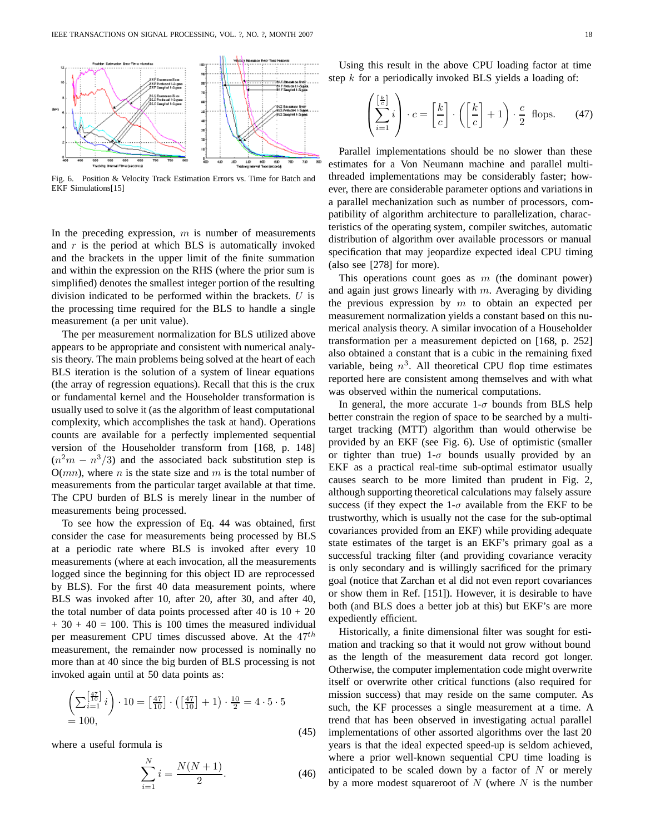

Fig. 6. Position & Velocity Track Estimation Errors vs. Time for Batch and EKF Simulations[15]

In the preceding expression,  $m$  is number of measurements and  $r$  is the period at which BLS is automatically invoked and the brackets in the upper limit of the finite summation and within the expression on the RHS (where the prior sum is simplified) denotes the smallest integer portion of the resulting division indicated to be performed within the brackets.  $U$  is the processing time required for the BLS to handle a single measurement (a per unit value).

The per measurement normalization for BLS utilized above appears to be appropriate and consistent with numerical analysis theory. The main problems being solved at the heart of each BLS iteration is the solution of a system of linear equations (the array of regression equations). Recall that this is the crux or fundamental kernel and the Householder transformation is usually used to solve it (as the algorithm of least computational complexity, which accomplishes the task at hand). Operations counts are available for a perfectly implemented sequential version of the Householder transform from [168, p. 148]  $(n<sup>2</sup>m - n<sup>3</sup>/3)$  and the associated back substitution step is  $O(mn)$ , where n is the state size and m is the total number of measurements from the particular target available at that time. The CPU burden of BLS is merely linear in the number of measurements being processed.

To see how the expression of Eq. 44 was obtained, first consider the case for measurements being processed by BLS at a periodic rate where BLS is invoked after every 10 measurements (where at each invocation, all the measurements logged since the beginning for this object ID are reprocessed by BLS). For the first 40 data measurement points, where BLS was invoked after 10, after 20, after 30, and after 40, the total number of data points processed after 40 is  $10 + 20$  $+ 30 + 40 = 100$ . This is 100 times the measured individual per measurement CPU times discussed above. At the  $47<sup>th</sup>$ measurement, the remainder now processed is nominally no more than at 40 since the big burden of BLS processing is not invoked again until at 50 data points as:

$$
\left(\sum_{i=1}^{\left[\frac{47}{10}\right]} i\right) \cdot 10 = \left[\frac{47}{10}\right] \cdot \left(\left[\frac{47}{10}\right] + 1\right) \cdot \frac{10}{2} = 4 \cdot 5 \cdot 5
$$
  
= 100, (45)

where a useful formula is

$$
\sum_{i=1}^{N} i = \frac{N(N+1)}{2}.
$$
\n(46)

Using this result in the above CPU loading factor at time step  $k$  for a periodically invoked BLS yields a loading of:

$$
\left(\sum_{i=1}^{\left[\frac{k}{c}\right]} i\right) \cdot c = \left[\frac{k}{c}\right] \cdot \left(\left[\frac{k}{c}\right] + 1\right) \cdot \frac{c}{2} \text{ flops.} \tag{47}
$$

Parallel implementations should be no slower than these estimates for a Von Neumann machine and parallel multithreaded implementations may be considerably faster; however, there are considerable parameter options and variations in a parallel mechanization such as number of processors, compatibility of algorithm architecture to parallelization, characteristics of the operating system, compiler switches, automatic distribution of algorithm over available processors or manual specification that may jeopardize expected ideal CPU timing (also see [278] for more).

This operations count goes as  $m$  (the dominant power) and again just grows linearly with  $m$ . Averaging by dividing the previous expression by  $m$  to obtain an expected per measurement normalization yields a constant based on this numerical analysis theory. A similar invocation of a Householder transformation per a measurement depicted on [168, p. 252] also obtained a constant that is a cubic in the remaining fixed variable, being  $n<sup>3</sup>$ . All theoretical CPU flop time estimates reported here are consistent among themselves and with what was observed within the numerical computations.

In general, the more accurate  $1-\sigma$  bounds from BLS help better constrain the region of space to be searched by a multitarget tracking (MTT) algorithm than would otherwise be provided by an EKF (see Fig. 6). Use of optimistic (smaller or tighter than true)  $1-\sigma$  bounds usually provided by an EKF as a practical real-time sub-optimal estimator usually causes search to be more limited than prudent in Fig. 2, although supporting theoretical calculations may falsely assure success (if they expect the 1- $\sigma$  available from the EKF to be trustworthy, which is usually not the case for the sub-optimal covariances provided from an EKF) while providing adequate state estimates of the target is an EKF's primary goal as a successful tracking filter (and providing covariance veracity is only secondary and is willingly sacrificed for the primary goal (notice that Zarchan et al did not even report covariances or show them in Ref. [151]). However, it is desirable to have both (and BLS does a better job at this) but EKF's are more expediently efficient.

Historically, a finite dimensional filter was sought for estimation and tracking so that it would not grow without bound as the length of the measurement data record got longer. Otherwise, the computer implementation code might overwrite itself or overwrite other critical functions (also required for mission success) that may reside on the same computer. As such, the KF processes a single measurement at a time. A trend that has been observed in investigating actual parallel implementations of other assorted algorithms over the last 20 years is that the ideal expected speed-up is seldom achieved, where a prior well-known sequential CPU time loading is anticipated to be scaled down by a factor of  $N$  or merely by a more modest squareroot of  $N$  (where  $N$  is the number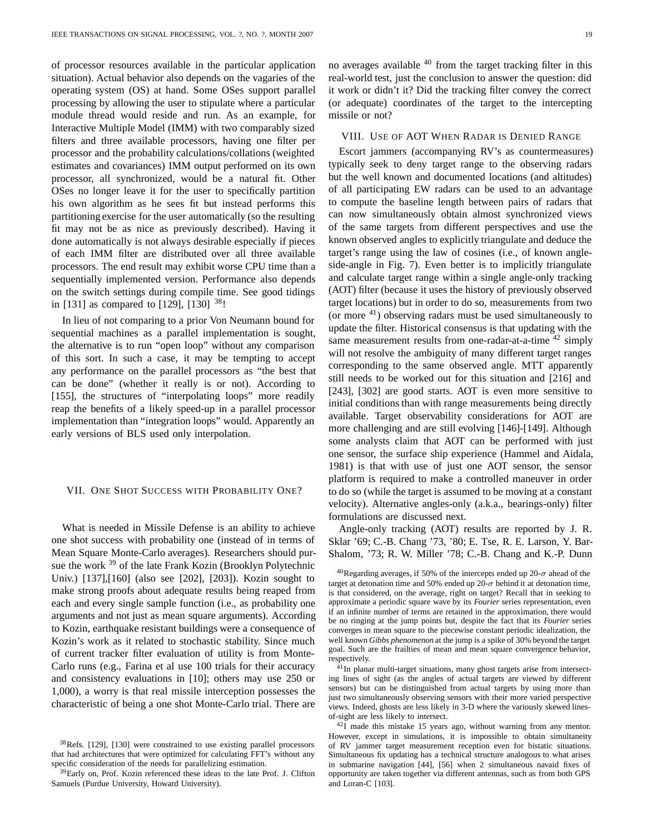of processor resources available in the particular application situation). Actual behavior also depends on the vagaries of the operating system (OS) at hand. Some OSes support parallel processing by allowing the user to stipulate where a particular module thread would reside and run. As an example, for Interactive Multiple Model (IMM) with two comparably sized filters and three available processors, having one filter per processor and the probability calculations/collations (weighted estimates and covariances) IMM output performed on its own processor, all synchronized, would be a natural fit. Other OSes no longer leave it for the user to specifically partition his own algorithm as he sees fit but instead performs this partitioning exercise for the user automatically (so the resulting fit may not be as nice as previously described). Having it done automatically is not always desirable especially if pieces of each IMM filter are distributed over all three available processors. The end result may exhibit worse CPU time than a sequentially implemented version. Performance also depends on the switch settings during compile time. See good tidings in [131] as compared to [129], [130]  $^{38}$ !

In lieu of not comparing to a prior Von Neumann bound for sequential machines as a parallel implementation is sought, the alternative is to run "open loop" without any comparison of this sort. In such a case, it may be tempting to accept any performance on the parallel processors as "the best that can be done" (whether it really is or not). According to [155], the structures of "interpolating loops" more readily reap the benefits of a likely speed-up in a parallel processor implementation than "integration loops" would. Apparently an early versions of BLS used only interpolation.

## VII. ONE SHOT SUCCESS WITH PROBABILITY ONE?

What is needed in Missile Defense is an ability to achieve one shot success with probability one (instead of in terms of Mean Square Monte-Carlo averages). Researchers should pursue the work <sup>39</sup> of the late Frank Kozin (Brooklyn Polytechnic Univ.) [137],[160] (also see [202], [203]). Kozin sought to make strong proofs about adequate results being reaped from each and every single sample function (i.e., as probability one arguments and not just as mean square arguments). According to Kozin, earthquake resistant buildings were a consequence of Kozin's work as it related to stochastic stability. Since much of current tracker filter evaluation of utility is from Monte-Carlo runs (e.g., Farina et al use 100 trials for their accuracy and consistency evaluations in [10]; others may use 250 or 1,000), a worry is that real missile interception possesses the characteristic of being a one shot Monte-Carlo trial. There are no averages available  $40$  from the target tracking filter in this real-world test, just the conclusion to answer the question: did it work or didn't it? Did the tracking filter convey the correct (or adequate) coordinates of the target to the intercepting missile or not?

#### VIII. USE OF AOT WHEN RADAR IS DENIED RANGE

Escort jammers (accompanying RV's as countermeasures) typically seek to deny target range to the observing radars but the well known and documented locations (and altitudes) of all participating EW radars can be used to an advantage to compute the baseline length between pairs of radars that can now simultaneously obtain almost synchronized views of the same targets from different perspectives and use the known observed angles to explicitly triangulate and deduce the target's range using the law of cosines (i.e., of known angleside-angle in Fig. 7). Even better is to implicitly triangulate and calculate target range within a single angle-only tracking (AOT) filter (because it uses the history of previously observed target locations) but in order to do so, measurements from two (or more  $41$ ) observing radars must be used simultaneously to update the filter. Historical consensus is that updating with the same measurement results from one-radar-at-a-time <sup>42</sup> simply will not resolve the ambiguity of many different target ranges corresponding to the same observed angle. MTT apparently still needs to be worked out for this situation and [216] and [243], [302] are good starts. AOT is even more sensitive to initial conditions than with range measurements being directly available. Target observability considerations for AOT are more challenging and are still evolving [146]-[149]. Although some analysts claim that AOT can be performed with just one sensor, the surface ship experience (Hammel and Aidala, 1981) is that with use of just one AOT sensor, the sensor platform is required to make a controlled maneuver in order to do so (while the target is assumed to be moving at a constant velocity). Alternative angles-only (a.k.a., bearings-only) filter formulations are discussed next.

Angle-only tracking (AOT) results are reported by J. R. Sklar '69; C.-B. Chang '73, '80; E. Tse, R. E. Larson, Y. Bar-Shalom, '73; R. W. Miller '78; C.-B. Chang and K.-P. Dunn

<sup>40</sup>Regarding averages, if 50% of the intercepts ended up 20- $\sigma$  ahead of the target at detonation time and 50% ended up  $20$ - $\sigma$  behind it at detonation time, is that considered, on the average, right on target? Recall that in seeking to approximate a periodic square wave by its *Fourier* series representation, even if an infinite number of terms are retained in the approximation, there would be no ringing at the jump points but, despite the fact that its *Fourier* series converges in mean square to the piecewise constant periodic idealization, the well known *Gibbs phenomenon* at the jump is a spike of 30% beyond the target goal. Such are the frailties of mean and mean square convergence behavior, respectively.

<sup>41</sup>In planar multi-target situations, many ghost targets arise from intersecting lines of sight (as the angles of actual targets are viewed by different sensors) but can be distinguished from actual targets by using more than just two simultaneously observing sensors with their more varied perspective views. Indeed, ghosts are less likely in 3-D where the variously skewed linesof-sight are less likely to intersect.

42I made this mistake 15 years ago, without warning from any mentor. However, except in simulations, it is impossible to obtain simultaneity of RV jammer target measurement reception even for bistatic situations. Simultaneous fix updating has a technical structure analogous to what arises in submarine navigation [44], [56] when 2 simultaneous navaid fixes of opportunity are taken together via different antennas, such as from both GPS and Loran-C [103].

<sup>38</sup>Refs. [129], [130] were constrained to use existing parallel processors that had architectures that were optimized for calculating FFT's without any specific consideration of the needs for parallelizing estimation.

 $39$ Early on, Prof. Kozin referenced these ideas to the late Prof. J. Clifton Samuels (Purdue University, Howard University).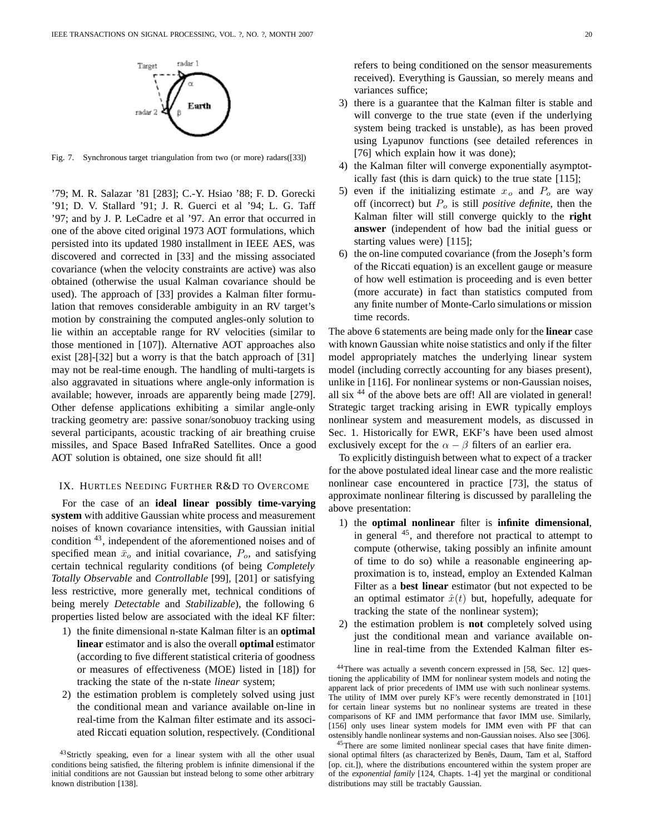

Fig. 7. Synchronous target triangulation from two (or more) radars([33])

'79; M. R. Salazar '81 [283]; C.-Y. Hsiao '88; F. D. Gorecki '91; D. V. Stallard '91; J. R. Guerci et al '94; L. G. Taff '97; and by J. P. LeCadre et al '97. An error that occurred in one of the above cited original 1973 AOT formulations, which persisted into its updated 1980 installment in IEEE AES, was discovered and corrected in [33] and the missing associated covariance (when the velocity constraints are active) was also obtained (otherwise the usual Kalman covariance should be used). The approach of [33] provides a Kalman filter formulation that removes considerable ambiguity in an RV target's motion by constraining the computed angles-only solution to lie within an acceptable range for RV velocities (similar to those mentioned in [107]). Alternative AOT approaches also exist [28]-[32] but a worry is that the batch approach of [31] may not be real-time enough. The handling of multi-targets is also aggravated in situations where angle-only information is available; however, inroads are apparently being made [279]. Other defense applications exhibiting a similar angle-only tracking geometry are: passive sonar/sonobuoy tracking using several participants, acoustic tracking of air breathing cruise missiles, and Space Based InfraRed Satellites. Once a good AOT solution is obtained, one size should fit all!

#### IX. HURTLES NEEDING FURTHER R&D TO OVERCOME

For the case of an **ideal linear possibly time-varying system** with additive Gaussian white process and measurement noises of known covariance intensities, with Gaussian initial condition 43, independent of the aforementioned noises and of specified mean  $\bar{x}_o$  and initial covariance,  $P_o$ , and satisfying certain technical regularity conditions (of being *Completely Totally Observable* and *Controllable* [99], [201] or satisfying less restrictive, more generally met, technical conditions of being merely *Detectable* and *Stabilizable*), the following 6 properties listed below are associated with the ideal KF filter:

- 1) the finite dimensional n-state Kalman filter is an **optimal linear** estimator and is also the overall **optimal** estimator (according to five different statistical criteria of goodness or measures of effectiveness (MOE) listed in [18]) for tracking the state of the n-state *linear* system;
- 2) the estimation problem is completely solved using just the conditional mean and variance available on-line in real-time from the Kalman filter estimate and its associated Riccati equation solution, respectively. (Conditional

refers to being conditioned on the sensor measurements received). Everything is Gaussian, so merely means and variances suffice;

- 3) there is a guarantee that the Kalman filter is stable and will converge to the true state (even if the underlying system being tracked is unstable), as has been proved using Lyapunov functions (see detailed references in [76] which explain how it was done);
- 4) the Kalman filter will converge exponentially asymptotically fast (this is darn quick) to the true state [115];
- 5) even if the initializing estimate  $x_o$  and  $P_o$  are way off (incorrect) but  $P<sub>o</sub>$  is still *positive definite*, then the Kalman filter will still converge quickly to the **right answer** (independent of how bad the initial guess or starting values were) [115];
- 6) the on-line computed covariance (from the Joseph's form of the Riccati equation) is an excellent gauge or measure of how well estimation is proceeding and is even better (more accurate) in fact than statistics computed from any finite number of Monte-Carlo simulations or mission time records.

The above 6 statements are being made only for the **linear** case with known Gaussian white noise statistics and only if the filter model appropriately matches the underlying linear system model (including correctly accounting for any biases present), unlike in [116]. For nonlinear systems or non-Gaussian noises, all six <sup>44</sup> of the above bets are off! All are violated in general! Strategic target tracking arising in EWR typically employs nonlinear system and measurement models, as discussed in Sec. 1. Historically for EWR, EKF's have been used almost exclusively except for the  $\alpha - \beta$  filters of an earlier era.

To explicitly distinguish between what to expect of a tracker for the above postulated ideal linear case and the more realistic nonlinear case encountered in practice [73], the status of approximate nonlinear filtering is discussed by paralleling the above presentation:

- 1) the **optimal nonlinear** filter is **infinite dimensional**, in general 45, and therefore not practical to attempt to compute (otherwise, taking possibly an infinite amount of time to do so) while a reasonable engineering approximation is to, instead, employ an Extended Kalman Filter as a **best linear** estimator (but not expected to be an optimal estimator  $\hat{x}(t)$  but, hopefully, adequate for tracking the state of the nonlinear system);
- 2) the estimation problem is **not** completely solved using just the conditional mean and variance available online in real-time from the Extended Kalman filter es-

44There was actually a seventh concern expressed in [58, Sec. 12] questioning the applicability of IMM for nonlinear system models and noting the apparent lack of prior precedents of IMM use with such nonlinear systems. The utility of IMM over purely KF's were recently demonstrated in [101] for certain linear systems but no nonlinear systems are treated in these comparisons of KF and IMM performance that favor IMM use. Similarly, [156] only uses linear system models for IMM even with PF that can ostensibly handle nonlinear systems and non-Gaussian noises. Also see [306].

45There are some limited nonlinear special cases that have finite dimensional optimal filters (as characterized by Beněs, Daum, Tam et al, Stafford [op. cit.]), where the distributions encountered within the system proper are of the *exponential family* [124, Chapts. 1-4] yet the marginal or conditional distributions may still be tractably Gaussian.

<sup>43</sup>Strictly speaking, even for a linear system with all the other usual conditions being satisfied, the filtering problem is infinite dimensional if the initial conditions are not Gaussian but instead belong to some other arbitrary known distribution [138].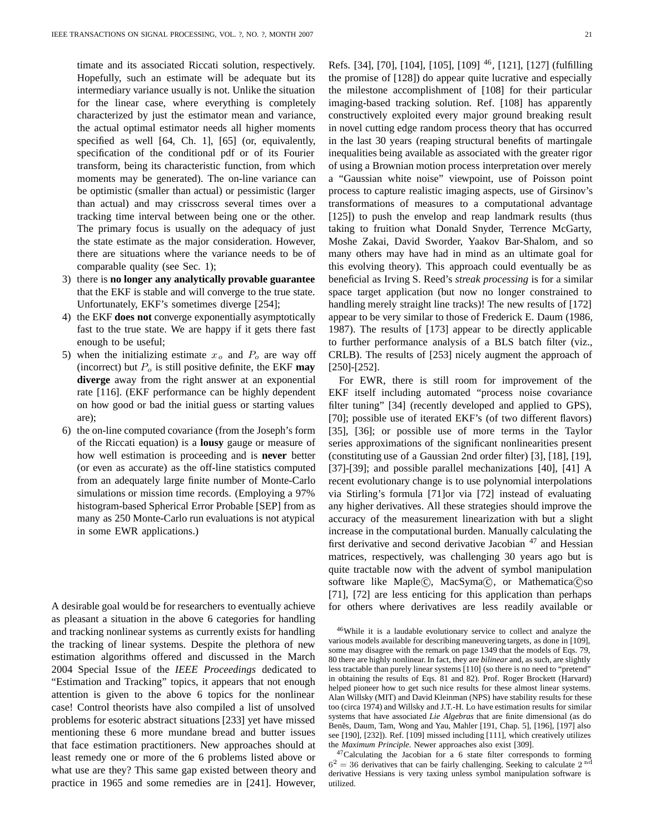timate and its associated Riccati solution, respectively. Hopefully, such an estimate will be adequate but its intermediary variance usually is not. Unlike the situation for the linear case, where everything is completely characterized by just the estimator mean and variance, the actual optimal estimator needs all higher moments specified as well [64, Ch. 1], [65] (or, equivalently, specification of the conditional pdf or of its Fourier transform, being its characteristic function, from which moments may be generated). The on-line variance can be optimistic (smaller than actual) or pessimistic (larger than actual) and may crisscross several times over a tracking time interval between being one or the other. The primary focus is usually on the adequacy of just the state estimate as the major consideration. However, there are situations where the variance needs to be of comparable quality (see Sec. 1);

- 3) there is **no longer any analytically provable guarantee** that the EKF is stable and will converge to the true state. Unfortunately, EKF's sometimes diverge [254];
- 4) the EKF **does not** converge exponentially asymptotically fast to the true state. We are happy if it gets there fast enough to be useful;
- 5) when the initializing estimate  $x<sub>o</sub>$  and  $P<sub>o</sub>$  are way off (incorrect) but  $P<sub>o</sub>$  is still positive definite, the EKF **may diverge** away from the right answer at an exponential rate [116]. (EKF performance can be highly dependent on how good or bad the initial guess or starting values are);
- 6) the on-line computed covariance (from the Joseph's form of the Riccati equation) is a **lousy** gauge or measure of how well estimation is proceeding and is **never** better (or even as accurate) as the off-line statistics computed from an adequately large finite number of Monte-Carlo simulations or mission time records. (Employing a 97% histogram-based Spherical Error Probable [SEP] from as many as 250 Monte-Carlo run evaluations is not atypical in some EWR applications.)

A desirable goal would be for researchers to eventually achieve as pleasant a situation in the above 6 categories for handling and tracking nonlinear systems as currently exists for handling the tracking of linear systems. Despite the plethora of new estimation algorithms offered and discussed in the March 2004 Special Issue of the *IEEE Proceedings* dedicated to "Estimation and Tracking" topics, it appears that not enough attention is given to the above 6 topics for the nonlinear case! Control theorists have also compiled a list of unsolved problems for esoteric abstract situations [233] yet have missed mentioning these 6 more mundane bread and butter issues that face estimation practitioners. New approaches should at least remedy one or more of the 6 problems listed above or what use are they? This same gap existed between theory and practice in 1965 and some remedies are in [241]. However, Refs. [34], [70], [104], [105], [109] 46, [121], [127] (fulfilling the promise of [128]) do appear quite lucrative and especially the milestone accomplishment of [108] for their particular imaging-based tracking solution. Ref. [108] has apparently constructively exploited every major ground breaking result in novel cutting edge random process theory that has occurred in the last 30 years (reaping structural benefits of martingale inequalities being available as associated with the greater rigor of using a Brownian motion process interpretation over merely a "Gaussian white noise" viewpoint, use of Poisson point process to capture realistic imaging aspects, use of Girsinov's transformations of measures to a computational advantage [125]) to push the envelop and reap landmark results (thus taking to fruition what Donald Snyder, Terrence McGarty, Moshe Zakai, David Sworder, Yaakov Bar-Shalom, and so many others may have had in mind as an ultimate goal for this evolving theory). This approach could eventually be as beneficial as Irving S. Reed's *streak processing* is for a similar space target application (but now no longer constrained to handling merely straight line tracks)! The new results of [172] appear to be very similar to those of Frederick E. Daum (1986, 1987). The results of [173] appear to be directly applicable to further performance analysis of a BLS batch filter (viz., CRLB). The results of [253] nicely augment the approach of [250]-[252].

For EWR, there is still room for improvement of the EKF itself including automated "process noise covariance filter tuning" [34] (recently developed and applied to GPS), [70]; possible use of iterated EKF's (of two different flavors) [35], [36]; or possible use of more terms in the Taylor series approximations of the significant nonlinearities present (constituting use of a Gaussian 2nd order filter) [3], [18], [19], [37]-[39]; and possible parallel mechanizations [40], [41] A recent evolutionary change is to use polynomial interpolations via Stirling's formula [71]or via [72] instead of evaluating any higher derivatives. All these strategies should improve the accuracy of the measurement linearization with but a slight increase in the computational burden. Manually calculating the first derivative and second derivative Jacobian <sup>47</sup> and Hessian matrices, respectively, was challenging 30 years ago but is quite tractable now with the advent of symbol manipulation software like Maple(C), MacSyma(C), or Mathematica(C)so [71], [72] are less enticing for this application than perhaps for others where derivatives are less readily available or

47Calculating the Jacobian for a 6 state filter corresponds to forming  $6<sup>2</sup> = 36$  derivatives that can be fairly challenging. Seeking to calculate 2<sup>nd</sup> derivative Hessians is very taxing unless symbol manipulation software is utilized.

<sup>46</sup>While it is a laudable evolutionary service to collect and analyze the various models available for describing maneuvering targets, as done in [109], some may disagree with the remark on page 1349 that the models of Eqs. 79, 80 there are highly nonlinear. In fact, they are *bilinear* and, as such, are slightly less tractable than purely linear systems [110] (so there is no need to "pretend" in obtaining the results of Eqs. 81 and 82). Prof. Roger Brockett (Harvard) helped pioneer how to get such nice results for these almost linear systems. Alan Willsky (MIT) and David Kleinman (NPS) have stability results for these too (circa 1974) and Willsky and J.T.-H. Lo have estimation results for similar systems that have associated *Lie Algebras* that are finite dimensional (as do Beněs, Daum, Tam, Wong and Yau, Mahler [191, Chap. 5], [196], [197] also see [190], [232]). Ref. [109] missed including [111], which creatively utilizes the *Maximum Principle*. Newer approaches also exist [309].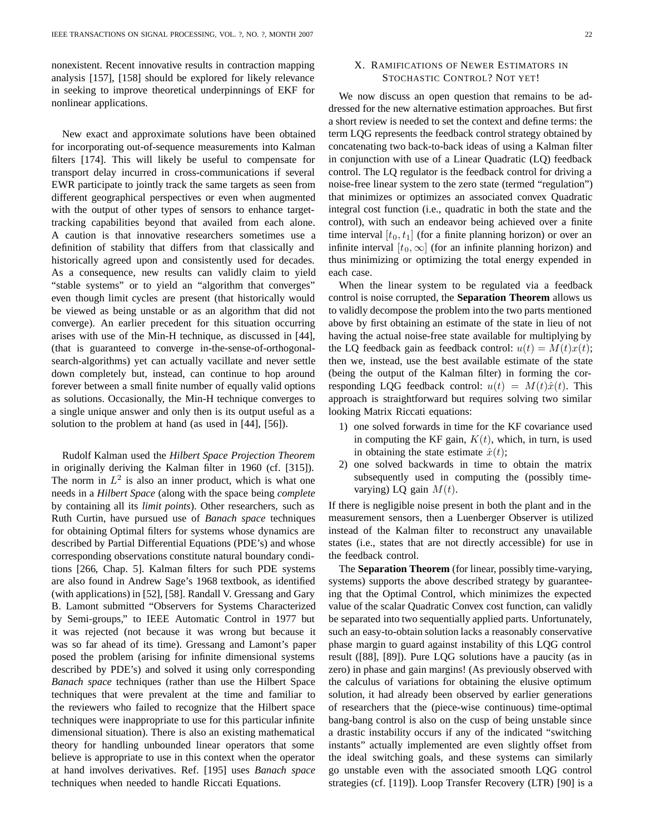nonexistent. Recent innovative results in contraction mapping analysis [157], [158] should be explored for likely relevance in seeking to improve theoretical underpinnings of EKF for nonlinear applications.

New exact and approximate solutions have been obtained for incorporating out-of-sequence measurements into Kalman filters [174]. This will likely be useful to compensate for transport delay incurred in cross-communications if several EWR participate to jointly track the same targets as seen from different geographical perspectives or even when augmented with the output of other types of sensors to enhance targettracking capabilities beyond that availed from each alone. A caution is that innovative researchers sometimes use a definition of stability that differs from that classically and historically agreed upon and consistently used for decades. As a consequence, new results can validly claim to yield "stable systems" or to yield an "algorithm that converges" even though limit cycles are present (that historically would be viewed as being unstable or as an algorithm that did not converge). An earlier precedent for this situation occurring arises with use of the Min-H technique, as discussed in [44], (that is guaranteed to converge in-the-sense-of-orthogonalsearch-algorithms) yet can actually vacillate and never settle down completely but, instead, can continue to hop around forever between a small finite number of equally valid options as solutions. Occasionally, the Min-H technique converges to a single unique answer and only then is its output useful as a solution to the problem at hand (as used in [44], [56]).

Rudolf Kalman used the *Hilbert Space Projection Theorem* in originally deriving the Kalman filter in 1960 (cf. [315]). The norm in  $L^2$  is also an inner product, which is what one needs in a *Hilbert Space* (along with the space being *complete* by containing all its *limit points*). Other researchers, such as Ruth Curtin, have pursued use of *Banach space* techniques for obtaining Optimal filters for systems whose dynamics are described by Partial Differential Equations (PDE's) and whose corresponding observations constitute natural boundary conditions [266, Chap. 5]. Kalman filters for such PDE systems are also found in Andrew Sage's 1968 textbook, as identified (with applications) in [52], [58]. Randall V. Gressang and Gary B. Lamont submitted "Observers for Systems Characterized by Semi-groups," to IEEE Automatic Control in 1977 but it was rejected (not because it was wrong but because it was so far ahead of its time). Gressang and Lamont's paper posed the problem (arising for infinite dimensional systems described by PDE's) and solved it using only corresponding *Banach space* techniques (rather than use the Hilbert Space techniques that were prevalent at the time and familiar to the reviewers who failed to recognize that the Hilbert space techniques were inappropriate to use for this particular infinite dimensional situation). There is also an existing mathematical theory for handling unbounded linear operators that some believe is appropriate to use in this context when the operator at hand involves derivatives. Ref. [195] uses *Banach space* techniques when needed to handle Riccati Equations.

## X. RAMIFICATIONS OF NEWER ESTIMATORS IN STOCHASTIC CONTROL? NOT YET!

We now discuss an open question that remains to be addressed for the new alternative estimation approaches. But first a short review is needed to set the context and define terms: the term LQG represents the feedback control strategy obtained by concatenating two back-to-back ideas of using a Kalman filter in conjunction with use of a Linear Quadratic (LQ) feedback control. The LQ regulator is the feedback control for driving a noise-free linear system to the zero state (termed "regulation") that minimizes or optimizes an associated convex Quadratic integral cost function (i.e., quadratic in both the state and the control), with such an endeavor being achieved over a finite time interval  $[t_0, t_1]$  (for a finite planning horizon) or over an infinite interval  $[t_0, \infty]$  (for an infinite planning horizon) and thus minimizing or optimizing the total energy expended in each case.

When the linear system to be regulated via a feedback control is noise corrupted, the **Separation Theorem** allows us to validly decompose the problem into the two parts mentioned above by first obtaining an estimate of the state in lieu of not having the actual noise-free state available for multiplying by the LQ feedback gain as feedback control:  $u(t) = M(t)x(t)$ ; then we, instead, use the best available estimate of the state (being the output of the Kalman filter) in forming the corresponding LQG feedback control:  $u(t) = M(t)\hat{x}(t)$ . This approach is straightforward but requires solving two similar looking Matrix Riccati equations:

- 1) one solved forwards in time for the KF covariance used in computing the KF gain,  $K(t)$ , which, in turn, is used in obtaining the state estimate  $\hat{x}(t)$ ;
- 2) one solved backwards in time to obtain the matrix subsequently used in computing the (possibly timevarying) LQ gain  $M(t)$ .

If there is negligible noise present in both the plant and in the measurement sensors, then a Luenberger Observer is utilized instead of the Kalman filter to reconstruct any unavailable states (i.e., states that are not directly accessible) for use in the feedback control.

The **Separation Theorem** (for linear, possibly time-varying, systems) supports the above described strategy by guaranteeing that the Optimal Control, which minimizes the expected value of the scalar Quadratic Convex cost function, can validly be separated into two sequentially applied parts. Unfortunately, such an easy-to-obtain solution lacks a reasonably conservative phase margin to guard against instability of this LQG control result ([88], [89]). Pure LQG solutions have a paucity (as in zero) in phase and gain margins! (As previously observed with the calculus of variations for obtaining the elusive optimum solution, it had already been observed by earlier generations of researchers that the (piece-wise continuous) time-optimal bang-bang control is also on the cusp of being unstable since a drastic instability occurs if any of the indicated "switching instants" actually implemented are even slightly offset from the ideal switching goals, and these systems can similarly go unstable even with the associated smooth LQG control strategies (cf. [119]). Loop Transfer Recovery (LTR) [90] is a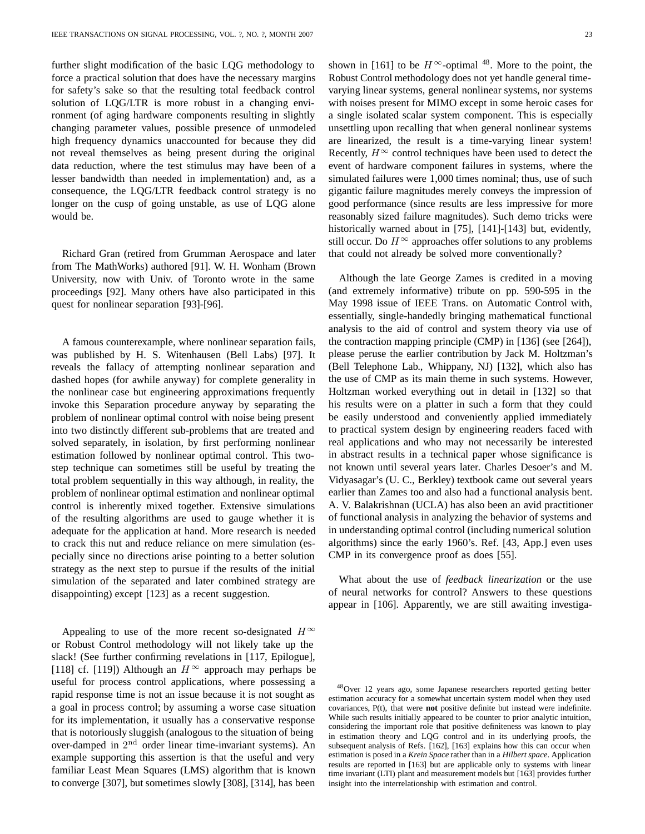further slight modification of the basic LQG methodology to force a practical solution that does have the necessary margins for safety's sake so that the resulting total feedback control solution of LQG/LTR is more robust in a changing environment (of aging hardware components resulting in slightly changing parameter values, possible presence of unmodeled high frequency dynamics unaccounted for because they did not reveal themselves as being present during the original data reduction, where the test stimulus may have been of a lesser bandwidth than needed in implementation) and, as a consequence, the LQG/LTR feedback control strategy is no longer on the cusp of going unstable, as use of LQG alone would be.

Richard Gran (retired from Grumman Aerospace and later from The MathWorks) authored [91]. W. H. Wonham (Brown University, now with Univ. of Toronto wrote in the same proceedings [92]. Many others have also participated in this quest for nonlinear separation [93]-[96].

A famous counterexample, where nonlinear separation fails, was published by H. S. Witenhausen (Bell Labs) [97]. It reveals the fallacy of attempting nonlinear separation and dashed hopes (for awhile anyway) for complete generality in the nonlinear case but engineering approximations frequently invoke this Separation procedure anyway by separating the problem of nonlinear optimal control with noise being present into two distinctly different sub-problems that are treated and solved separately, in isolation, by first performing nonlinear estimation followed by nonlinear optimal control. This twostep technique can sometimes still be useful by treating the total problem sequentially in this way although, in reality, the problem of nonlinear optimal estimation and nonlinear optimal control is inherently mixed together. Extensive simulations of the resulting algorithms are used to gauge whether it is adequate for the application at hand. More research is needed to crack this nut and reduce reliance on mere simulation (especially since no directions arise pointing to a better solution strategy as the next step to pursue if the results of the initial simulation of the separated and later combined strategy are disappointing) except [123] as a recent suggestion.

Appealing to use of the more recent so-designated  $H^{\infty}$ or Robust Control methodology will not likely take up the slack! (See further confirming revelations in [117, Epilogue], [118] cf. [119]) Although an  $H^{\infty}$  approach may perhaps be useful for process control applications, where possessing a rapid response time is not an issue because it is not sought as a goal in process control; by assuming a worse case situation for its implementation, it usually has a conservative response that is notoriously sluggish (analogous to the situation of being over-damped in 2nd order linear time-invariant systems). An example supporting this assertion is that the useful and very familiar Least Mean Squares (LMS) algorithm that is known to converge [307], but sometimes slowly [308], [314], has been

shown in [161] to be  $H^{\infty}$ -optimal <sup>48</sup>. More to the point, the Robust Control methodology does not yet handle general timevarying linear systems, general nonlinear systems, nor systems with noises present for MIMO except in some heroic cases for a single isolated scalar system component. This is especially unsettling upon recalling that when general nonlinear systems are linearized, the result is a time-varying linear system! Recently,  $H^{\infty}$  control techniques have been used to detect the event of hardware component failures in systems, where the simulated failures were 1,000 times nominal; thus, use of such gigantic failure magnitudes merely conveys the impression of good performance (since results are less impressive for more reasonably sized failure magnitudes). Such demo tricks were historically warned about in [75], [141]-[143] but, evidently, still occur. Do  $H^{\infty}$  approaches offer solutions to any problems that could not already be solved more conventionally?

Although the late George Zames is credited in a moving (and extremely informative) tribute on pp. 590-595 in the May 1998 issue of IEEE Trans. on Automatic Control with, essentially, single-handedly bringing mathematical functional analysis to the aid of control and system theory via use of the contraction mapping principle (CMP) in [136] (see [264]), please peruse the earlier contribution by Jack M. Holtzman's (Bell Telephone Lab., Whippany, NJ) [132], which also has the use of CMP as its main theme in such systems. However, Holtzman worked everything out in detail in [132] so that his results were on a platter in such a form that they could be easily understood and conveniently applied immediately to practical system design by engineering readers faced with real applications and who may not necessarily be interested in abstract results in a technical paper whose significance is not known until several years later. Charles Desoer's and M. Vidyasagar's (U. C., Berkley) textbook came out several years earlier than Zames too and also had a functional analysis bent. A. V. Balakrishnan (UCLA) has also been an avid practitioner of functional analysis in analyzing the behavior of systems and in understanding optimal control (including numerical solution algorithms) since the early 1960's. Ref. [43, App.] even uses CMP in its convergence proof as does [55].

What about the use of *feedback linearization* or the use of neural networks for control? Answers to these questions appear in [106]. Apparently, we are still awaiting investiga-

<sup>48</sup>Over 12 years ago, some Japanese researchers reported getting better estimation accuracy for a somewhat uncertain system model when they used covariances, P(t), that were **not** positive definite but instead were indefinite. While such results initially appeared to be counter to prior analytic intuition, considering the important role that positive definiteness was known to play in estimation theory and LQG control and in its underlying proofs, the subsequent analysis of Refs. [162], [163] explains how this can occur when estimation is posed in a *Krein Space* rather than in a *Hilbert space*. Application results are reported in [163] but are applicable only to systems with linear time invariant (LTI) plant and measurement models but [163] provides further insight into the interrelationship with estimation and control.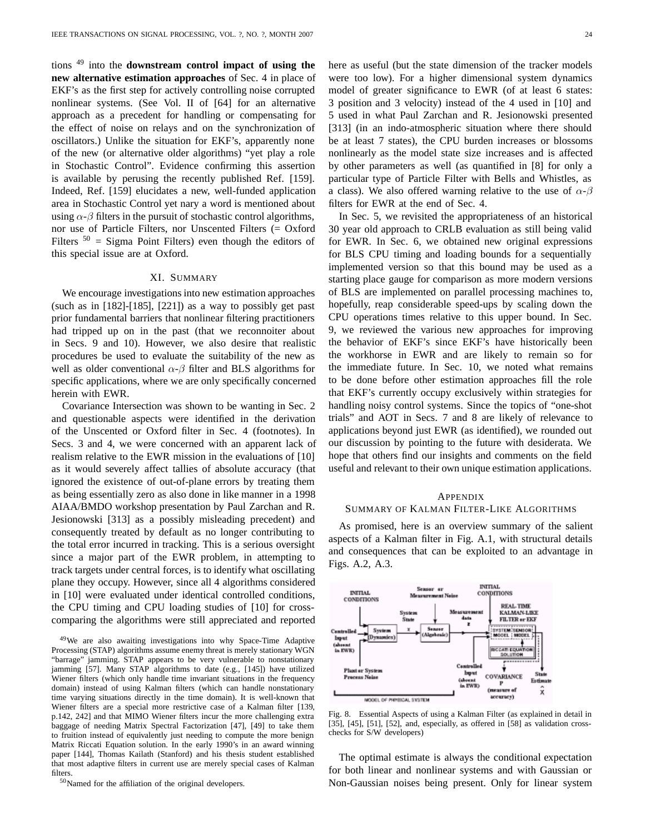tions <sup>49</sup> into the **downstream control impact of using the new alternative estimation approaches** of Sec. 4 in place of EKF's as the first step for actively controlling noise corrupted nonlinear systems. (See Vol. II of [64] for an alternative approach as a precedent for handling or compensating for the effect of noise on relays and on the synchronization of oscillators.) Unlike the situation for EKF's, apparently none of the new (or alternative older algorithms) "yet play a role in Stochastic Control". Evidence confirming this assertion is available by perusing the recently published Ref. [159]. Indeed, Ref. [159] elucidates a new, well-funded application area in Stochastic Control yet nary a word is mentioned about using  $\alpha$ - $\beta$  filters in the pursuit of stochastic control algorithms, nor use of Particle Filters, nor Unscented Filters (= Oxford Filters  $50 =$  Sigma Point Filters) even though the editors of this special issue are at Oxford.

## XI. SUMMARY

We encourage investigations into new estimation approaches (such as in  $[182]$ - $[185]$ ,  $[221]$ ) as a way to possibly get past prior fundamental barriers that nonlinear filtering practitioners had tripped up on in the past (that we reconnoiter about in Secs. 9 and 10). However, we also desire that realistic procedures be used to evaluate the suitability of the new as well as older conventional  $\alpha$ - $\beta$  filter and BLS algorithms for specific applications, where we are only specifically concerned herein with EWR.

Covariance Intersection was shown to be wanting in Sec. 2 and questionable aspects were identified in the derivation of the Unscented or Oxford filter in Sec. 4 (footnotes). In Secs. 3 and 4, we were concerned with an apparent lack of realism relative to the EWR mission in the evaluations of [10] as it would severely affect tallies of absolute accuracy (that ignored the existence of out-of-plane errors by treating them as being essentially zero as also done in like manner in a 1998 AIAA/BMDO workshop presentation by Paul Zarchan and R. Jesionowski [313] as a possibly misleading precedent) and consequently treated by default as no longer contributing to the total error incurred in tracking. This is a serious oversight since a major part of the EWR problem, in attempting to track targets under central forces, is to identify what oscillating plane they occupy. However, since all 4 algorithms considered in [10] were evaluated under identical controlled conditions, the CPU timing and CPU loading studies of [10] for crosscomparing the algorithms were still appreciated and reported

49We are also awaiting investigations into why Space-Time Adaptive Processing (STAP) algorithms assume enemy threat is merely stationary WGN "barrage" jamming. STAP appears to be very vulnerable to nonstationary jamming [57]. Many STAP algorithms to date (e.g., [145]) have utilized Wiener filters (which only handle time invariant situations in the frequency domain) instead of using Kalman filters (which can handle nonstationary time varying situations directly in the time domain). It is well-known that Wiener filters are a special more restrictive case of a Kalman filter [139, p.142, 242] and that MIMO Wiener filters incur the more challenging extra baggage of needing Matrix Spectral Factorization [47], [49] to take them to fruition instead of equivalently just needing to compute the more benign Matrix Riccati Equation solution. In the early 1990's in an award winning paper [144], Thomas Kailath (Stanford) and his thesis student established that most adaptive filters in current use are merely special cases of Kalman filters.

50Named for the affiliation of the original developers.

here as useful (but the state dimension of the tracker models were too low). For a higher dimensional system dynamics model of greater significance to EWR (of at least 6 states: 3 position and 3 velocity) instead of the 4 used in [10] and 5 used in what Paul Zarchan and R. Jesionowski presented [313] (in an indo-atmospheric situation where there should be at least 7 states), the CPU burden increases or blossoms nonlinearly as the model state size increases and is affected by other parameters as well (as quantified in [8] for only a particular type of Particle Filter with Bells and Whistles, as a class). We also offered warning relative to the use of  $\alpha$ - $\beta$ filters for EWR at the end of Sec. 4.

In Sec. 5, we revisited the appropriateness of an historical 30 year old approach to CRLB evaluation as still being valid for EWR. In Sec. 6, we obtained new original expressions for BLS CPU timing and loading bounds for a sequentially implemented version so that this bound may be used as a starting place gauge for comparison as more modern versions of BLS are implemented on parallel processing machines to, hopefully, reap considerable speed-ups by scaling down the CPU operations times relative to this upper bound. In Sec. 9, we reviewed the various new approaches for improving the behavior of EKF's since EKF's have historically been the workhorse in EWR and are likely to remain so for the immediate future. In Sec. 10, we noted what remains to be done before other estimation approaches fill the role that EKF's currently occupy exclusively within strategies for handling noisy control systems. Since the topics of "one-shot trials" and AOT in Secs. 7 and 8 are likely of relevance to applications beyond just EWR (as identified), we rounded out our discussion by pointing to the future with desiderata. We hope that others find our insights and comments on the field useful and relevant to their own unique estimation applications.

## APPENDIX

## SUMMARY OF KALMAN FILTER-LIKE ALGORITHMS

As promised, here is an overview summary of the salient aspects of a Kalman filter in Fig. A.1, with structural details and consequences that can be exploited to an advantage in Figs. A.2, A.3.



Fig. 8. Essential Aspects of using a Kalman Filter (as explained in detail in [35], [45], [51], [52], and, especially, as offered in [58] as validation crosschecks for S/W developers)

The optimal estimate is always the conditional expectation for both linear and nonlinear systems and with Gaussian or Non-Gaussian noises being present. Only for linear system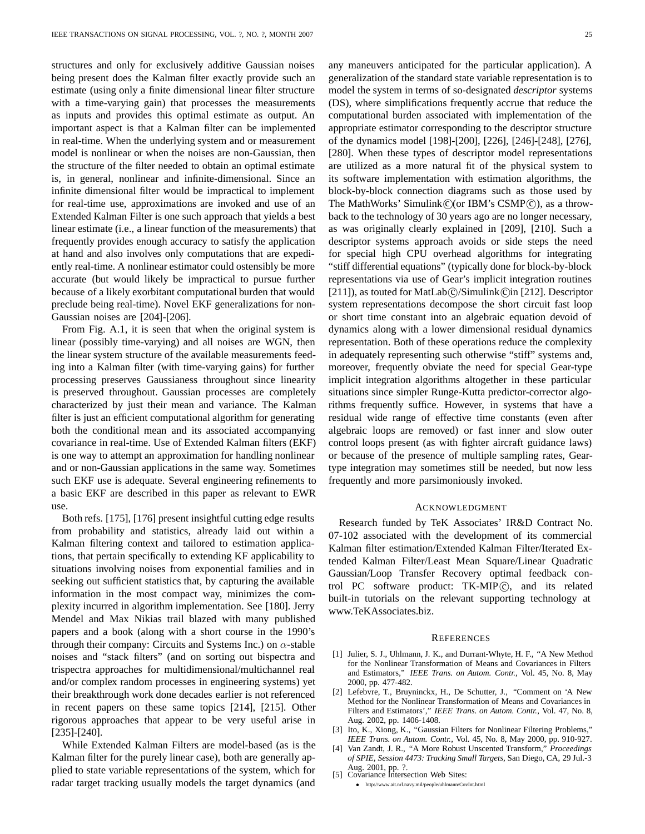structures and only for exclusively additive Gaussian noises being present does the Kalman filter exactly provide such an estimate (using only a finite dimensional linear filter structure with a time-varying gain) that processes the measurements as inputs and provides this optimal estimate as output. An important aspect is that a Kalman filter can be implemented in real-time. When the underlying system and or measurement model is nonlinear or when the noises are non-Gaussian, then the structure of the filter needed to obtain an optimal estimate is, in general, nonlinear and infinite-dimensional. Since an infinite dimensional filter would be impractical to implement for real-time use, approximations are invoked and use of an Extended Kalman Filter is one such approach that yields a best linear estimate (i.e., a linear function of the measurements) that frequently provides enough accuracy to satisfy the application at hand and also involves only computations that are expediently real-time. A nonlinear estimator could ostensibly be more accurate (but would likely be impractical to pursue further because of a likely exorbitant computational burden that would preclude being real-time). Novel EKF generalizations for non-Gaussian noises are [204]-[206].

From Fig. A.1, it is seen that when the original system is linear (possibly time-varying) and all noises are WGN, then the linear system structure of the available measurements feeding into a Kalman filter (with time-varying gains) for further processing preserves Gaussianess throughout since linearity is preserved throughout. Gaussian processes are completely characterized by just their mean and variance. The Kalman filter is just an efficient computational algorithm for generating both the conditional mean and its associated accompanying covariance in real-time. Use of Extended Kalman filters (EKF) is one way to attempt an approximation for handling nonlinear and or non-Gaussian applications in the same way. Sometimes such EKF use is adequate. Several engineering refinements to a basic EKF are described in this paper as relevant to EWR use.

Both refs. [175], [176] present insightful cutting edge results from probability and statistics, already laid out within a Kalman filtering context and tailored to estimation applications, that pertain specifically to extending KF applicability to situations involving noises from exponential families and in seeking out sufficient statistics that, by capturing the available information in the most compact way, minimizes the complexity incurred in algorithm implementation. See [180]. Jerry Mendel and Max Nikias trail blazed with many published papers and a book (along with a short course in the 1990's through their company: Circuits and Systems Inc.) on  $\alpha$ -stable noises and "stack filters" (and on sorting out bispectra and trispectra approaches for multidimensional/multichannel real and/or complex random processes in engineering systems) yet their breakthrough work done decades earlier is not referenced in recent papers on these same topics [214], [215]. Other rigorous approaches that appear to be very useful arise in [235]-[240].

While Extended Kalman Filters are model-based (as is the Kalman filter for the purely linear case), both are generally applied to state variable representations of the system, which for radar target tracking usually models the target dynamics (and any maneuvers anticipated for the particular application). A generalization of the standard state variable representation is to model the system in terms of so-designated *descriptor* systems (DS), where simplifications frequently accrue that reduce the computational burden associated with implementation of the appropriate estimator corresponding to the descriptor structure of the dynamics model [198]-[200], [226], [246]-[248], [276], [280]. When these types of descriptor model representations are utilized as a more natural fit of the physical system to its software implementation with estimation algorithms, the block-by-block connection diagrams such as those used by The MathWorks' Simulink $\mathcal{C}$  (or IBM's CSMP $\mathcal{C}$ ), as a throwback to the technology of 30 years ago are no longer necessary, as was originally clearly explained in [209], [210]. Such a descriptor systems approach avoids or side steps the need for special high CPU overhead algorithms for integrating "stiff differential equations" (typically done for block-by-block representations via use of Gear's implicit integration routines [211]), as touted for MatLab $\langle \hat{c} \rangle$ /Simulink $\langle \hat{c} \rangle$ in [212]. Descriptor system representations decompose the short circuit fast loop or short time constant into an algebraic equation devoid of dynamics along with a lower dimensional residual dynamics representation. Both of these operations reduce the complexity in adequately representing such otherwise "stiff" systems and, moreover, frequently obviate the need for special Gear-type implicit integration algorithms altogether in these particular situations since simpler Runge-Kutta predictor-corrector algorithms frequently suffice. However, in systems that have a residual wide range of effective time constants (even after algebraic loops are removed) or fast inner and slow outer control loops present (as with fighter aircraft guidance laws) or because of the presence of multiple sampling rates, Geartype integration may sometimes still be needed, but now less frequently and more parsimoniously invoked.

## ACKNOWLEDGMENT

Research funded by TeK Associates' IR&D Contract No. 07-102 associated with the development of its commercial Kalman filter estimation/Extended Kalman Filter/Iterated Extended Kalman Filter/Least Mean Square/Linear Quadratic Gaussian/Loop Transfer Recovery optimal feedback control PC software product:  $TK-MIP(\hat{c})$ , and its related built-in tutorials on the relevant supporting technology at www.TeKAssociates.biz.

#### **REFERENCES**

- [1] Julier, S. J., Uhlmann, J. K., and Durrant-Whyte, H. F., "A New Method for the Nonlinear Transformation of Means and Covariances in Filters and Estimators," *IEEE Trans. on Autom. Contr.*, Vol. 45, No. 8, May 2000, pp. 477-482.
- [2] Lefebvre, T., Bruyninckx, H., De Schutter, J., "Comment on 'A New Method for the Nonlinear Transformation of Means and Covariances in Filters and Estimators'," *IEEE Trans. on Autom. Contr.*, Vol. 47, No. 8, Aug. 2002, pp. 1406-1408.
- [3] Ito, K., Xiong, K., "Gaussian Filters for Nonlinear Filtering Problems," *IEEE Trans. on Autom. Contr.*, Vol. 45, No. 8, May 2000, pp. 910-927.
- [4] Van Zandt, J. R., "A More Robust Unscented Transform," *Proceedings of SPIE, Session 4473: Tracking Small Targets*, San Diego, CA, 29 Jul.-3
- Aug. 2001, pp. ?.<br>[5] Covariance Intersection Web Sites:
	- http://www.ait.nrl.navy.mil/people/uhlmann/CovInt.html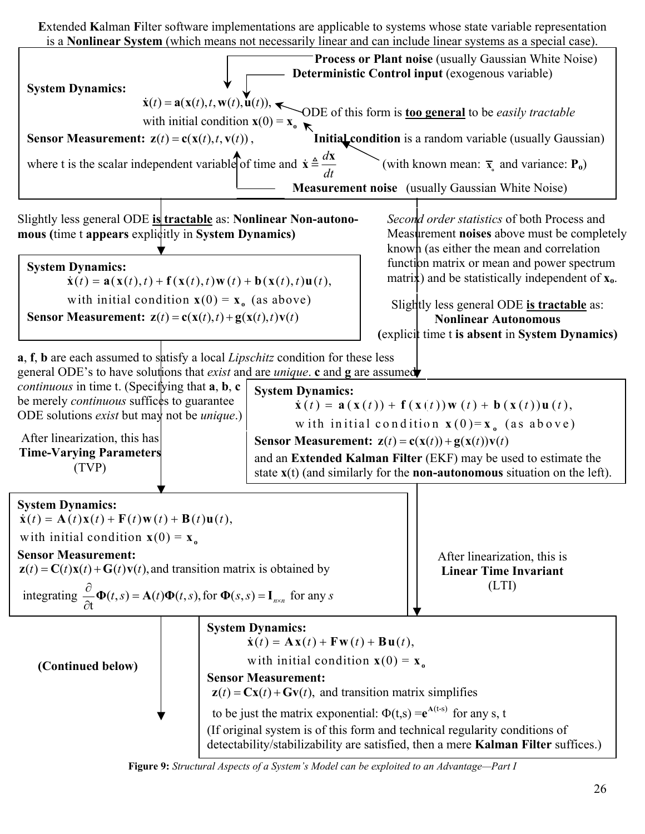**E**xtended **K**alman **F**ilter software implementations are applicable to systems whose state variable representation is a **Nonlinear System** (which means not necessarily linear and can include linear systems as a special case).



**Figure 9:** *Structural Aspects of a System's Model can be exploited to an Advantage—Part I*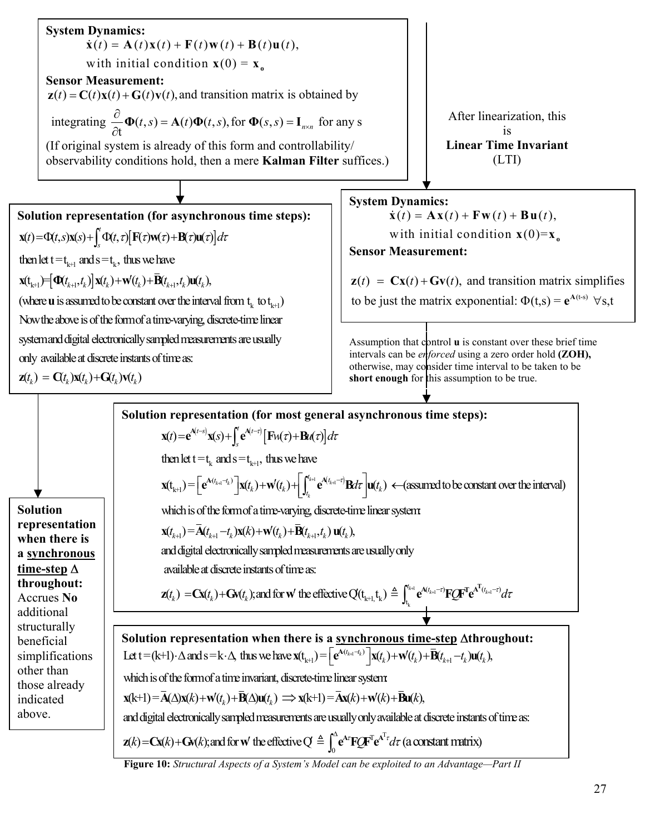**System Dynamics:**  $\dot{\mathbf{x}}(t) = \mathbf{A}\mathbf{x}(t) + \mathbf{F}\mathbf{w}(t) + \mathbf{B}\mathbf{u}(t),$ with initial condition  $\mathbf{x}(0) = \mathbf{x}_0$ **Sensor Measurement:**  to be just the matrix exponential:  $\Phi(t,s) = e^{A(t-s)} \; \forall s,t$  $z(t) = Cx(t) + Gv(t)$ , and transition matrix simplifies **Solution representation when there is a synchronous time-step** ∆ **throughout:**  Accrues **No** additional structurally beneficial simplifications other than those already indicated above. **Solution representation (for asynchronous time steps):**   $\mathbf{f}(t) = \Phi(t,s)\mathbf{x}(s) + \int^t \Phi(t,\tau) [\mathbf{F}(\tau)\mathbf{w}(\tau) + \mathbf{B}(\tau)\mathbf{u}(\tau)]$  $\mathbf{x}(t_{k+1}) = [\mathbf{\Phi}(t_{k+1}, t_k)] \mathbf{x}(t_k) + \mathbf{w}'(t_k) + \mathbf{\bar{B}}(t_{k+1}, t_k) \mathbf{u}(t_k),$ then let  $t = t_{k+1}$  and  $s = t_k$ , thus we have (where **u** is assumed to be constant over the interval from  $t_k$  to  $t_{k+1}$ )  $\mathbf{x}(t) = \Phi(t,s)\mathbf{x}(s) + \int_s^s \Phi(t,\tau) \left[ \mathbf{F}(\tau)\mathbf{w}(\tau) + \mathbf{B}(\tau)\mathbf{u}(\tau) \right] d\tau$ Now the above is of the form of a time-varying, discrete-time linear system and digital electronically sampled measurements are usually only available at discrete instants of time as:  $\mathbf{z}(t_{\iota}) = \mathbf{C}(t_{\iota})\mathbf{x}(t_{\iota}) + \mathbf{G}(t_{\iota})\mathbf{v}(t_{\iota})$ **Solution representation (for most general asynchronous time steps):**   $g(t) = e^{A(t-s)}\mathbf{x}(s) + \int^t e^{A(t-\tau)} [\mathbf{F}M(\tau) + \mathbf{B}u(\tau)]$  $(t_{k\!+\!1}$   $\neg t_k)$   $\neg$   $\mathbf{v}(t)$   $\perp$   $\mathbf{v}$  $(t)$   $\perp$   $\mathbf{v}$  $(t_{k\!+\!1}$   $\neg t$ then let  $t = t_k$  and  $s = t_{k+1}$ , thus we have  $h(t_{k+1}) = \left[ e^{\mathbf{A}(t_{k+1}-t_k)} \right] \mathbf{x}(t_k) + \mathbf{w}'(t_k) + \left[ \int_{t}^{t_{k+1}} e^{\mathbf{A}(t_{k+1}-\tau)} \mathbf{B} d\tau \right] \mathbf{u}(t_k) \leftarrow$  (assumed to be constant over the interval) which is of the form of a time-varying, discrete-time linear system: *k*  $\mathbf{x}(t) = \mathbf{e}^{A(t-s)}\mathbf{x}(s) + \int_{s}^{t} \mathbf{e}^{A(t-\tau)}\left[\mathbf{F} \mathbf{w}(\tau) + \mathbf{B} \mathbf{u}(\tau)\right] d\tau$  $(t_{k+1}-t_k)$  $\mathbf{x}(t_{k+1}) = \left[ \mathbf{e}^{\mathbf{A}(t_{k+1}-t_k)} \right] \mathbf{x}(t_k) + \mathbf{w}'(t_k) + \left[ \int_{t_k}^{t_{k+1}} \mathbf{e}^{\mathbf{A}(t_{k+1}-\tau)} \mathbf{B} d\tau \right] \mathbf{u}(t_k) \leftarrow$  $\mathbf{x}(t_{k+1}) = \overline{\mathbf{A}}(t_{k+1} - t_k)\mathbf{x}(k) + \mathbf{w}'(t_k) + \overline{\mathbf{B}}(t_{k+1}, t_k) \mathbf{u}(t_k),$ and digital electronically sampled measurements are usually only available at discrete instants of time as:  $\mathbf{A}^{\mathbf{1}}$   $\mathbf{A}^{(\ell_{k+1}-\tau)}$   $\mathbf{E}$   $\mathbf{A}^{\mathbf{1}}$   $\mathbf{A}^{\mathbf{1}}$   $(t_{k+1})$ k  $(t_{k+1}-\tau)$   $\sum_{\mathbf{L}} \prod_{\alpha} \mathbf{A}^{\mathbf{L}}(t_{k+1}-\tau)$  $\mathbf{z}(t_k) = \mathbf{C}\mathbf{x}(t_k) + \mathbf{G}\mathbf{v}(t_k)$ ; and for w' the effective  $Q(t_{k+l, t_k}) \triangleq \int_{t_k}^{t_{k+l}} e^{\mathbf{A}(t_{k+l}-\tau)} \mathbf{F} \mathbf{Q} \mathbf{F}^{\mathrm{T}} e^{\mathbf{A}^{\mathrm{T}}(t_{k+l}-\tau)} d\tau$ Assumption that control **u** is constant over these brief time intervals can be *enforced* using a zero order hold **(ZOH),**  otherwise, may consider time interval to be taken to be **short enough** for this assumption to be true. **Solution representation when there is a synchronous time-step** ∆**throughout:**  Let  $t = (k+1) \cdot \Delta$  and  $s = k \cdot \Delta$ , thus we have  $\mathbf{x}(t_{k+1}) = \left[e^{\mathbf{A}(t_{k+1} - t_k)}\right] \mathbf{x}(t_k) + \mathbf{w}(t_k) + \mathbf{B}(t_{k+1} - t_k) \mathbf{u}(t_k)$ , which is of the form of a time invariant, discrete-time linear system:  $\mathbf{x}(k+1) = \overline{\mathbf{A}}(\Delta)\mathbf{x}(k) + \mathbf{w}'(t_k) + \overline{\mathbf{B}}(\Delta)\mathbf{u}(t_k) \implies \mathbf{x}(k+1) = \overline{\mathbf{A}}\mathbf{x}(k) + \mathbf{w}'(k) + \overline{\mathbf{B}}\mathbf{u}(k),$  $\mathrm{T}_{\boldsymbol{\alpha}} \!\mathbf{A}^{\!\mathrm{T}}$  $z(k) = Cx(k) + Gv(k)$ ; and for w' the effective  $Q \triangleq \int_0^{\Delta} e^{Ax} FQF^T e^{A^T \tau} d\tau$  (a constant matrix) and digital electronically sampled measurements are usually only available at discrete instants of time as: **System Dynamics:**  $\dot{\mathbf{x}}(t) = \mathbf{A}(t)\mathbf{x}(t) + \mathbf{F}(t)\mathbf{w}(t) + \mathbf{B}(t)\mathbf{u}(t),$ with initial condition  $\mathbf{x}(0) = \mathbf{x}_0$ **Sensor Measurement:**  $z(t) = C(t)x(t) + G(t)v(t)$ , and transition matrix is obtained by integrating  $\frac{\partial}{\partial t} \Phi(t, s) = \mathbf{A}(t) \Phi(t, s)$ , for  $\Phi(s, s) = \mathbf{I}_{n \times n}$  for any s (If original system is already of this form and controllability/ observability conditions hold, then a mere **Kalman Filter** suffices.) After linearization, this is **Linear Time Invariant** (LTI)

**Figure 10:** *Structural Aspects of a System's Model can be exploited to an Advantage—Part II*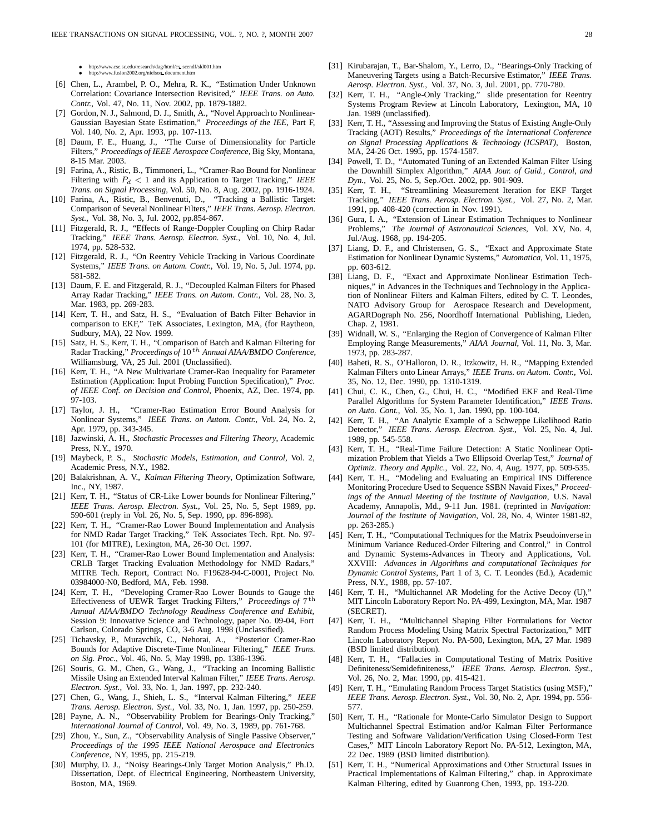- [6] Chen, L., Arambel, P. O., Mehra, R. K., "Estimation Under Unknown Correlation: Covariance Intersection Revisited," *IEEE Trans. on Auto. Contr.*, Vol. 47, No. 11, Nov. 2002, pp. 1879-1882.
- [7] Gordon, N. J., Salmond, D. J., Smith, A., "Novel Approach to Nonlinear-Gaussian Bayesian State Estimation," *Proceedings of the IEE*, Part F, Vol. 140, No. 2, Apr. 1993, pp. 107-113.
- [8] Daum, F. E., Huang, J., "The Curse of Dimensionality for Particle Filters," *Proceedings of IEEE Aerospace Conference*, Big Sky, Montana, 8-15 Mar. 2003.
- [9] Farina, A., Ristic, B., Timmoneri, L., "Cramer-Rao Bound for Nonlinear Filtering with  $P_d < 1$  and its Application to Target Tracking," *IEEE Trans. on Signal Processing*, Vol. 50, No. 8, Aug. 2002, pp. 1916-1924.
- [10] Farina, A., Ristic, B., Benvenuti, D., "Tracking a Ballistic Target: Comparison of Several Nonlinear Filters," *IEEE Trans. Aerosp. Electron. Syst.*, Vol. 38, No. 3, Jul. 2002, pp.854-867.
- [11] Fitzgerald, R. J., "Effects of Range-Doppler Coupling on Chirp Radar Tracking," *IEEE Trans. Aerosp. Electron. Syst.*, Vol. 10, No. 4, Jul. 1974, pp. 528-532.
- [12] Fitzgerald, R. J., "On Reentry Vehicle Tracking in Various Coordinate Systems," *IEEE Trans. on Autom. Contr.*, Vol. 19, No. 5, Jul. 1974, pp. 581-582.
- [13] Daum, F. E. and Fitzgerald, R. J., "Decoupled Kalman Filters for Phased Array Radar Tracking," *IEEE Trans. on Autom. Contr.*, Vol. 28, No. 3, Mar. 1983, pp. 269-283.
- [14] Kerr, T. H., and Satz, H. S., "Evaluation of Batch Filter Behavior in comparison to EKF," TeK Associates, Lexington, MA, (for Raytheon, Sudbury, MA), 22 Nov. 1999.
- [15] Satz, H. S., Kerr, T. H., "Comparison of Batch and Kalman Filtering for Radar Tracking," Proceedings of 10<sup>th</sup> Annual AIAA/BMDO Conference, Williamsburg, VA, 25 Jul. 2001 (Unclassified).
- [16] Kerr, T. H., "A New Multivariate Cramer-Rao Inequality for Parameter Estimation (Application: Input Probing Function Specification)," *Proc. of IEEE Conf. on Decision and Control*, Phoenix, AZ, Dec. 1974, pp. 97-103.
- [17] Taylor, J. H., "Cramer-Rao Estimation Error Bound Analysis for Nonlinear Systems," *IEEE Trans. on Autom. Contr.*, Vol. 24, No. 2, Apr. 1979, pp. 343-345.
- [18] Jazwinski, A. H., *Stochastic Processes and Filtering Theory*, Academic Press, N.Y., 1970.
- [19] Maybeck, P. S., *Stochastic Models, Estimation, and Control*, Vol. 2, Academic Press, N.Y., 1982.
- [20] Balakrishnan, A. V., *Kalman Filtering Theory*, Optimization Software, Inc., NY, 1987.
- [21] Kerr, T. H., "Status of CR-Like Lower bounds for Nonlinear Filtering," *IEEE Trans. Aerosp. Electron. Syst.*, Vol. 25, No. 5, Sept 1989, pp. 590-601 (reply in Vol. 26, No. 5, Sep. 1990, pp. 896-898).
- [22] Kerr, T. H., "Cramer-Rao Lower Bound Implementation and Analysis for NMD Radar Target Tracking," TeK Associates Tech. Rpt. No. 97- 101 (for MITRE), Lexington, MA, 26-30 Oct. 1997.
- [23] Kerr, T. H., "Cramer-Rao Lower Bound Implementation and Analysis: CRLB Target Tracking Evaluation Methodology for NMD Radars," MITRE Tech. Report, Contract No. F19628-94-C-0001, Project No. 03984000-N0, Bedford, MA, Feb. 1998.
- [24] Kerr, T. H., "Developing Cramer-Rao Lower Bounds to Gauge the Effectiveness of UEWR Target Tracking Filters," *Proceedings of* 7th *Annual AIAA/BMDO Technology Readiness Conference and Exhibit*, Session 9: Innovative Science and Technology, paper No. 09-04, Fort Carlson, Colorado Springs, CO, 3-6 Aug. 1998 (Unclassified).
- [25] Tichavsky, P., Muravchik, C., Nehorai, A., "Posterior Cramer-Rao Bounds for Adaptive Discrete-Time Nonlinear Filtering," *IEEE Trans. on Sig. Proc.*, Vol. 46, No. 5, May 1998, pp. 1386-1396.
- [26] Souris, G. M., Chen, G., Wang, J., "Tracking an Incoming Ballistic Missile Using an Extended Interval Kalman Filter," *IEEE Trans. Aerosp. Electron. Syst.*, Vol. 33, No. 1, Jan. 1997, pp. 232-240.
- [27] Chen, G., Wang, J., Shieh, L. S., "Interval Kalman Filtering," *IEEE Trans. Aerosp. Electron. Syst.*, Vol. 33, No. 1, Jan. 1997, pp. 250-259.
- [28] Payne, A. N., "Observability Problem for Bearings-Only Tracking," *International Journal of Control*, Vol. 49, No. 3, 1989, pp. 761-768.
- [29] Zhou, Y., Sun, Z., "Observability Analysis of Single Passive Observer," *Proceedings of the 1995 IEEE National Aerospace and Electronics Conference*, NY, 1995, pp. 215-219.
- [30] Murphy, D. J., "Noisy Bearings-Only Target Motion Analysis," Ph.D. Dissertation, Dept. of Electrical Engineering, Northeastern University, Boston, MA, 1969.
- [31] Kirubarajan, T., Bar-Shalom, Y., Lerro, D., "Bearings-Only Tracking of Maneuvering Targets using a Batch-Recursive Estimator," *IEEE Trans. Aerosp. Electron. Syst.*, Vol. 37, No. 3, Jul. 2001, pp. 770-780.
- [32] Kerr, T. H., "Angle-Only Tracking," slide presentation for Reentry Systems Program Review at Lincoln Laboratory, Lexington, MA, 10 Jan. 1989 (unclassified).
- [33] Kerr, T. H., "Assessing and Improving the Status of Existing Angle-Only Tracking (AOT) Results," *Proceedings of the International Conference on Signal Processing Applications & Technology (ICSPAT)*, Boston, MA, 24-26 Oct. 1995, pp. 1574-1587.
- [34] Powell, T. D., "Automated Tuning of an Extended Kalman Filter Using the Downhill Simplex Algorithm," *AIAA Jour. of Guid., Control, and Dyn.*, Vol. 25, No. 5, Sep./Oct. 2002, pp. 901-909.
- [35] Kerr, T. H., "Streamlining Measurement Iteration for EKF Target Tracking," *IEEE Trans. Aerosp. Electron. Syst.*, Vol. 27, No. 2, Mar. 1991, pp. 408-420 (correction in Nov. 1991).
- [36] Gura, I. A., "Extension of Linear Estimation Techniques to Nonlinear Problems," *The Journal of Astronautical Sciences*, Vol. XV, No. 4, Jul./Aug. 1968, pp. 194-205.
- [37] Liang, D. F., and Christensen, G. S., "Exact and Approximate State Estimation for Nonlinear Dynamic Systems," *Automatica*, Vol. 11, 1975, pp. 603-612.
- [38] Liang, D. F., "Exact and Approximate Nonlinear Estimation Techniques," in Advances in the Techniques and Technology in the Application of Nonlinear Filters and Kalman Filters, edited by C. T. Leondes, NATO Advisory Group for Aerospace Research and Development, AGARDograph No. 256, Noordhoff International Publishing, Lieden, Chap. 2, 1981.
- [39] Widnall, W. S., "Enlarging the Region of Convergence of Kalman Filter Employing Range Measurements," *AIAA Journal*, Vol. 11, No. 3, Mar. 1973, pp. 283-287.
- [40] Baheti, R. S., O'Halloron, D. R., Itzkowitz, H. R., "Mapping Extended Kalman Filters onto Linear Arrays," *IEEE Trans. on Autom. Contr.*, Vol. 35, No. 12, Dec. 1990, pp. 1310-1319.
- [41] Chui, C. K., Chen, G., Chui, H. C., "Modified EKF and Real-Time Parallel Algorithms for System Parameter Identification," *IEEE Trans. on Auto. Cont.*, Vol. 35, No. 1, Jan. 1990, pp. 100-104.
- [42] Kerr, T. H., "An Analytic Example of a Schweppe Likelihood Ratio Detector," *IEEE Trans. Aerosp. Electron. Syst.*, Vol. 25, No. 4, Jul. 1989, pp. 545-558.
- [43] Kerr, T. H., "Real-Time Failure Detection: A Static Nonlinear Optimization Problem that Yields a Two Ellipsoid Overlap Test," *Journal of Optimiz. Theory and Applic.*, Vol. 22, No. 4, Aug. 1977, pp. 509-535.
- [44] Kerr, T. H., "Modeling and Evaluating an Empirical INS Difference Monitoring Procedure Used to Sequence SSBN Navaid Fixes," *Proceedings of the Annual Meeting of the Institute of Navigation*, U.S. Naval Academy, Annapolis, Md., 9-11 Jun. 1981. (reprinted in *Navigation: Journal of the Institute of Navigation*, Vol. 28, No. 4, Winter 1981-82, pp. 263-285.)
- [45] Kerr, T. H., "Computational Techniques for the Matrix Pseudoinverse in Minimum Variance Reduced-Order Filtering and Control," in Control and Dynamic Systems-Advances in Theory and Applications, Vol. XXVIII: *Advances in Algorithms and computational Techniques for Dynamic Control Systems*, Part 1 of 3, C. T. Leondes (Ed.), Academic Press, N.Y., 1988, pp. 57-107.
- [46] Kerr, T. H., "Multichannel AR Modeling for the Active Decoy (U)," MIT Lincoln Laboratory Report No. PA-499, Lexington, MA, Mar. 1987 (SECRET).
- [47] Kerr, T. H., "Multichannel Shaping Filter Formulations for Vector Random Process Modeling Using Matrix Spectral Factorization," MIT Lincoln Laboratory Report No. PA-500, Lexington, MA, 27 Mar. 1989 (BSD limited distribution).
- [48] Kerr, T. H., "Fallacies in Computational Testing of Matrix Positive Definiteness/Semidefiniteness," *IEEE Trans. Aerosp. Electron. Syst.*, Vol. 26, No. 2, Mar. 1990, pp. 415-421.
- [49] Kerr, T. H., "Emulating Random Process Target Statistics (using MSF)," *IEEE Trans. Aerosp. Electron. Syst.*, Vol. 30, No. 2, Apr. 1994, pp. 556- 577.
- [50] Kerr, T. H., "Rationale for Monte-Carlo Simulator Design to Support Multichannel Spectral Estimation and/or Kalman Filter Performance Testing and Software Validation/Verification Using Closed-Form Test Cases," MIT Lincoln Laboratory Report No. PA-512, Lexington, MA, 22 Dec. 1989 (BSD limited distribution).
- [51] Kerr, T. H., "Numerical Approximations and Other Structural Issues in Practical Implementations of Kalman Filtering," chap. in Approximate Kalman Filtering, edited by Guanrong Chen, 1993, pp. 193-220.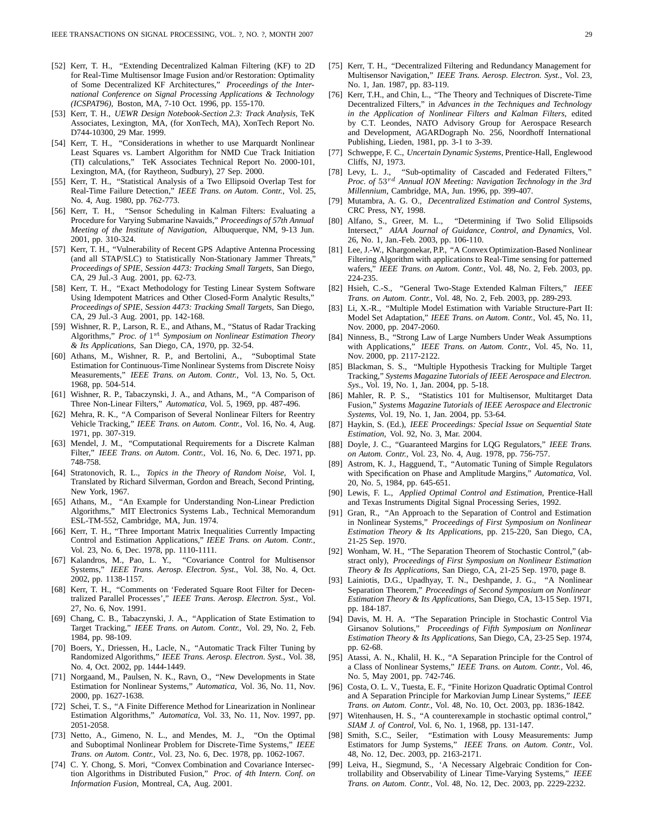- [52] Kerr, T. H., "Extending Decentralized Kalman Filtering (KF) to 2D for Real-Time Multisensor Image Fusion and/or Restoration: Optimality of Some Decentralized KF Architectures," *Proceedings of the International Conference on Signal Processing Applications & Technology (ICSPAT96)*, Boston, MA, 7-10 Oct. 1996, pp. 155-170.
- [53] Kerr, T. H., *UEWR Design Notebook-Section 2.3: Track Analysis*, TeK Associates, Lexington, MA, (for XonTech, MA), XonTech Report No. D744-10300, 29 Mar. 1999.
- [54] Kerr, T. H., "Considerations in whether to use Marquardt Nonlinear Least Squares vs. Lambert Algorithm for NMD Cue Track Initiation (TI) calculations," TeK Associates Technical Report No. 2000-101, Lexington, MA, (for Raytheon, Sudbury), 27 Sep. 2000.
- [55] Kerr, T. H., "Statistical Analysis of a Two Ellipsoid Overlap Test for Real-Time Failure Detection," *IEEE Trans. on Autom. Contr.*, Vol. 25, No. 4, Aug. 1980, pp. 762-773.
- [56] Kerr, T. H., "Sensor Scheduling in Kalman Filters: Evaluating a Procedure for Varying Submarine Navaids," *Proceedings of 57th Annual Meeting of the Institute of Navigation*, Albuquerque, NM, 9-13 Jun. 2001, pp. 310-324.
- [57] Kerr, T. H., "Vulnerability of Recent GPS Adaptive Antenna Processing (and all STAP/SLC) to Statistically Non-Stationary Jammer Threats,' *Proceedings of SPIE, Session 4473: Tracking Small Targets*, San Diego, CA, 29 Jul.-3 Aug. 2001, pp. 62-73.
- [58] Kerr, T. H., "Exact Methodology for Testing Linear System Software Using Idempotent Matrices and Other Closed-Form Analytic Results," *Proceedings of SPIE, Session 4473: Tracking Small Targets*, San Diego, CA, 29 Jul.-3 Aug. 2001, pp. 142-168.
- [59] Wishner, R. P., Larson, R. E., and Athans, M., "Status of Radar Tracking Algorithms," *Proc. of* 1st *Symposium on Nonlinear Estimation Theory & Its Applications*, San Diego, CA, 1970, pp. 32-54.
- [60] Athans, M., Wishner, R. P., and Bertolini, A., "Suboptimal State Estimation for Continuous-Time Nonlinear Systems from Discrete Noisy Measurements," *IEEE Trans. on Autom. Contr.*, Vol. 13, No. 5, Oct. 1968, pp. 504-514.
- [61] Wishner, R. P., Tabaczynski, J. A., and Athans, M., "A Comparison of Three Non-Linear Filters," *Automatica*, Vol. 5, 1969, pp. 487-496.
- [62] Mehra, R. K., "A Comparison of Several Nonlinear Filters for Reentry Vehicle Tracking," *IEEE Trans. on Autom. Contr.*, Vol. 16, No. 4, Aug. 1971, pp. 307-319.
- [63] Mendel, J. M., "Computational Requirements for a Discrete Kalman Filter," *IEEE Trans. on Autom. Contr.*, Vol. 16, No. 6, Dec. 1971, pp. 748-758.
- [64] Stratonovich, R. L., *Topics in the Theory of Random Noise*, Vol. I, Translated by Richard Silverman, Gordon and Breach, Second Printing, New York, 1967.
- [65] Athans, M., "An Example for Understanding Non-Linear Prediction Algorithms," MIT Electronics Systems Lab., Technical Memorandum ESL-TM-552, Cambridge, MA, Jun. 1974.
- [66] Kerr, T. H., "Three Important Matrix Inequalities Currently Impacting Control and Estimation Applications," *IEEE Trans. on Autom. Contr.*, Vol. 23, No. 6, Dec. 1978, pp. 1110-1111.
- [67] Kalandros, M., Pao, L. Y., "Covariance Control for Multisensor Systems," *IEEE Trans. Aerosp. Electron. Syst.*, Vol. 38, No. 4, Oct. 2002, pp. 1138-1157.
- [68] Kerr, T. H., "Comments on 'Federated Square Root Filter for Decentralized Parallel Processes'," *IEEE Trans. Aerosp. Electron. Syst.*, Vol. 27, No. 6, Nov. 1991.
- [69] Chang, C. B., Tabaczynski, J. A., "Application of State Estimation to Target Tracking," *IEEE Trans. on Autom. Contr.*, Vol. 29, No. 2, Feb. 1984, pp. 98-109.
- [70] Boers, Y., Driessen, H., Lacle, N., "Automatic Track Filter Tuning by Randomized Algorithms," *IEEE Trans. Aerosp. Electron. Syst.*, Vol. 38, No. 4, Oct. 2002, pp. 1444-1449.
- [71] Norgaand, M., Paulsen, N. K., Ravn, O., "New Developments in State Estimation for Nonlinear Systems," *Automatica*, Vol. 36, No. 11, Nov. 2000, pp. 1627-1638.
- [72] Schei, T. S., "A Finite Difference Method for Linearization in Nonlinear Estimation Algorithms," *Automatica*, Vol. 33, No. 11, Nov. 1997, pp. 2051-2058.
- [73] Netto, A., Gimeno, N. L., and Mendes, M. J., "On the Optimal and Suboptimal Nonlinear Problem for Discrete-Time Systems," *IEEE Trans. on Autom. Contr.*, Vol. 23, No. 6, Dec. 1978, pp. 1062-1067.
- [74] C. Y. Chong, S. Mori, "Convex Combination and Covariance Intersection Algorithms in Distributed Fusion," *Proc. of 4th Intern. Conf. on Information Fusion*, Montreal, CA, Aug. 2001.
- [75] Kerr, T. H., "Decentralized Filtering and Redundancy Management for Multisensor Navigation," *IEEE Trans. Aerosp. Electron. Syst.*, Vol. 23, No. 1, Jan. 1987, pp. 83-119.
- [76] Kerr, T.H., and Chin, L., "The Theory and Techniques of Discrete-Time Decentralized Filters," in *Advances in the Techniques and Technology in the Application of Nonlinear Filters and Kalman Filters*, edited by C.T. Leondes, NATO Advisory Group for Aerospace Research and Development, AGARDograph No. 256, Noordhoff International Publishing, Lieden, 1981, pp. 3-1 to 3-39.
- [77] Schweppe, F. C., *Uncertain Dynamic Systems*, Prentice-Hall, Englewood Cliffs, NJ, 1973.
- [78] Levy, L. J., "Sub-optimality of Cascaded and Federated Filters," *Proc. of* 53rd *Annual ION Meeting: Navigation Technology in the 3rd Millennium*, Cambridge, MA, Jun. 1996, pp. 399-407.
- [79] Mutambra, A. G. O., *Decentralized Estimation and Control Systems*, CRC Press, NY, 1998.
- [80] Alfano, S., Greer, M. L., "Determining if Two Solid Ellipsoids Intersect," *AIAA Journal of Guidance, Control, and Dynamics*, Vol. 26, No. 1, Jan.-Feb. 2003, pp. 106-110.
- [81] Lee, J.-W., Khargonekar, P.P., "A Convex Optimization-Based Nonlinear Filtering Algorithm with applications to Real-Time sensing for patterned wafers," *IEEE Trans. on Autom. Contr.*, Vol. 48, No. 2, Feb. 2003, pp. 224-235.
- [82] Hsieh, C.-S., "General Two-Stage Extended Kalman Filters," *IEEE Trans. on Autom. Contr.*, Vol. 48, No. 2, Feb. 2003, pp. 289-293.
- [83] Li, X.-R., "Multiple Model Estimation with Variable Structure-Part II: Model Set Adaptation," *IEEE Trans. on Autom. Contr.*, Vol. 45, No. 11, Nov. 2000, pp. 2047-2060.
- [84] Ninness, B., "Strong Law of Large Numbers Under Weak Assumptions with Applications," *IEEE Trans. on Autom. Contr.*, Vol. 45, No. 11, Nov. 2000, pp. 2117-2122.
- [85] Blackman, S. S., "Multiple Hypothesis Tracking for Multiple Target Tracking," *Systems Magazine Tutorials of IEEE Aerospace and Electron. Sys.*, Vol. 19, No. 1, Jan. 2004, pp. 5-18.
- [86] Mahler, R. P. S., "Statistics 101 for Multisensor, Multitarget Data Fusion," *Systems Magazine Tutorials of IEEE Aerospace and Electronic Systems*, Vol. 19, No. 1, Jan. 2004, pp. 53-64.
- [87] Haykin, S. (Ed.), *IEEE Proceedings: Special Issue on Sequential State Estimation*, Vol. 92, No. 3, Mar. 2004.
- [88] Doyle, J. C., "Guaranteed Margins for LQG Regulators," *IEEE Trans. on Autom. Contr.*, Vol. 23, No. 4, Aug. 1978, pp. 756-757.
- [89] Astrom, K. J., Hagguend, T., "Automatic Tuning of Simple Regulators with Specification on Phase and Amplitude Margins," *Automatica*, Vol. 20, No. 5, 1984, pp. 645-651.
- [90] Lewis, F. L., *Applied Optimal Control and Estimation*, Prentice-Hall and Texas Instruments Digital Signal Processing Series, 1992.
- [91] Gran, R., "An Approach to the Separation of Control and Estimation in Nonlinear Systems," *Proceedings of First Symposium on Nonlinear Estimation Theory & Its Applications*, pp. 215-220, San Diego, CA, 21-25 Sep. 1970.
- [92] Wonham, W. H., "The Separation Theorem of Stochastic Control," (abstract only), *Proceedings of First Symposium on Nonlinear Estimation Theory & Its Applications*, San Diego, CA, 21-25 Sep. 1970, page 8.
- [93] Lainiotis, D.G., Upadhyay, T. N., Deshpande, J. G., "A Nonlinear Separation Theorem," *Proceedings of Second Symposium on Nonlinear Estimation Theory & Its Applications*, San Diego, CA, 13-15 Sep. 1971, pp. 184-187.
- [94] Davis, M. H. A. "The Separation Principle in Stochastic Control Via Girsanov Solutions," *Proceedings of Fifth Symposium on Nonlinear Estimation Theory & Its Applications*, San Diego, CA, 23-25 Sep. 1974, pp. 62-68.
- [95] Atassi, A. N., Khalil, H. K., "A Separation Principle for the Control of a Class of Nonlinear Systems," *IEEE Trans. on Autom. Contr.*, Vol. 46, No. 5, May 2001, pp. 742-746.
- [96] Costa, O. L. V., Tuesta, E. F., "Finite Horizon Quadratic Optimal Control and A Separation Principle for Markovian Jump Linear Systems," *IEEE Trans. on Autom. Contr.*, Vol. 48, No. 10, Oct. 2003, pp. 1836-1842.
- Witenhausen, H. S., "A counterexample in stochastic optimal control," *SIAM J. of Control*, Vol. 6, No. 1, 1968, pp. 131-147.
- [98] Smith, S.C., Seiler, "Estimation with Lousy Measurements: Jump Estimators for Jump Systems," *IEEE Trans. on Autom. Contr.*, Vol. 48, No. 12, Dec. 2003, pp. 2163-2171.
- [99] Leiva, H., Siegmund, S., 'A Necessary Algebraic Condition for Controllability and Observability of Linear Time-Varying Systems," *IEEE Trans. on Autom. Contr.*, Vol. 48, No. 12, Dec. 2003, pp. 2229-2232.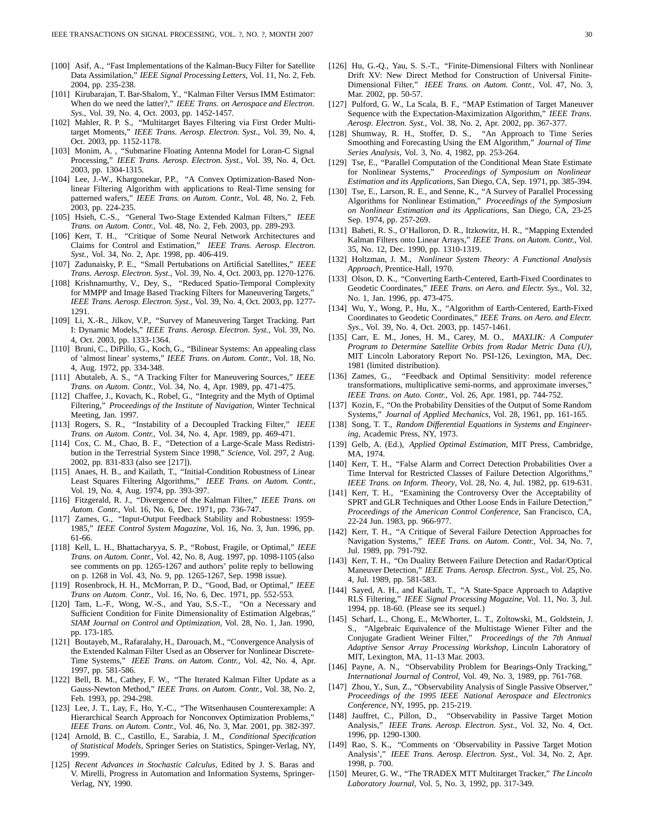- [100] Asif, A., "Fast Implementations of the Kalman-Bucy Filter for Satellite Data Assimilation," *IEEE Signal Processing Letters*, Vol. 11, No. 2, Feb. 2004, pp. 235-238.
- [101] Kirubarajan, T. Bar-Shalom, Y., "Kalman Filter Versus IMM Estimator: When do we need the latter?," *IEEE Trans. on Aerospace and Electron. Sys.*, Vol. 39, No. 4, Oct. 2003, pp. 1452-1457.
- [102] Mahler, R. P. S., "Multitarget Bayes Filtering via First Order Multitarget Moments," *IEEE Trans. Aerosp. Electron. Syst.*, Vol. 39, No. 4, Oct. 2003, pp. 1152-1178.
- [103] Monim, A., "Submarine Floating Antenna Model for Loran-C Signal Processing," *IEEE Trans. Aerosp. Electron. Syst.*, Vol. 39, No. 4, Oct. 2003, pp. 1304-1315.
- [104] Lee, J.-W., Khargonekar, P.P., "A Convex Optimization-Based Nonlinear Filtering Algorithm with applications to Real-Time sensing for patterned wafers," *IEEE Trans. on Autom. Contr.*, Vol. 48, No. 2, Feb. 2003, pp. 224-235.
- [105] Hsieh, C.-S., "General Two-Stage Extended Kalman Filters," *IEEE Trans. on Autom. Contr.*, Vol. 48, No. 2, Feb. 2003, pp. 289-293.
- [106] Kerr, T. H., "Critique of Some Neural Network Architectures and Claims for Control and Estimation," *IEEE Trans. Aerosp. Electron. Syst.*, Vol. 34, No. 2, Apr. 1998, pp. 406-419.
- [107] Zadunaisky, P. E., "Small Pertubations on Artificial Satellites," *IEEE Trans. Aerosp. Electron. Syst.*, Vol. 39, No. 4, Oct. 2003, pp. 1270-1276.
- [108] Krishnamurthy, V., Dey, S., "Reduced Spatio-Temporal Complexity for MMPP and Image Based Tracking Filters for Maneuvering Targets," *IEEE Trans. Aerosp. Electron. Syst.*, Vol. 39, No. 4, Oct. 2003, pp. 1277- 1291.
- [109] Li, X.-R., Jilkov, V.P., "Survey of Maneuvering Target Tracking. Part I: Dynamic Models," *IEEE Trans. Aerosp. Electron. Syst.*, Vol. 39, No. 4, Oct. 2003, pp. 1333-1364.
- [110] Bruni, C., DiPillo, G., Koch, G., "Bilinear Systems: An appealing class of 'almost linear' systems," *IEEE Trans. on Autom. Contr.*, Vol. 18, No. 4, Aug. 1972, pp. 334-348.
- [111] Abutaleb, A. S., "A Tracking Filter for Maneuvering Sources," *IEEE Trans. on Autom. Contr.*, Vol. 34, No. 4, Apr. 1989, pp. 471-475.
- [112] Chaffee, J., Kovach, K., Robel, G., "Integrity and the Myth of Optimal Filtering," *Proceedings of the Institute of Navigation*, Winter Technical Meeting, Jan. 1997.
- [113] Rogers, S. R., "Instability of a Decoupled Tracking Filter," *IEEE Trans. on Autom. Contr.*, Vol. 34, No. 4, Apr. 1989, pp. 469-471.
- [114] Cox, C. M., Chao, B. F., "Detection of a Large-Scale Mass Redistribution in the Terrestrial System Since 1998," *Science*, Vol. 297, 2 Aug. 2002, pp. 831-833 (also see [217]).
- [115] Anaes, H. B., and Kailath, T., "Initial-Condition Robustness of Linear Least Squares Filtering Algorithms," *IEEE Trans. on Autom. Contr.*, Vol. 19, No. 4, Aug. 1974, pp. 393-397.
- [116] Fitzgerald, R. J., "Divergence of the Kalman Filter," *IEEE Trans. on Autom. Contr.*, Vol. 16, No. 6, Dec. 1971, pp. 736-747.
- [117] Zames, G., "Input-Output Feedback Stability and Robustness: 1959- 1985," *IEEE Control System Magazine*, Vol. 16, No. 3, Jun. 1996, pp. 61-66.
- [118] Kell, L. H., Bhattacharyya, S. P., "Robust, Fragile, or Optimal," *IEEE Trans. on Autom. Contr.*, Vol. 42, No. 8, Aug. 1997, pp. 1098-1105 (also see comments on pp. 1265-1267 and authors' polite reply to bellowing on p. 1268 in Vol. 43, No. 9, pp. 1265-1267, Sep. 1998 issue).
- [119] Rosenbrock, H. H., McMorran, P. D., "Good, Bad, or Optimal," *IEEE Trans on Autom. Contr.*, Vol. 16, No. 6, Dec. 1971, pp. 552-553.
- [120] Tam, L.-F., Wong, W.-S., and Yau, S.S.-T., "On a Necessary and Sufficient Condition for Finite Dimensionality of Estimation Algebras," *SIAM Journal on Control and Optimization*, Vol. 28, No. 1, Jan. 1990, pp. 173-185.
- [121] Boutayeb, M., Rafaralahy, H., Darouach, M., "Convergence Analysis of the Extended Kalman Filter Used as an Observer for Nonlinear Discrete-Time Systems," *IEEE Trans. on Autom. Contr.*, Vol. 42, No. 4, Apr. 1997, pp. 581-586.
- [122] Bell, B. M., Cathey, F. W., "The Iterated Kalman Filter Update as a Gauss-Newton Method," *IEEE Trans. on Autom. Contr.*, Vol. 38, No. 2, Feb. 1993, pp. 294-298.
- [123] Lee, J. T., Lay, F., Ho, Y.-C., "The Witsenhausen Counterexample: A Hierarchical Search Approach for Nonconvex Optimization Problems," *IEEE Trans. on Autom. Contr.*, Vol. 46, No. 3, Mar. 2001, pp. 382-397.
- [124] Arnold, B. C., Castillo, E., Sarabia, J. M., *Conditional Specification of Statistical Models*, Springer Series on Statistics, Spinger-Verlag, NY, 1999.
- [125] *Recent Advances in Stochastic Calculus*, Edited by J. S. Baras and V. Mirelli, Progress in Automation and Information Systems, Springer-Verlag, NY, 1990.
- [126] Hu, G.-Q., Yau, S. S.-T., "Finite-Dimensional Filters with Nonlinear Drift XV: New Direct Method for Construction of Universal Finite-Dimensional Filter," *IEEE Trans. on Autom. Contr.*, Vol. 47, No. 3, Mar. 2002, pp. 50-57.
- [127] Pulford, G. W., La Scala, B. F., "MAP Estimation of Target Maneuver Sequence with the Expectation-Maximization Algorithm," *IEEE Trans. Aerosp. Electron. Syst.*, Vol. 38, No. 2, Apr. 2002, pp. 367-377.
- [128] Shumway, R. H., Stoffer, D. S., "An Approach to Time Series Smoothing and Forecasting Using the EM Algorithm," *Journal of Time Series Analysis*, Vol. 3, No. 4, 1982, pp. 253-264.
- [129] Tse, E., "Parallel Computation of the Conditional Mean State Estimate for Nonlinear Systems," *Proceedings of Symposium on Nonlinear Estimation and its Applications*, San Diego, CA, Sep. 1971, pp. 385-394.
- [130] Tse, E., Larson, R. E., and Senne, K., "A Survey of Parallel Processing Algorithms for Nonlinear Estimation," *Proceedings of the Symposium on Nonlinear Estimation and its Applications*, San Diego, CA, 23-25 Sep. 1974, pp. 257-269.
- [131] Baheti, R. S., O'Halloron, D. R., Itzkowitz, H. R., "Mapping Extended Kalman Filters onto Linear Arrays," *IEEE Trans. on Autom. Contr.*, Vol. 35, No. 12, Dec. 1990, pp. 1310-1319.
- [132] Holtzman, J. M., *Nonlinear System Theory: A Functional Analysis Approach*, Prentice-Hall, 1970.
- [133] Olson, D. K., "Converting Earth-Centered, Earth-Fixed Coordinates to Geodetic Coordinates," *IEEE Trans. on Aero. and Electr. Sys.*, Vol. 32, No. 1, Jan. 1996, pp. 473-475.
- [134] Wu, Y., Wong, P., Hu, X., "Algorithm of Earth-Centered, Earth-Fixed Coordinates to Geodetic Coordinates," *IEEE Trans. on Aero. and Electr. Sys.*, Vol. 39, No. 4, Oct. 2003, pp. 1457-1461.
- [135] Carr, E. M., Jones, H. M., Carey, M. O., *MAXLIK: A Computer Program to Determine Satellite Orbits from Radar Metric Data (U)*, MIT Lincoln Laboratory Report No. PSI-126, Lexington, MA, Dec. 1981 (limited distribution).
- [136] Zames, G., "Feedback and Optimal Sensitivity: model reference transformations, multiplicative semi-norms, and approximate inverses," *IEEE Trans. on Auto. Contr.*, Vol. 26, Apr. 1981, pp. 744-752.
- [137] Kozin, F., "On the Probability Densities of the Output of Some Random Systems," *Journal of Applied Mechanics*, Vol. 28, 1961, pp. 161-165.
- [138] Song, T. T., *Random Differential Equations in Systems and Engineering*, Academic Press, NY, 1973.
- [139] Gelb, A. (Ed.), *Applied Optimal Estimation*, MIT Press, Cambridge, MA, 1974.
- [140] Kerr, T. H., "False Alarm and Correct Detection Probabilities Over a Time Interval for Restricted Classes of Failure Detection Algorithms," *IEEE Trans. on Inform. Theory*, Vol. 28, No. 4, Jul. 1982, pp. 619-631.
- [141] Kerr, T. H., "Examining the Controversy Over the Acceptability of SPRT and GLR Techniques and Other Loose Ends in Failure Detection," *Proceedings of the American Control Conference*, San Francisco, CA, 22-24 Jun. 1983, pp. 966-977.
- [142] Kerr, T. H., "A Critique of Several Failure Detection Approaches for Navigation Systems," *IEEE Trans. on Autom. Contr.*, Vol. 34, No. 7, Jul. 1989, pp. 791-792.
- [143] Kerr, T. H., "On Duality Between Failure Detection and Radar/Optical Maneuver Detection," *IEEE Trans. Aerosp. Electron. Syst.*, Vol. 25, No. 4, Jul. 1989, pp. 581-583.
- [144] Sayed, A. H., and Kailath, T., "A State-Space Approach to Adaptive RLS Filtering," *IEEE Signal Processing Magazine*, Vol. 11, No. 3, Jul. 1994, pp. 18-60. (Please see its sequel.)
- [145] Scharf, L., Chong, E., McWhorter, L. T., Zoltowski, M., Goldstein, J. S., "Algebraic Equivalence of the Multistage Wiener Filter and the Conjugate Gradient Weiner Filter," *Proceedings of the 7th Annual Adaptive Sensor Array Processing Workshop*, Lincoln Laboratory of MIT, Lexington, MA, 11-13 Mar. 2003.
- [146] Payne, A. N., "Observability Problem for Bearings-Only Tracking," *International Journal of Control*, Vol. 49, No. 3, 1989, pp. 761-768.
- [147] Zhou, Y., Sun, Z., "Observability Analysis of Single Passive Observer," *Proceedings of the 1995 IEEE National Aerospace and Electronics Conference*, NY, 1995, pp. 215-219.
- [148] Jauffret, C., Pillon, D., "Observability in Passive Target Motion Analysis," *IEEE Trans. Aerosp. Electron. Syst.*, Vol. 32, No. 4, Oct. 1996, pp. 1290-1300.
- [149] Rao, S. K., "Comments on 'Observability in Passive Target Motion Analysis'," *IEEE Trans. Aerosp. Electron. Syst.*, Vol. 34, No. 2, Apr. 1998, p. 700.
- [150] Meurer, G. W., "The TRADEX MTT Multitarget Tracker," *The Lincoln Laboratory Journal*, Vol. 5, No. 3, 1992, pp. 317-349.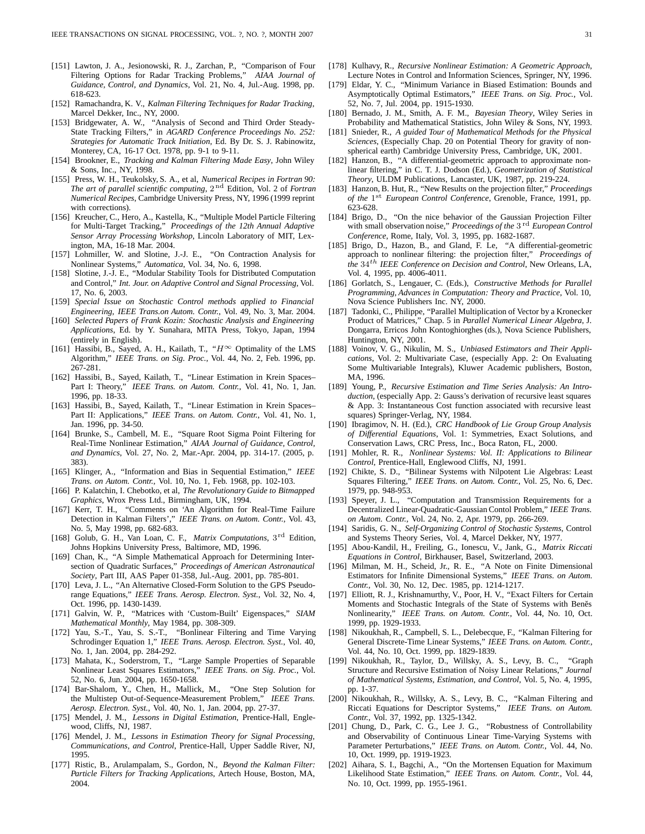- [151] Lawton, J. A., Jesionowski, R. J., Zarchan, P., "Comparison of Four Filtering Options for Radar Tracking Problems," *AIAA Journal of Guidance, Control, and Dynamics*, Vol. 21, No. 4, Jul.-Aug. 1998, pp. 618-623.
- [152] Ramachandra, K. V., *Kalman Filtering Techniques for Radar Tracking*, Marcel Dekker, Inc., NY, 2000.
- [153] Bridgewater, A. W., "Analysis of Second and Third Order Steady-State Tracking Filters," in *AGARD Conference Proceedings No. 252: Strategies for Automatic Track Initiation*, Ed. By Dr. S. J. Rabinowitz, Monterey, CA, 16-17 Oct. 1978, pp. 9-1 to 9-11.
- [154] Brookner, E., *Tracking and Kalman Filtering Made Easy*, John Wiley & Sons, Inc., NY, 1998.
- [155] Press, W. H., Teukolsky, S. A., et al, *Numerical Recipes in Fortran 90: The art of parallel scientific computing*,  $2<sup>nd</sup>$  Edition, Vol. 2 of *Fortran Numerical Recipes*, Cambridge University Press, NY, 1996 (1999 reprint with corrections).
- [156] Kreucher, C., Hero, A., Kastella, K., "Multiple Model Particle Filtering for Multi-Target Tracking," *Proceedings of the 12th Annual Adaptive Sensor Array Processing Workshop*, Lincoln Laboratory of MIT, Lexington, MA, 16-18 Mar. 2004.
- [157] Lohmiller, W. and Slotine, J.-J. E., "On Contraction Analysis for Nonlinear Systems," *Automatica*, Vol. 34, No. 6, 1998.
- [158] Slotine, J.-J. E., "Modular Stability Tools for Distributed Computation and Control," *Int. Jour. on Adaptive Control and Signal Processing*, Vol. 17, No. 6, 2003.
- [159] *Special Issue on Stochastic Control methods applied to Financial Engineering*, *IEEE Trans.on Autom. Contr.*, Vol. 49, No. 3, Mar. 2004.
- [160] *Selected Papers of Frank Kozin: Stochastic Analysis and Engineering Applications*, Ed. by Y. Sunahara, MITA Press, Tokyo, Japan, 1994 (entirely in English).
- [161] Hassibi, B., Sayed, A. H., Kailath, T., " $H^{\infty}$  Optimality of the LMS Algorithm," *IEEE Trans. on Sig. Proc.*, Vol. 44, No. 2, Feb. 1996, pp. 267-281.
- [162] Hassibi, B., Sayed, Kailath, T., "Linear Estimation in Krein Spaces– Part I: Theory," *IEEE Trans. on Autom. Contr.*, Vol. 41, No. 1, Jan. 1996, pp. 18-33.
- [163] Hassibi, B., Sayed, Kailath, T., "Linear Estimation in Krein Spaces-Part II: Applications," *IEEE Trans. on Autom. Contr.*, Vol. 41, No. 1, Jan. 1996, pp. 34-50.
- [164] Brunke, S., Cambell, M. E., "Square Root Sigma Point Filtering for Real-Time Nonlinear Estimation," *AIAA Journal of Guidance, Control, and Dynamics*, Vol. 27, No. 2, Mar.-Apr. 2004, pp. 314-17. (2005, p. 383).
- [165] Klinger, A., "Information and Bias in Sequential Estimation," *IEEE Trans. on Autom. Contr.*, Vol. 10, No. 1, Feb. 1968, pp. 102-103.
- [166] P. Kalatchin, I. Chebotko, et al, *The Revolutionary Guide to Bitmapped Graphics*, Wrox Press Ltd., Birmingham, UK, 1994.
- [167] Kerr, T. H., "Comments on 'An Algorithm for Real-Time Failure Detection in Kalman Filters'," *IEEE Trans. on Autom. Contr.*, Vol. 43, No. 5, May 1998, pp. 682-683.
- [168] Golub, G. H., Van Loan, C. F., *Matrix Computations*, 3rd Edition, Johns Hopkins University Press, Baltimore, MD, 1996.
- [169] Chan, K., "A Simple Mathematical Approach for Determining Intersection of Quadratic Surfaces," *Proceedings of American Astronautical Society*, Part III, AAS Paper 01-358, Jul.-Aug. 2001, pp. 785-801.
- [170] Leva, J. L., "An Alternative Closed-Form Solution to the GPS Pseudorange Equations," *IEEE Trans. Aerosp. Electron. Syst.*, Vol. 32, No. 4, Oct. 1996, pp. 1430-1439.
- [171] Galvin, W. P., "Matrices with 'Custom-Built' Eigenspaces," *SIAM Mathematical Monthly*, May 1984, pp. 308-309.
- [172] Yau, S.-T., Yau, S. S.-T., "Bonlinear Filtering and Time Varying Schrodinger Equation 1," *IEEE Trans. Aerosp. Electron. Syst.*, Vol. 40, No. 1, Jan. 2004, pp. 284-292.
- [173] Mahata, K., Soderstrom, T., "Large Sample Properties of Separable Nonlinear Least Squares Estimators," *IEEE Trans. on Sig. Proc.*, Vol. 52, No. 6, Jun. 2004, pp. 1650-1658.
- [174] Bar-Shalom, Y., Chen, H., Mallick, M., "One Step Solution for the Multistep Out-of-Sequence-Measurement Problem," *IEEE Trans. Aerosp. Electron. Syst.*, Vol. 40, No. 1, Jan. 2004, pp. 27-37.
- [175] Mendel, J. M., *Lessons in Digital Estimation*, Prentice-Hall, Englewood, Cliffs, NJ, 1987.
- [176] Mendel, J. M., *Lessons in Estimation Theory for Signal Processing, Communications, and Control*, Prentice-Hall, Upper Saddle River, NJ, 1995.
- [177] Ristic, B., Arulampalam, S., Gordon, N., *Beyond the Kalman Filter: Particle Filters for Tracking Applications*, Artech House, Boston, MA, 2004.
- [178] Kulhavy, R., *Recursive Nonlinear Estimation: A Geometric Approach*, Lecture Notes in Control and Information Sciences, Springer, NY, 1996.
- [179] Eldar, Y. C., "Minimum Variance in Biased Estimation: Bounds and Asymptotically Optimal Estimators," *IEEE Trans. on Sig. Proc.*, Vol. 52, No. 7, Jul. 2004, pp. 1915-1930.
- [180] Bernado, J. M., Smith, A. F. M., *Bayesian Theory*, Wiley Series in Probability and Mathematical Statistics, John Wiley & Sons, NY, 1993.
- [181] Snieder, R., *A guided Tour of Mathematical Methods for the Physical Sciences*, (Especially Chap. 20 on Potential Theory for gravity of nonspherical earth) Cambridge University Press, Cambridge, UK, 2001.
- [182] Hanzon, B., "A differential-geometric approach to approximate nonlinear filtering," in C. T. J. Dodson (Ed.), *Geometrization of Statistical Theory*, ULDM Publications, Lancaster, UK, 1987, pp. 219-224.
- [183] Hanzon, B. Hut, R., "New Results on the projection filter," *Proceedings of the* 1st *European Control Conference*, Grenoble, France, 1991, pp. 623-628.
- [184] Brigo, D., "On the nice behavior of the Gaussian Projection Filter with small observation noise," *Proceedings of the* 3<sup>rd</sup> *European Control Conference*, Rome, Italy, Vol. 3, 1995, pp. 1682-1687.
- [185] Brigo, D., Hazon, B., and Gland, F. Le, "A differential-geometric approach to nonlinear filtering: the projection filter," *Proceedings of the* 34th *IEEE Conference on Decision and Control*, New Orleans, LA, Vol. 4, 1995, pp. 4006-4011.
- [186] Gorlatch, S., Lengauer, C. (Eds.), *Constructive Methods for Parallel Programming, Advances in Computation: Theory and Practice*, Vol. 10, Nova Science Publishers Inc. NY, 2000.
- [187] Tadonki, C., Philippe, "Parallel Multiplication of Vector by a Kronecker Product of Matrices," Chap. 5 in *Parallel Numerical Linear Algebra*, J. Dongarra, Erricos John Kontoghiorghes (ds.), Nova Science Publishers, Huntington, NY, 2001.
- [188] Voinov, V. G., Nikulin, M. S., *Unbiased Estimators and Their Applications*, Vol. 2: Multivariate Case, (especially App. 2: On Evaluating Some Multivariable Integrals), Kluwer Academic publishers, Boston, MA, 1996.
- [189] Young, P., *Recursive Estimation and Time Series Analysis: An Introduction*, (especially App. 2: Gauss's derivation of recursive least squares & App. 3: Instantaneous Cost function associated with recursive least squares) Springer-Verlag, NY, 1984.
- [190] Ibragimov, N. H. (Ed.), *CRC Handbook of Lie Group Group Analysis of Differential Equations*, Vol. 1: Symmetries, Exact Solutions, and Conservation Laws, CRC Press, Inc., Boca Raton, FL, 2000.
- [191] Mohler, R. R., *Nonlinear Systems: Vol. II: Applications to Bilinear Control*, Prentice-Hall, Englewood Cliffs, NJ, 1991.
- [192] Chikte, S. D., "Bilinear Systems with Nilpotent Lie Algebras: Least Squares Filtering," *IEEE Trans. on Autom. Contr.*, Vol. 25, No. 6, Dec. 1979, pp. 948-953.
- [193] Speyer, J. L., "Computation and Transmission Requirements for a Decentralized Linear-Quadratic-Gaussian Contol Problem," *IEEE Trans. on Autom. Contr.*, Vol. 24, No. 2, Apr. 1979, pp. 266-269.
- [194] Saridis, G. N., *Self-Organizing Control of Stochastic Systems*, Control and Systems Theory Series, Vol. 4, Marcel Dekker, NY, 1977.
- [195] Abou-Kandil, H., Freiling, G., Ionescu, V., Jank, G., *Matrix Riccati Equations in Control*, Birkhauser, Basel, Switzerland, 2003.
- [196] Milman, M. H., Scheid, Jr., R. E., "A Note on Finite Dimensional Estimators for Infinite Dimensional Systems," *IEEE Trans. on Autom. Contr.*, Vol. 30, No. 12, Dec. 1985, pp. 1214-1217.
- [197] Elliott, R. J., Krishnamurthy, V., Poor, H. V., "Exact Filters for Certain Moments and Stochastic Integrals of the State of Systems with Beněs Nonlinearity," *IEEE Trans. on Autom. Contr.*, Vol. 44, No. 10, Oct. 1999, pp. 1929-1933.
- [198] Nikoukhah, R., Campbell, S. L., Delebecque, F., "Kalman Filtering for General Discrete-Time Linear Systems," *IEEE Trans. on Autom. Contr.*, Vol. 44, No. 10, Oct. 1999, pp. 1829-1839.
- [199] Nikoukhah, R., Taylor, D., Willsky, A. S., Levy, B. C., "Graph Structure and Recursive Estimation of Noisy Linear Relations," *Journal of Mathematical Systems, Estimation, and Control*, Vol. 5, No. 4, 1995, pp. 1-37.
- [200] Nikoukhah, R., Willsky, A. S., Levy, B. C., "Kalman Filtering and Riccati Equations for Descriptor Systems," *IEEE Trans. on Autom. Contr.*, Vol. 37, 1992, pp. 1325-1342.
- [201] Chung, D., Park, C. G., Lee J. G., "Robustness of Controllability and Observability of Continuous Linear Time-Varying Systems with Parameter Perturbations," *IEEE Trans. on Autom. Contr.*, Vol. 44, No. 10, Oct. 1999, pp. 1919-1923.
- [202] Aihara, S. I., Bagchi, A., "On the Mortensen Equation for Maximum Likelihood State Estimation," *IEEE Trans. on Autom. Contr.*, Vol. 44, No. 10, Oct. 1999, pp. 1955-1961.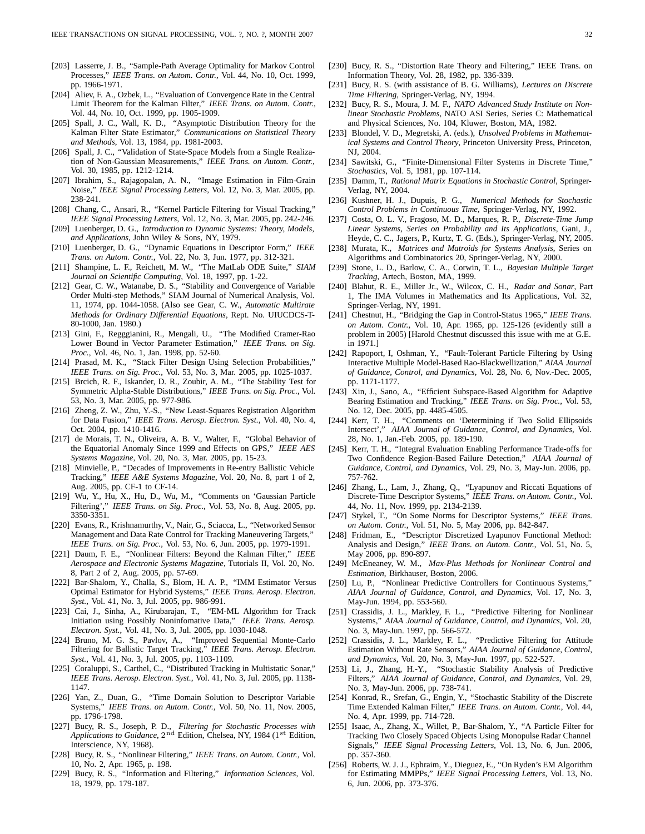- [203] Lasserre, J. B., "Sample-Path Average Optimality for Markov Control Processes," *IEEE Trans. on Autom. Contr.*, Vol. 44, No. 10, Oct. 1999, pp. 1966-1971.
- [204] Aliev, F. A., Ozbek, L., "Evaluation of Convergence Rate in the Central Limit Theorem for the Kalman Filter," *IEEE Trans. on Autom. Contr.*, Vol. 44, No. 10, Oct. 1999, pp. 1905-1909.
- [205] Spall, J. C., Wall, K. D., "Asymptotic Distribution Theory for the Kalman Filter State Estimator," *Communications on Statistical Theory and Methods*, Vol. 13, 1984, pp. 1981-2003.
- [206] Spall, J. C., "Validation of State-Space Models from a Single Realization of Non-Gaussian Measurements," *IEEE Trans. on Autom. Contr.*, Vol. 30, 1985, pp. 1212-1214.
- [207] Ibrahim, S., Rajagopalan, A. N., "Image Estimation in Film-Grain Noise," *IEEE Signal Processing Letters*, Vol. 12, No. 3, Mar. 2005, pp. 238-241.
- [208] Chang, C., Ansari, R., "Kernel Particle Filtering for Visual Tracking, *IEEE Signal Processing Letters*, Vol. 12, No. 3, Mar. 2005, pp. 242-246.
- [209] Luenberger, D. G., *Introduction to Dynamic Systems: Theory, Models, and Applications*, John Wiley & Sons, NY, 1979.
- [210] Luenberger, D. G., "Dynamic Equations in Descriptor Form," *IEEE Trans. on Autom. Contr.*, Vol. 22, No. 3, Jun. 1977, pp. 312-321.
- [211] Shampine, L. F., Reichett, M. W., "The MatLab ODE Suite," *SIAM Journal on Scientific Computing*, Vol. 18, 1997, pp. 1-22.
- [212] Gear, C. W., Watanabe, D. S., "Stability and Convergence of Variable Order Multi-step Methods," SIAM Journal of Numerical Analysis, Vol. 11, 1974, pp. 1044-1058. (Also see Gear, C. W., *Automatic Multirate Methods for Ordinary Differential Equations*, Rept. No. UIUCDCS-T-80-1000, Jan. 1980.)
- [213] Gini, F., Regggianini, R., Mengali, U., "The Modified Cramer-Rao Lower Bound in Vector Parameter Estimation," *IEEE Trans. on Sig. Proc.*, Vol. 46, No. 1, Jan. 1998, pp. 52-60.
- [214] Prasad, M. K., "Stack Filter Design Using Selection Probabilities," *IEEE Trans. on Sig. Proc.*, Vol. 53, No. 3, Mar. 2005, pp. 1025-1037.
- [215] Brcich, R. F., Iskander, D. R., Zoubir, A. M., "The Stability Test for Symmetric Alpha-Stable Distributions," *IEEE Trans. on Sig. Proc.*, Vol. 53, No. 3, Mar. 2005, pp. 977-986.
- [216] Zheng, Z. W., Zhu, Y.-S., "New Least-Squares Registration Algorithm for Data Fusion," *IEEE Trans. Aerosp. Electron. Syst.*, Vol. 40, No. 4, Oct. 2004, pp. 1410-1416.
- [217] de Morais, T. N., Oliveira, A. B. V., Walter, F., "Global Behavior of the Equatorial Anomaly Since 1999 and Effects on GPS," *IEEE AES Systems Magazine*, Vol. 20, No. 3, Mar. 2005, pp. 15-23.
- [218] Minvielle, P., "Decades of Improvements in Re-entry Ballistic Vehicle Tracking," *IEEE A&E Systems Magazine*, Vol. 20, No. 8, part 1 of 2, Aug. 2005, pp. CF-1 to CF-14.
- [219] Wu, Y., Hu, X., Hu, D., Wu, M., "Comments on 'Gaussian Particle Filtering'," *IEEE Trans. on Sig. Proc.*, Vol. 53, No. 8, Aug. 2005, pp. 3350-3351.
- [220] Evans, R., Krishnamurthy, V., Nair, G., Sciacca, L., "Networked Sensor Management and Data Rate Control for Tracking Maneuvering Targets," *IEEE Trans. on Sig. Proc.*, Vol. 53, No. 6, Jun. 2005, pp. 1979-1991.
- [221] Daum, F. E., "Nonlinear Filters: Beyond the Kalman Filter," *IEEE Aerospace and Electronic Systems Magazine*, Tutorials II, Vol. 20, No. 8, Part 2 of 2, Aug. 2005, pp. 57-69.
- [222] Bar-Shalom, Y., Challa, S., Blom, H. A. P., "IMM Estimator Versus Optimal Estimator for Hybrid Systems," *IEEE Trans. Aerosp. Electron. Syst.*, Vol. 41, No. 3, Jul. 2005, pp. 986-991.
- [223] Cai, J., Sinha, A., Kirubarajan, T., "EM-ML Algorithm for Track Initiation using Possibly Noninfomative Data," *IEEE Trans. Aerosp. Electron. Syst.*, Vol. 41, No. 3, Jul. 2005, pp. 1030-1048.
- [224] Bruno, M. G. S., Pavlov, A., "Improved Sequential Monte-Carlo Filtering for Ballistic Target Tracking," *IEEE Trans. Aerosp. Electron. Syst.*, Vol. 41, No. 3, Jul. 2005, pp. 1103-1109.
- [225] Coraluppi, S., Carthel, C., "Distributed Tracking in Multistatic Sonar," *IEEE Trans. Aerosp. Electron. Syst.*, Vol. 41, No. 3, Jul. 2005, pp. 1138- 1147.
- [226] Yan, Z., Duan, G., "Time Domain Solution to Descriptor Variable Systems," *IEEE Trans. on Autom. Contr.*, Vol. 50, No. 11, Nov. 2005, pp. 1796-1798.
- [227] Bucy, R. S., Joseph, P. D., *Filtering for Stochastic Processes with Applications to Guidance*, 2<sup>nd</sup> Edition, Chelsea, NY, 1984 (1<sup>st</sup> Edition, Interscience, NY, 1968).
- [228] Bucy, R. S., "Nonlinear Filtering," *IEEE Trans. on Autom. Contr.*, Vol. 10, No. 2, Apr. 1965, p. 198.
- [229] Bucy, R. S., "Information and Filtering," *Information Sciences*, Vol. 18, 1979, pp. 179-187.
- [230] Bucy, R. S., "Distortion Rate Theory and Filtering," IEEE Trans. on Information Theory, Vol. 28, 1982, pp. 336-339.
- [231] Bucy, R. S. (with assistance of B. G. Williams), *Lectures on Discrete Time Filtering*, Springer-Verlag, NY, 1994.
- [232] Bucy, R. S., Moura, J. M. F., *NATO Advanced Study Institute on Nonlinear Stochastic Problems*, NATO ASI Series, Series C: Mathematical and Physical Sciences, No. 104, Kluwer, Boston, MA, 1982.
- [233] Blondel, V. D., Megretski, A. (eds.), *Unsolved Problems in Mathematical Systems and Control Theory*, Princeton University Press, Princeton, NJ, 2004.
- [234] Sawitski, G., "Finite-Dimensional Filter Systems in Discrete Time," *Stochastics*, Vol. 5, 1981, pp. 107-114.
- [235] Damm, T., *Rational Matrix Equations in Stochastic Control*, Springer-Verlag, NY, 2004.
- [236] Kushner, H. J., Dupuis, P. G., *Numerical Methods for Stochastic Control Problems in Continuous Time*, Springer-Verlag, NY, 1992.
- [237] Costa, O. L. V., Fragoso, M. D., Marques, R. P., *Discrete-Time Jump Linear Systems, Series on Probability and Its Applications*, Gani, J., Heyde, C. C., Jagers, P., Kurtz, T. G. (Eds.), Springer-Verlag, NY, 2005.
- [238] Murata, K., *Matrices and Matroids for Systems Analysis*, Series on Algorithms and Combinatorics 20, Springer-Verlag, NY, 2000.
- [239] Stone, L. D., Barlow, C. A., Corwin, T. L., *Bayesian Multiple Target Tracking*, Artech, Boston, MA, 1999.
- [240] Blahut, R. E., Miller Jr., W., Wilcox, C. H., *Radar and Sonar*, Part 1, The IMA Volumes in Mathematics and Its Applications, Vol. 32, Springer-Verlag, NY, 1991.
- [241] Chestnut, H., "Bridging the Gap in Control-Status 1965," *IEEE Trans. on Autom. Contr.*, Vol. 10, Apr. 1965, pp. 125-126 (evidently still a problem in 2005) [Harold Chestnut discussed this issue with me at G.E. in 1971.]
- [242] Rapoport, I, Oshman, Y., "Fault-Tolerant Particle Filtering by Using Interactive Multiple Model-Based Rao-Blackwellization," *AIAA Journal of Guidance, Control, and Dynamics*, Vol. 28, No. 6, Nov.-Dec. 2005, pp. 1171-1177.
- [243] Xin, J., Sano, A., "Efficient Subspace-Based Algorithm for Adaptive Bearing Estimation and Tracking," *IEEE Trans. on Sig. Proc.*, Vol. 53, No. 12, Dec. 2005, pp. 4485-4505.
- [244] Kerr, T. H., "Comments on 'Determining if Two Solid Ellipsoids Intersect'," *AIAA Journal of Guidance, Control, and Dynamics*, Vol. 28, No. 1, Jan.-Feb. 2005, pp. 189-190.
- [245] Kerr, T. H., "Integral Evaluation Enabling Performance Trade-offs for Two Confidence Region-Based Failure Detection," *AIAA Journal of Guidance, Control, and Dynamics*, Vol. 29, No. 3, May-Jun. 2006, pp. 757-762.
- [246] Zhang, L., Lam, J., Zhang, Q., "Lyapunov and Riccati Equations of Discrete-Time Descriptor Systems," *IEEE Trans. on Autom. Contr.*, Vol. 44, No. 11, Nov. 1999, pp. 2134-2139.
- [247] Stykel, T., "On Some Norms for Descriptor Systems," *IEEE Trans. on Autom. Contr.*, Vol. 51, No. 5, May 2006, pp. 842-847.
- [248] Fridman, E., "Descriptor Discretized Lyapunov Functional Method: Analysis and Design," *IEEE Trans. on Autom. Contr.*, Vol. 51, No. 5, May 2006, pp. 890-897.
- [249] McEneaney, W. M., *Max-Plus Methods for Nonlinear Control and Estimation*, Birkhauser, Boston, 2006.
- [250] Lu, P., "Nonlinear Predictive Controllers for Continuous Systems," *AIAA Journal of Guidance, Control, and Dynamics*, Vol. 17, No. 3, May-Jun. 1994, pp. 553-560.
- [251] Crassidis, J. L., Markley, F. L., "Predictive Filtering for Nonlinear Systems," *AIAA Journal of Guidance, Control, and Dynamics*, Vol. 20, No. 3, May-Jun. 1997, pp. 566-572.
- [252] Crassidis, J. L., Markley, F. L., "Predictive Filtering for Attitude Estimation Without Rate Sensors," *AIAA Journal of Guidance, Control, and Dynamics*, Vol. 20, No. 3, May-Jun. 1997, pp. 522-527.
- [253] Li, J., Zhang, H.-Y., "Stochastic Stability Analysis of Predictive Filters," *AIAA Journal of Guidance, Control, and Dynamics*, Vol. 29, No. 3, May-Jun. 2006, pp. 738-741.
- [254] Konrad, R., Srefan, G., Engin, Y., "Stochastic Stability of the Discrete Time Extended Kalman Filter," *IEEE Trans. on Autom. Contr.*, Vol. 44, No. 4, Apr. 1999, pp. 714-728.
- [255] Isaac, A., Zhang, X., Willet, P., Bar-Shalom, Y., "A Particle Filter for Tracking Two Closely Spaced Objects Using Monopulse Radar Channel Signals," *IEEE Signal Processing Letters*, Vol. 13, No. 6, Jun. 2006, pp. 357-360.
- [256] Roberts, W. J. J., Ephraim, Y., Dieguez, E., "On Ryden's EM Algorithm for Estimating MMPPs," *IEEE Signal Processing Letters*, Vol. 13, No. 6, Jun. 2006, pp. 373-376.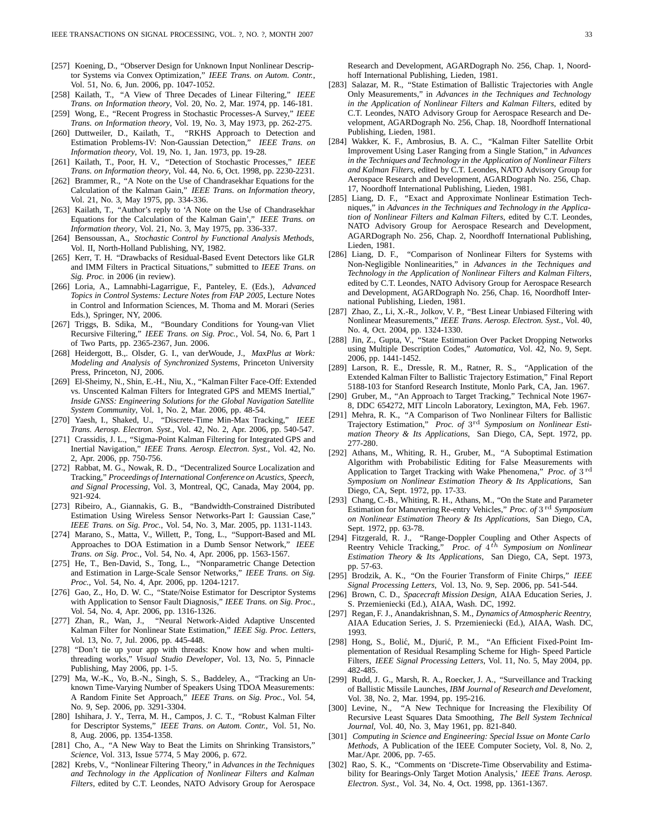- [257] Koening, D., "Observer Design for Unknown Input Nonlinear Descriptor Systems via Convex Optimization," *IEEE Trans. on Autom. Contr.*, Vol. 51, No. 6, Jun. 2006, pp. 1047-1052.
- [258] Kailath, T., "A View of Three Decades of Linear Filtering," *IEEE Trans. on Information theory*, Vol. 20, No. 2, Mar. 1974, pp. 146-181.
- [259] Wong, E., "Recent Progress in Stochastic Processes-A Survey," *IEEE Trans. on Information theory*, Vol. 19, No. 3, May 1973, pp. 262-275.
- [260] Duttweiler, D., Kailath, T., "RKHS Approach to Detection and Estimation Problems-IV: Non-Gaussian Detection," *IEEE Trans. on Information theory*, Vol. 19, No. 1, Jan. 1973, pp. 19-28.
- [261] Kailath, T., Poor, H. V., "Detection of Stochastic Processes," *IEEE Trans. on Information theory*, Vol. 44, No. 6, Oct. 1998, pp. 2230-2231.
- [262] Brammer, R., "A Note on the Use of Chandrasekhar Equations for the Calculation of the Kalman Gain," *IEEE Trans. on Information theory*, Vol. 21, No. 3, May 1975, pp. 334-336.
- [263] Kailath, T., "Author's reply to 'A Note on the Use of Chandrasekhar Equations for the Calculation of the Kalman Gain'," *IEEE Trans. on Information theory*, Vol. 21, No. 3, May 1975, pp. 336-337.
- [264] Bensoussan, A., *Stochastic Control by Functional Analysis Methods*, Vol. II, North-Holland Publishing, NY, 1982.
- [265] Kerr, T. H. "Drawbacks of Residual-Based Event Detectors like GLR and IMM Filters in Practical Situations," submitted to *IEEE Trans. on Sig. Proc.* in 2006 (in review).
- [266] Loria, A., Lamnabhi-Lagarrigue, F., Panteley, E. (Eds.), *Advanced Topics in Control Systems: Lecture Notes from FAP 2005*, Lecture Notes in Control and Information Sciences, M. Thoma and M. Morari (Series Eds.), Springer, NY, 2006.
- [267] Triggs, B. Sdika, M., "Boundary Conditions for Young-van Vliet Recursive Filtering," *IEEE Trans. on Sig. Proc.*, Vol. 54, No. 6, Part 1 of Two Parts, pp. 2365-2367, Jun. 2006.
- [268] Heidergott, B.,. Olsder, G. I., van derWoude, J., *MaxPlus at Work: Modeling and Analysis of Synchronized Systems*, Princeton University Press, Princeton, NJ, 2006.
- [269] El-Sheimy, N., Shin, E.-H., Niu, X., "Kalman Filter Face-Off: Extended vs. Unscented Kalman Filters for Integrated GPS and MEMS Inertial," *Inside GNSS: Engineering Solutions for the Global Navigation Satellite System Community*, Vol. 1, No. 2, Mar. 2006, pp. 48-54.
- [270] Yaesh, I., Shaked, U., "Discrete-Time Min-Max Tracking," *IEEE Trans. Aerosp. Electron. Syst.*, Vol. 42, No. 2, Apr. 2006, pp. 540-547.
- [271] Crassidis, J. L., "Sigma-Point Kalman Filtering for Integrated GPS and Inertial Navigation," *IEEE Trans. Aerosp. Electron. Syst.*, Vol. 42, No. 2, Apr. 2006, pp. 750-756.
- [272] Rabbat, M. G., Nowak, R. D., "Decentralized Source Localization and Tracking," *Proceedings of International Conference on Acustics, Speech, and Signal Processing*, Vol. 3, Montreal, QC, Canada, May 2004, pp. 921-924.
- [273] Ribeiro, A., Giannakis, G. B., "Bandwidth-Constrained Distributed Estimation Using Wireless Sensor Networks-Part I: Gaussian Case," *IEEE Trans. on Sig. Proc.*, Vol. 54, No. 3, Mar. 2005, pp. 1131-1143.
- [274] Marano, S., Matta, V., Willett, P., Tong, L., "Support-Based and ML Approaches to DOA Estimation in a Dumb Sensor Network," *IEEE Trans. on Sig. Proc.*, Vol. 54, No. 4, Apr. 2006, pp. 1563-1567.
- [275] He, T., Ben-David, S., Tong, L., "Nonparametric Change Detection and Estimation in Large-Scale Sensor Networks," *IEEE Trans. on Sig. Proc.*, Vol. 54, No. 4, Apr. 2006, pp. 1204-1217.
- [276] Gao, Z., Ho, D. W. C., "State/Noise Estimator for Descriptor Systems with Application to Sensor Fault Diagnosis," *IEEE Trans. on Sig. Proc.*, Vol. 54, No. 4, Apr. 2006, pp. 1316-1326.
- [277] Zhan, R., Wan, J., "Neural Network-Aided Adaptive Unscented Kalman Filter for Nonlinear State Estimation," *IEEE Sig. Proc. Letters*, Vol. 13, No. 7, Jul. 2006, pp. 445-448.
- [278] "Don't tie up your app with threads: Know how and when multithreading works," *Visual Studio Developer*, Vol. 13, No. 5, Pinnacle Publishing, May 2006, pp. 1-5.
- [279] Ma, W.-K., Vo, B.-N., Singh, S. S., Baddeley, A., "Tracking an Unknown Time-Varying Number of Speakers Using TDOA Measurements: A Random Finite Set Approach," *IEEE Trans. on Sig. Proc.*, Vol. 54, No. 9, Sep. 2006, pp. 3291-3304.
- [280] Ishihara, J. Y., Terra, M. H., Campos, J. C. T., "Robust Kalman Filter for Descriptor Systems," *IEEE Trans. on Autom. Contr.*, Vol. 51, No. 8, Aug. 2006, pp. 1354-1358.
- [281] Cho, A., "A New Way to Beat the Limits on Shrinking Transistors," *Science*, Vol. 313, Issue 5774, 5 May 2006, p. 672.
- [282] Krebs, V., "Nonlinear Filtering Theory," in *Advances in the Techniques and Technology in the Application of Nonlinear Filters and Kalman Filters*, edited by C.T. Leondes, NATO Advisory Group for Aerospace

Research and Development, AGARDograph No. 256, Chap. 1, Noordhoff International Publishing, Lieden, 1981.

- [283] Salazar, M. R., "State Estimation of Ballistic Trajectories with Angle Only Measurements," in *Advances in the Techniques and Technology in the Application of Nonlinear Filters and Kalman Filters*, edited by C.T. Leondes, NATO Advisory Group for Aerospace Research and Development, AGARDograph No. 256, Chap. 18, Noordhoff International Publishing, Lieden, 1981.
- [284] Wakker, K. F., Ambrosius, B. A. C., "Kalman Filter Satellite Orbit Improvement Using Laser Ranging from a Single Station," in *Advances in the Techniques and Technology in the Application of Nonlinear Filters and Kalman Filters*, edited by C.T. Leondes, NATO Advisory Group for Aerospace Research and Development, AGARDograph No. 256, Chap. 17, Noordhoff International Publishing, Lieden, 1981.
- [285] Liang, D. F., "Exact and Approximate Nonlinear Estimation Techniques," in *Advances in the Techniques and Technology in the Application of Nonlinear Filters and Kalman Filters*, edited by C.T. Leondes, NATO Advisory Group for Aerospace Research and Development, AGARDograph No. 256, Chap. 2, Noordhoff International Publishing, Lieden, 1981.
- [286] Liang, D. F., "Comparison of Nonlinear Filters for Systems with Non-Negligible Nonlinearities," in *Advances in the Techniques and Technology in the Application of Nonlinear Filters and Kalman Filters*, edited by C.T. Leondes, NATO Advisory Group for Aerospace Research and Development, AGARDograph No. 256, Chap. 16, Noordhoff International Publishing, Lieden, 1981.
- [287] Zhao, Z., Li, X.-R., Jolkov, V. P., "Best Linear Unbiased Filtering with Nonlinear Measurements," *IEEE Trans. Aerosp. Electron. Syst.*, Vol. 40, No. 4, Oct. 2004, pp. 1324-1330.
- [288] Jin, Z., Gupta, V., "State Estimation Over Packet Dropping Networks using Multiple Description Codes," *Automatica*, Vol. 42, No. 9, Sept. 2006, pp. 1441-1452.
- [289] Larson, R. E., Dressle, R. M., Ratner, R. S., "Application of the Extended Kalman Filter to Ballistic Trajectory Estimation," Final Report 5188-103 for Stanford Research Institute, Monlo Park, CA, Jan. 1967.
- [290] Gruber, M., "An Approach to Target Tracking," Technical Note 1967-8, DDC 654272, MIT Lincoln Laboratory, Lexington, MA, Feb. 1967.
- [291] Mehra, R. K., "A Comparison of Two Nonlinear Filters for Ballistic Trajectory Estimation," *Proc. of* 3rd *Symposium on Nonlinear Estimation Theory & Its Applications*, San Diego, CA, Sept. 1972, pp. 277-280.
- [292] Athans, M., Whiting, R. H., Gruber, M., "A Suboptimal Estimation Algorithm with Probabilistic Editing for False Measurements with Application to Target Tracking with Wake Phenomena," *Proc. of* 3 rd *Symposium on Nonlinear Estimation Theory & Its Applications*, San Diego, CA, Sept. 1972, pp. 17-33.
- [293] Chang, C.-B., Whiting, R. H., Athans, M., "On the State and Parameter Estimation for Manuvering Re-entry Vehicles," *Proc. of* 3 rd *Symposium on Nonlinear Estimation Theory & Its Applications*, San Diego, CA, Sept. 1972, pp. 63-78.
- [294] Fitzgerald, R. J., "Range-Doppler Coupling and Other Aspects of Reentry Vehicle Tracking," *Proc. of* 4th *Symposium on Nonlinear Estimation Theory & Its Applications*, San Diego, CA, Sept. 1973, pp. 57-63.
- [295] Brodzik, A. K., "On the Fourier Transform of Finite Chirps," *IEEE Signal Processing Letters,* Vol. 13, No. 9, Sep. 2006, pp. 541-544.
- [296] Brown, C. D., *Spacecraft Mission Design,* AIAA Education Series, J. S. Przemieniecki (Ed.), AIAA, Wash. DC, 1992.
- [297] Regan, F. J., Anandakrishnan, S. M., *Dynamics of Atmospheric Reentry,* AIAA Education Series, J. S. Przemieniecki (Ed.), AIAA, Wash. DC, 1993.
- [298] Hong, S., Bolić, M., Djurić, P. M., "An Efficient Fixed-Point Implementation of Residual Resampling Scheme for High- Speed Particle Filters, *IEEE Signal Processing Letters*, Vol. 11, No. 5, May 2004, pp. 482-485.
- [299] Rudd, J. G., Marsh, R. A., Roecker, J. A., "Surveillance and Tracking of Ballistic Missile Launches, *IBM Journal of Research and Develoment*, Vol. 38, No. 2, Mar. 1994, pp. 195-216.
- [300] Levine, N., "A New Technique for Increasing the Flexibility Of Recursive Least Squares Data Smoothing, *The Bell System Technical Journal*, Vol. 40, No. 3, May 1961, pp. 821-840.
- [301] *Computing in Science and Engineering: Special Issue on Monte Carlo Methods*, A Publication of the IEEE Computer Society, Vol. 8, No. 2, Mar./Apr. 2006, pp. 7-65.
- [302] Rao, S. K., "Comments on 'Discrete-Time Observability and Estimability for Bearings-Only Target Motion Analysis,' *IEEE Trans. Aerosp. Electron. Syst.*, Vol. 34, No. 4, Oct. 1998, pp. 1361-1367.